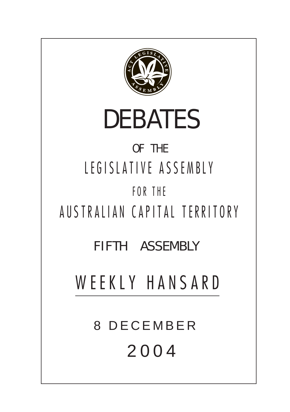

# DEBATES

# OF THE LEGISLATIVE ASSEMBLY FOR THE

AUSTRALIAN CAPITAL TERRITORY

FIFTH ASSEMBLY

WEEKLY HANSARD

8 DECEMBER 2004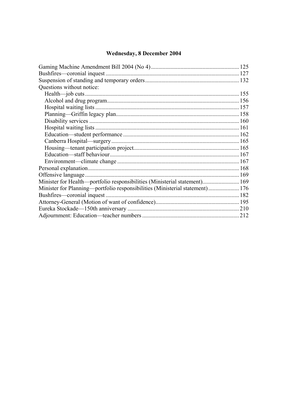# Wednesday, 8 December 2004

| Questions without notice:                                                    |  |  |
|------------------------------------------------------------------------------|--|--|
|                                                                              |  |  |
|                                                                              |  |  |
|                                                                              |  |  |
|                                                                              |  |  |
|                                                                              |  |  |
|                                                                              |  |  |
|                                                                              |  |  |
|                                                                              |  |  |
|                                                                              |  |  |
|                                                                              |  |  |
|                                                                              |  |  |
|                                                                              |  |  |
|                                                                              |  |  |
| Minister for Health—portfolio responsibilities (Ministerial statement) 169   |  |  |
| Minister for Planning—portfolio responsibilities (Ministerial statement) 176 |  |  |
| Bushfires—coronial inquest                                                   |  |  |
|                                                                              |  |  |
|                                                                              |  |  |
|                                                                              |  |  |
|                                                                              |  |  |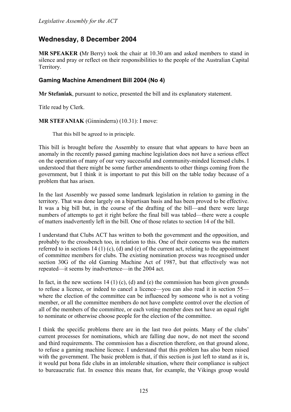# **Wednesday, 8 December 2004**

**MR SPEAKER (**Mr Berry) took the chair at 10.30 am and asked members to stand in silence and pray or reflect on their responsibilities to the people of the Australian Capital Territory.

# <span id="page-2-0"></span>**Gaming Machine Amendment Bill 2004 (No 4)**

**Mr Stefaniak**, pursuant to notice, presented the bill and its explanatory statement.

Title read by Clerk.

**MR STEFANIAK** (Ginninderra) (10.31): I move:

That this bill be agreed to in principle.

This bill is brought before the Assembly to ensure that what appears to have been an anomaly in the recently passed gaming machine legislation does not have a serious effect on the operation of many of our very successful and community-minded licensed clubs. I understood that there might be some further amendments to other things coming from the government, but I think it is important to put this bill on the table today because of a problem that has arisen.

In the last Assembly we passed some landmark legislation in relation to gaming in the territory. That was done largely on a bipartisan basis and has been proved to be effective. It was a big bill but, in the course of the drafting of the bill—and there were large numbers of attempts to get it right before the final bill was tabled—there were a couple of matters inadvertently left in the bill. One of those relates to section 14 of the bill.

I understand that Clubs ACT has written to both the government and the opposition, and probably to the crossbench too, in relation to this. One of their concerns was the matters referred to in sections 14 (1) (c), (d) and (e) of the current act, relating to the appointment of committee members for clubs. The existing nomination process was recognised under section 30G of the old Gaming Machine Act of 1987, but that effectively was not repeated—it seems by inadvertence—in the 2004 act.

In fact, in the new sections 14 (1) (c), (d) and (e) the commission has been given grounds to refuse a licence, or indeed to cancel a licence—you can also read it in section 55 where the election of the committee can be influenced by someone who is not a voting member, or all the committee members do not have complete control over the election of all of the members of the committee, or each voting member does not have an equal right to nominate or otherwise choose people for the election of the committee.

I think the specific problems there are in the last two dot points. Many of the clubs' current processes for nominations, which are falling due now, do not meet the second and third requirements. The commission has a discretion therefore, on that ground alone, to refuse a gaming machine licence. I understand that this problem has also been raised with the government. The basic problem is that, if this section is just left to stand as it is, it would put bona fide clubs in an intolerable situation, where their compliance is subject to bureaucratic fiat. In essence this means that, for example, the Vikings group would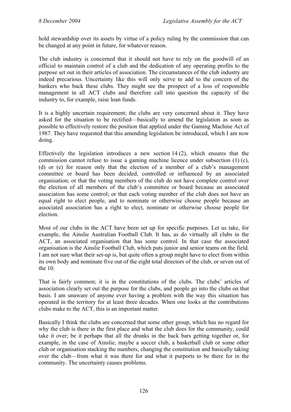hold stewardship over its assets by virtue of a policy ruling by the commission that can be changed at any point in future, for whatever reason.

The club industry is concerned that it should not have to rely on the goodwill of an official to maintain control of a club and the dedication of any operating profits to the purpose set out in their articles of association. The circumstances of the club industry are indeed precarious. Uncertainty like this will only serve to add to the concern of the bankers who back these clubs. They might see the prospect of a loss of responsible management in all ACT clubs and therefore call into question the capacity of the industry to, for example, raise loan funds.

It is a highly uncertain requirement; the clubs are very concerned about it. They have asked for the situation to be rectified—basically to amend the legislation as soon as possible to effectively restore the position that applied under the Gaming Machine Act of 1987. They have requested that this amending legislation be introduced, which I am now doing.

Effectively the legislation introduces a new section 14 (2), which ensures that the commission cannot refuse to issue a gaming machine licence under subsection (1) (c), (d) or (e) for reason only that the election of a member of a club's management committee or board has been decided, controlled or influenced by an associated organisation; or that the voting members of the club do not have complete control over the election of all members of the club's committee or board because an associated association has some control; or that each voting member of the club does not have an equal right to elect people, and to nominate or otherwise choose people because an associated association has a right to elect, nominate or otherwise choose people for election.

Most of our clubs in the ACT have been set up for specific purposes. Let us take, for example, the Ainslie Australian Football Club. It has, as do virtually all clubs in the ACT, an associated organisation that has some control. In that case the associated organisation is the Ainslie Football Club, which puts junior and senior teams on the field. I am not sure what their set-up is, but quite often a group might have to elect from within its own body and nominate five out of the eight total directors of the club, or seven out of the 10.

That is fairly common; it is in the constitutions of the clubs. The clubs' articles of association clearly set out the purpose for the clubs, and people go into the clubs on that basis. I am unaware of anyone ever having a problem with the way this situation has operated in the territory for at least three decades. When one looks at the contributions clubs make to the ACT, this is an important matter.

Basically I think the clubs are concerned that some other group, which has no regard for why the club is there in the first place and what the club does for the community, could take it over; be it perhaps that all the drunks in the back bars getting together or, for example, in the case of Ainslie, maybe a soccer club, a basketball club or some other club or organisation stacking the numbers, changing the constitution and basically taking over the club—from what it was there for and what it purports to be there for in the community. The uncertainty causes problems.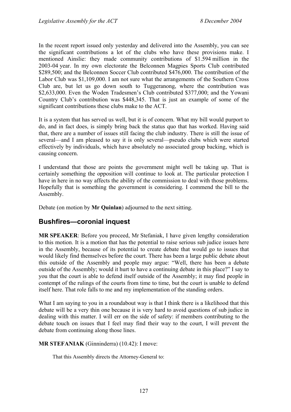In the recent report issued only yesterday and delivered into the Assembly, you can see the significant contributions a lot of the clubs who have these provisions make. I mentioned Ainslie: they made community contributions of \$1.594 million in the 2003-04 year. In my own electorate the Belconnen Magpies Sports Club contributed \$289,500; and the Belconnen Soccer Club contributed \$476,000. The contribution of the Labor Club was \$1,109,000. I am not sure what the arrangements of the Southern Cross Club are, but let us go down south to Tuggeranong, where the contribution was \$2,633,000. Even the Woden Tradesmen's Club contributed \$377,000; and the Yowani Country Club's contribution was \$448,345. That is just an example of some of the significant contributions these clubs make to the ACT.

It is a system that has served us well, but it is of concern. What my bill would purport to do, and in fact does, is simply bring back the status quo that has worked. Having said that, there are a number of issues still facing the club industry. There is still the issue of several—and I am pleased to say it is only several—pseudo clubs which were started effectively by individuals, which have absolutely no associated group backing, which is causing concern.

I understand that those are points the government might well be taking up. That is certainly something the opposition will continue to look at. The particular protection I have in here in no way affects the ability of the commission to deal with those problems. Hopefully that is something the government is considering. I commend the bill to the Assembly.

Debate (on motion by **Mr Quinlan**) adjourned to the next sitting.

# <span id="page-4-0"></span>**Bushfires—coronial inquest**

**MR SPEAKER**: Before you proceed, Mr Stefaniak, I have given lengthy consideration to this motion. It is a motion that has the potential to raise serious sub judice issues here in the Assembly, because of its potential to create debate that would go to issues that would likely find themselves before the court. There has been a large public debate about this outside of the Assembly and people may argue: "Well, there has been a debate outside of the Assembly; would it hurt to have a continuing debate in this place?" I say to you that the court is able to defend itself outside of the Assembly; it may find people in contempt of the rulings of the courts from time to time, but the court is unable to defend itself here. That role falls to me and my implementation of the standing orders.

What I am saying to you in a roundabout way is that I think there is a likelihood that this debate will be a very thin one because it is very hard to avoid questions of sub judice in dealing with this matter. I will err on the side of safety: if members contributing to the debate touch on issues that I feel may find their way to the court, I will prevent the debate from continuing along those lines.

**MR STEFANIAK** (Ginninderra) (10.42): I move:

That this Assembly directs the Attorney-General to: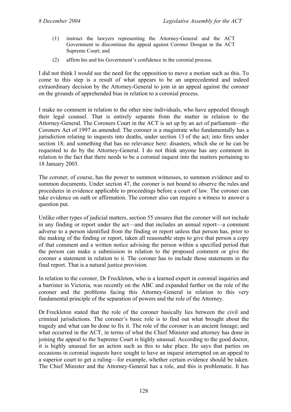- (1) instruct the lawyers representing the Attorney-General and the ACT Government to discontinue the appeal against Coroner Doogan in the ACT Supreme Court; and
- (2) affirm his and his Government's confidence in the coronial process.

I did not think I would see the need for the opposition to move a motion such as this. To come to this step is a result of what appears to be an unprecedented and indeed extraordinary decision by the Attorney-General to join in an appeal against the coroner on the grounds of apprehended bias in relation to a coronial process.

I make no comment in relation to the other nine individuals, who have appealed through their legal counsel. That is entirely separate from the matter in relation to the Attorney-General. The Coroners Court in the ACT is set up by an act of parliament—the Coroners Act of 1997 as amended. The coroner is a magistrate who fundamentally has a jurisdiction relating to inquests into deaths, under section 13 of the act; into fires under section 18; and something that has no relevance here: disasters, which she or he can be requested to do by the Attorney-General. I do not think anyone has any comment in relation to the fact that there needs to be a coronial inquest into the matters pertaining to 18 January 2003.

The coroner, of course, has the power to summon witnesses, to summon evidence and to summon documents. Under section 47, the coroner is not bound to observe the rules and procedures in evidence applicable to proceedings before a court of law. The coroner can take evidence on oath or affirmation. The coroner also can require a witness to answer a question put.

Unlike other types of judicial matters, section 55 ensures that the coroner will not include in any finding or report under the act—and that includes an annual report—a comment adverse to a person identified from the finding or report unless that person has, prior to the making of the finding or report, taken all reasonable steps to give that person a copy of that comment and a written notice advising the person within a specified period that the person can make a submission in relation to the proposed comment or give the coroner a statement in relation to it. The coroner has to include those statements in the final report. That is a natural justice provision.

In relation to the coroner, Dr Freckleton, who is a learned expert in coronial inquiries and a barrister in Victoria, was recently on the ABC and expanded further on the role of the coroner and the problems facing this Attorney-General in relation to this very fundamental principle of the separation of powers and the role of the Attorney.

Dr Freckleton stated that the role of the coroner basically lies between the civil and criminal jurisdictions. The coroner's basic role is to find out what brought about the tragedy and what can be done to fix it. The role of the coroner is an ancient lineage; and what occurred in the ACT, in terms of what the Chief Minister and attorney has done in joining the appeal to the Supreme Court is highly unusual. According to the good doctor, it is highly unusual for an action such as this to take place. He says that parties on occasions in coronial inquests have sought to have an inquest interrupted on an appeal to a superior court to get a ruling—for example, whether certain evidence should be taken. The Chief Minister and the Attorney-General has a role, and this is problematic. It has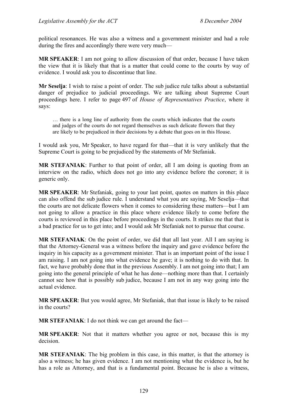political resonances. He was also a witness and a government minister and had a role during the fires and accordingly there were very much—

**MR SPEAKER**: I am not going to allow discussion of that order, because I have taken the view that it is likely that that is a matter that could come to the courts by way of evidence. I would ask you to discontinue that line.

**Mr Seselja**: I wish to raise a point of order. The sub judice rule talks about a substantial danger of prejudice to judicial proceedings. We are talking about Supreme Court proceedings here. I refer to page 497 of *House of Representatives Practice*, where it says:

… there is a long line of authority from the courts which indicates that the courts and judges of the courts do not regard themselves as such delicate flowers that they are likely to be prejudiced in their decisions by a debate that goes on in this House.

I would ask you, Mr Speaker, to have regard for that—that it is very unlikely that the Supreme Court is going to be prejudiced by the statements of Mr Stefaniak.

**MR STEFANIAK**: Further to that point of order, all I am doing is quoting from an interview on the radio, which does not go into any evidence before the coroner; it is generic only.

**MR SPEAKER**: Mr Stefaniak, going to your last point, quotes on matters in this place can also offend the sub judice rule. I understand what you are saying, Mr Seselja—that the courts are not delicate flowers when it comes to considering these matters—but I am not going to allow a practice in this place where evidence likely to come before the courts is reviewed in this place before proceedings in the courts. It strikes me that that is a bad practice for us to get into; and I would ask Mr Stefaniak not to pursue that course.

**MR STEFANIAK**: On the point of order, we did that all last year. All I am saying is that the Attorney-General was a witness before the inquiry and gave evidence before the inquiry in his capacity as a government minister. That is an important point of the issue I am raising. I am not going into what evidence he gave; it is nothing to do with that. In fact, we have probably done that in the previous Assembly. I am not going into that; I am going into the general principle of what he has done—nothing more than that. I certainly cannot see how that is possibly sub judice, because I am not in any way going into the actual evidence.

**MR SPEAKER**: But you would agree, Mr Stefaniak, that that issue is likely to be raised in the courts?

**MR STEFANIAK**: I do not think we can get around the fact—

**MR SPEAKER**: Not that it matters whether you agree or not, because this is my decision.

**MR STEFANIAK**: The big problem in this case, in this matter, is that the attorney is also a witness; he has given evidence. I am not mentioning what the evidence is, but he has a role as Attorney, and that is a fundamental point. Because he is also a witness,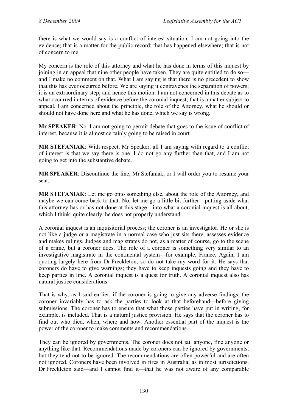there is what we would say is a conflict of interest situation. I am not going into the evidence; that is a matter for the public record; that has happened elsewhere; that is not of concern to me.

My concern is the role of this attorney and what he has done in terms of this inquest by joining in an appeal that nine other people have taken. They are quite entitled to do so and I make no comment on that. What I am saying is that there is no precedent to show that this has ever occurred before. We are saying it contravenes the separation of powers; it is an extraordinary step; and hence this motion. I am not concerned in this debate as to what occurred in terms of evidence before the coronial inquest; that is a matter subject to appeal. I am concerned about the principle, the role of the Attorney, what he should or should not have done here and what he has done, which we say is wrong.

**Mr SPEAKER**: No. I am not going to permit debate that goes to the issue of conflict of interest, because it is almost certainly going to be raised in court.

**MR STEFANIAK**: With respect, Mr Speaker, all I am saying with regard to a conflict of interest is that we say there is one. I do not go any further than that, and I am not going to get into the substantive debate.

**MR SPEAKER**: Discontinue the line, Mr Stefaniak, or I will order you to resume your seat.

**MR STEFANIAK**: Let me go onto something else, about the role of the Attorney, and maybe we can come back to that. No, let me go a little bit further—putting aside what this attorney has or has not done at this stage—into what a coronial inquest is all about, which I think, quite clearly, he does not properly understand.

A coronial inquest is an inquisitorial process; the coroner is an investigator. He or she is not like a judge or a magistrate in a normal case who just sits there, assesses evidence and makes rulings. Judges and magistrates do not, as a matter of course, go to the scene of a crime, but a coroner does. The role of a coroner is something very similar to an investigative magistrate in the continental system—for example, France. Again, I am quoting largely here from Dr Freckleton, so do not take my word for it. He says that coroners do have to give warnings; they have to keep inquests going and they have to keep parties in line. A coronial inquest is a quest for truth. A coronial inquest also has natural justice considerations.

That is why, as I said earlier, if the coroner is going to give any adverse findings, the coroner invariably has to ask the parties to look at that beforehand—before giving submissions. The coroner has to ensure that what those parties have put in writing, for example, is included. That is a natural justice provision. He says that the coroner has to find out who died, when, where and how. Another essential part of the inquest is the power of the coroner to make comments and recommendations.

They can be ignored by governments. The coroner does not jail anyone, fine anyone or anything like that. Recommendations made by coroners can be ignored by governments, but they tend not to be ignored. The recommendations are often powerful and are often not ignored. Coroners have been involved in fires in Australia, as in most jurisdictions. Dr Freckleton said—and I cannot find it—that he was not aware of any comparable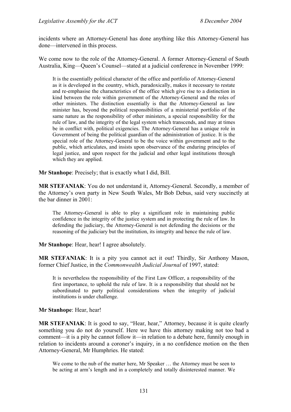incidents where an Attorney-General has done anything like this Attorney-General has done—intervened in this process.

We come now to the role of the Attorney-General. A former Attorney-General of South Australia, King—Queen's Counsel—stated at a judicial conference in November 1999:

It is the essentially political character of the office and portfolio of Attorney-General as it is developed in the country, which, paradoxically, makes it necessary to restate and re-emphasise the characteristics of the office which give rise to a distinction in kind between the role within government of the Attorney-General and the roles of other ministers. The distinction essentially is that the Attorney-General as law minister has, beyond the political responsibilities of a ministerial portfolio of the same nature as the responsibility of other ministers, a special responsibility for the rule of law, and the integrity of the legal system which transcends, and may at times be in conflict with, political exigencies. The Attorney-General has a unique role in Government of being the political guardian of the administration of justice. It is the special role of the Attorney-General to be the voice within government and to the public, which articulates, and insists upon observance of the enduring principles of legal justice, and upon respect for the judicial and other legal institutions through which they are applied.

**Mr Stanhope**: Precisely; that is exactly what I did, Bill.

**MR STEFANIAK:** You do not understand it, Attorney-General. Secondly, a member of the Attorney's own party in New South Wales, Mr Bob Debus, said very succinctly at the bar dinner in 2001:

The Attorney-General is able to play a significant role in maintaining public confidence in the integrity of the justice system and in protecting the rule of law. In defending the judiciary, the Attorney-General is not defending the decisions or the reasoning of the judiciary but the institution, its integrity and hence the rule of law.

**Mr Stanhope**: Hear, hear! I agree absolutely.

**MR STEFANIAK**: It is a pity you cannot act it out! Thirdly, Sir Anthony Mason, former Chief Justice, in the *Commonwealth Judicial Journal* of 1997, stated:

It is nevertheless the responsibility of the First Law Officer, a responsibility of the first importance, to uphold the rule of law. It is a responsibility that should not be subordinated to party political considerations when the integrity of judicial institutions is under challenge.

**Mr Stanhope**: Hear, hear!

**MR STEFANIAK**: It is good to say, "Hear, hear," Attorney, because it is quite clearly something you do not do yourself. Here we have this attorney making not too bad a comment—it is a pity he cannot follow it—in relation to a debate here, funnily enough in relation to incidents around a coroner's inquiry, in a no confidence motion on the then Attorney-General, Mr Humphries. He stated:

We come to the nub of the matter here, Mr Speaker ... the Attorney must be seen to be acting at arm's length and in a completely and totally disinterested manner. We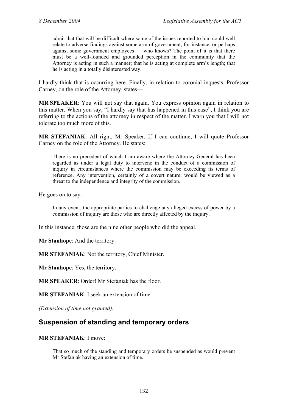admit that that will be difficult where some of the issues reported to him could well relate to adverse findings against some arm of government, for instance, or perhaps against some government employees — who knows? The point of it is that there must be a well-founded and grounded perception in the community that the Attorney is acting in such a manner; that he is acting at complete arm's length; that he is acting in a totally disinterested way.

I hardly think that is occurring here. Finally, in relation to coronial inquests, Professor Carney, on the role of the Attorney, states—

**MR SPEAKER**: You will not say that again. You express opinion again in relation to this matter. When you say, "I hardly say that has happened in this case", I think you are referring to the actions of the attorney in respect of the matter. I warn you that I will not tolerate too much more of this.

**MR STEFANIAK**: All right, Mr Speaker. If I can continue, I will quote Professor Carney on the role of the Attorney. He states:

There is no precedent of which I am aware where the Attorney-General has been regarded as under a legal duty to intervene in the conduct of a commission of inquiry in circumstances where the commission may be exceeding its terms of reference. Any intervention, certainly of a covert nature, would be viewed as a threat to the independence and integrity of the commission.

He goes on to say:

In any event, the appropriate parties to challenge any alleged excess of power by a commission of inquiry are those who are directly affected by the inquiry.

In this instance, those are the nine other people who did the appeal.

**Mr Stanhope**: And the territory.

**MR STEFANIAK**: Not the territory, Chief Minister.

**Mr Stanhope**: Yes, the territory.

**MR SPEAKER**: Order! Mr Stefaniak has the floor.

**MR STEFANIAK**: I seek an extension of time.

*(Extension of time not granted).*

# <span id="page-9-0"></span>**Suspension of standing and temporary orders**

#### **MR STEFANIAK**: I move:

That so much of the standing and temporary orders be suspended as would prevent Mr Stefaniak having an extension of time.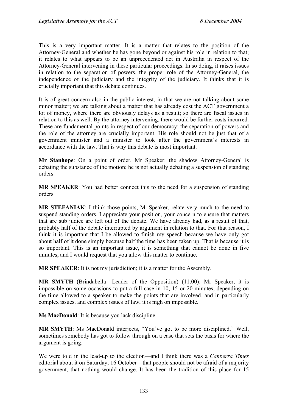This is a very important matter. It is a matter that relates to the position of the Attorney-General and whether he has gone beyond or against his role in relation to that; it relates to what appears to be an unprecedented act in Australia in respect of the Attorney-General intervening in these particular proceedings. In so doing, it raises issues in relation to the separation of powers, the proper role of the Attorney-General, the independence of the judiciary and the integrity of the judiciary. It thinks that it is crucially important that this debate continues.

It is of great concern also in the public interest, in that we are not talking about some minor matter; we are talking about a matter that has already cost the ACT government a lot of money, where there are obviously delays as a result; so there are fiscal issues in relation to this as well. By the attorney intervening, there would be further costs incurred. These are fundamental points in respect of our democracy: the separation of powers and the role of the attorney are crucially important. His role should not be just that of a government minister and a minister to look after the government's interests in accordance with the law. That is why this debate is most important.

**Mr Stanhope**: On a point of order, Mr Speaker: the shadow Attorney-General is debating the substance of the motion; he is not actually debating a suspension of standing orders.

**MR SPEAKER**: You had better connect this to the need for a suspension of standing orders.

**MR STEFANIAK**: I think those points, Mr Speaker, relate very much to the need to suspend standing orders. I appreciate your position, your concern to ensure that matters that are sub judice are left out of the debate. We have already had, as a result of that, probably half of the debate interrupted by argument in relation to that. For that reason, I think it is important that I be allowed to finish my speech because we have only got about half of it done simply because half the time has been taken up. That is because it is so important. This is an important issue, it is something that cannot be done in five minutes, and I would request that you allow this matter to continue.

**MR SPEAKER**: It is not my jurisdiction; it is a matter for the Assembly.

**MR SMYTH** (Brindabella—Leader of the Opposition) (11.00): Mr Speaker, it is impossible on some occasions to put a full case in 10, 15 or 20 minutes, depending on the time allowed to a speaker to make the points that are involved, and in particularly complex issues, and complex issues of law, it is nigh on impossible.

**Ms MacDonald**: It is because you lack discipline.

**MR SMYTH**: Ms MacDonald interjects, "You've got to be more disciplined." Well, sometimes somebody has got to follow through on a case that sets the basis for where the argument is going.

We were told in the lead-up to the election—and I think there was a *Canberra Times* editorial about it on Saturday, 16 October—that people should not be afraid of a majority government, that nothing would change. It has been the tradition of this place for 15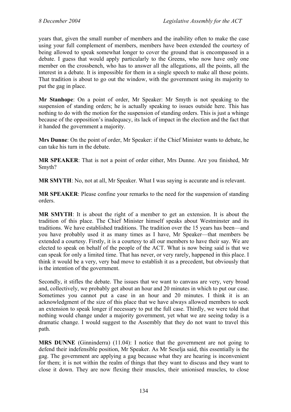years that, given the small number of members and the inability often to make the case using your full complement of members, members have been extended the courtesy of being allowed to speak somewhat longer to cover the ground that is encompassed in a debate. I guess that would apply particularly to the Greens, who now have only one member on the crossbench, who has to answer all the allegations, all the points, all the interest in a debate. It is impossible for them in a single speech to make all those points. That tradition is about to go out the window, with the government using its majority to put the gag in place.

**Mr Stanhope**: On a point of order, Mr Speaker: Mr Smyth is not speaking to the suspension of standing orders; he is actually speaking to issues outside here. This has nothing to do with the motion for the suspension of standing orders. This is just a whinge because of the opposition's inadequacy, its lack of impact in the election and the fact that it handed the government a majority.

**Mrs Dunne**: On the point of order, Mr Speaker: if the Chief Minister wants to debate, he can take his turn in the debate.

**MR SPEAKER**: That is not a point of order either, Mrs Dunne. Are you finished, Mr Smyth?

**MR SMYTH**: No, not at all, Mr Speaker. What I was saying is accurate and is relevant.

**MR SPEAKER**: Please confine your remarks to the need for the suspension of standing orders.

**MR SMYTH**: It is about the right of a member to get an extension. It is about the tradition of this place. The Chief Minister himself speaks about Westminster and its traditions. We have established traditions. The tradition over the 15 years has been—and you have probably used it as many times as I have, Mr Speaker—that members be extended a courtesy. Firstly, it is a courtesy to all our members to have their say. We are elected to speak on behalf of the people of the ACT. What is now being said is that we can speak for only a limited time. That has never, or very rarely, happened in this place. I think it would be a very, very bad move to establish it as a precedent, but obviously that is the intention of the government.

Secondly, it stifles the debate. The issues that we want to canvass are very, very broad and, collectively, we probably get about an hour and 20 minutes in which to put our case. Sometimes you cannot put a case in an hour and 20 minutes. I think it is an acknowledgment of the size of this place that we have always allowed members to seek an extension to speak longer if necessary to put the full case. Thirdly, we were told that nothing would change under a majority government, yet what we are seeing today is a dramatic change. I would suggest to the Assembly that they do not want to travel this path.

**MRS DUNNE** (Ginninderra) (11.04): I notice that the government are not going to defend their indefensible position, Mr Speaker. As Mr Seselja said, this essentially is the gag. The government are applying a gag because what they are hearing is inconvenient for them; it is not within the realm of things that they want to discuss and they want to close it down. They are now flexing their muscles, their unionised muscles, to close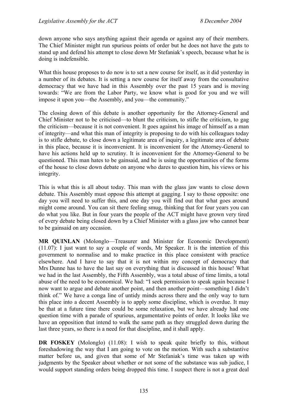down anyone who says anything against their agenda or against any of their members. The Chief Minister might run spurious points of order but he does not have the guts to stand up and defend his attempt to close down Mr Stefaniak's speech, because what he is doing is indefensible.

What this house proposes to do now is to set a new course for itself, as it did vesterday in a number of its debates. It is setting a new course for itself away from the consultative democracy that we have had in this Assembly over the past 15 years and is moving towards: "We are from the Labor Party, we know what is good for you and we will impose it upon you—the Assembly, and you—the community."

The closing down of this debate is another opportunity for the Attorney-General and Chief Minister not to be criticised—to blunt the criticism, to stifle the criticism, to gag the criticism—because it is not convenient. It goes against his image of himself as a man of integrity—and what this man of integrity is proposing to do with his colleagues today is to stifle debate, to close down a legitimate area of inquiry, a legitimate area of debate in this place, because it is inconvenient. It is inconvenient for the Attorney-General to have his actions held up to scrutiny. It is inconvenient for the Attorney-General to be questioned. This man hates to be gainsaid, and he is using the opportunities of the forms of the house to close down debate on anyone who dares to question him, his views or his integrity.

This is what this is all about today. This man with the glass jaw wants to close down debate. This Assembly must oppose this attempt at gagging. I say to those opposite: one day you will need to suffer this, and one day you will find out that what goes around might come around. You can sit there feeling smug, thinking that for four years you can do what you like. But in four years the people of the ACT might have grown very tired of every debate being closed down by a Chief Minister with a glass jaw who cannot bear to be gainsaid on any occasion.

**MR QUINLAN** (Molonglo—Treasurer and Minister for Economic Development) (11.07): I just want to say a couple of words, Mr Speaker. It is the intention of this government to normalise and to make practice in this place consistent with practice elsewhere. And I have to say that it is not within my concept of democracy that Mrs Dunne has to have the last say on everything that is discussed in this house! What we had in the last Assembly, the Fifth Assembly, was a total abuse of time limits, a total abuse of the need to be economical. We had: "I seek permission to speak again because I now want to argue and debate another point, and then another point—something I didn't think of." We have a conga line of untidy minds across there and the only way to turn this place into a decent Assembly is to apply some discipline, which is overdue. It may be that at a future time there could be some relaxation, but we have already had one question time with a parade of spurious, argumentative points of order. It looks like we have an opposition that intend to walk the same path as they struggled down during the last three years, so there is a need for that discipline, and it shall apply.

**DR FOSKEY** (Molonglo) (11.08): I wish to speak quite briefly to this, without foreshadowing the way that I am going to vote on the motion. With such a substantive matter before us, and given that some of Mr Stefaniak's time was taken up with judgments by the Speaker about whether or not some of the substance was sub judice, I would support standing orders being dropped this time. I suspect there is not a great deal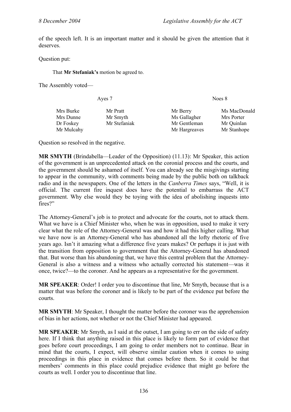of the speech left. It is an important matter and it should be given the attention that it deserves.

Question put:

That **Mr Stefaniak's** motion be agreed to.

The Assembly voted—

| Ayes 7       |                               | Noes 8                     |  |  |
|--------------|-------------------------------|----------------------------|--|--|
| Mr Pratt     | Mr Berry                      | Ms MacDonald<br>Mrs Porter |  |  |
| Mr Stefaniak | Mr Gentleman<br>Mr Hargreaves | Mr Quinlan<br>Mr Stanhope  |  |  |
|              | Mr Smyth                      | Ms Gallagher               |  |  |

Question so resolved in the negative.

**MR SMYTH** (Brindabella—Leader of the Opposition) (11.13): Mr Speaker, this action of the government is an unprecedented attack on the coronial process and the courts, and the government should be ashamed of itself. You can already see the misgivings starting to appear in the community, with comments being made by the public both on talkback radio and in the newspapers. One of the letters in the *Canberra Times* says, "Well, it is official. The current fire inquest does have the potential to embarrass the ACT government. Why else would they be toying with the idea of abolishing inquests into fires?"

The Attorney-General's job is to protect and advocate for the courts, not to attack them. What we have is a Chief Minister who, when he was in opposition, used to make it very clear what the role of the Attorney-General was and how it had this higher calling. What we have now is an Attorney-General who has abandoned all the lofty rhetoric of five years ago. Isn't it amazing what a difference five years makes? Or perhaps it is just with the transition from opposition to government that the Attorney-General has abandoned that. But worse than his abandoning that, we have this central problem that the Attorney-General is also a witness and a witness who actually corrected his statement—was it once, twice?—to the coroner. And he appears as a representative for the government.

**MR SPEAKER**: Order! I order you to discontinue that line, Mr Smyth, because that is a matter that was before the coroner and is likely to be part of the evidence put before the courts.

**MR SMYTH**: Mr Speaker, I thought the matter before the coroner was the apprehension of bias in her actions, not whether or not the Chief Minister had appeared.

**MR SPEAKER:** Mr Smyth, as I said at the outset, I am going to err on the side of safety here. If I think that anything raised in this place is likely to form part of evidence that goes before court proceedings, I am going to order members not to continue. Bear in mind that the courts, I expect, will observe similar caution when it comes to using proceedings in this place in evidence that comes before them. So it could be that members' comments in this place could prejudice evidence that might go before the courts as well. I order you to discontinue that line.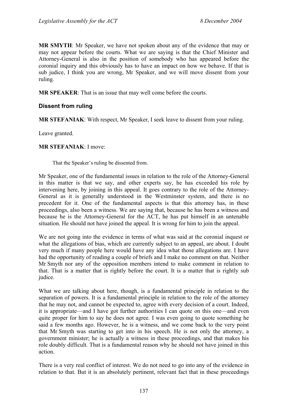**MR SMYTH**: Mr Speaker, we have not spoken about any of the evidence that may or may not appear before the courts. What we are saying is that the Chief Minister and Attorney-General is also in the position of somebody who has appeared before the coronial inquiry and this obviously has to have an impact on how we behave. If that is sub judice, I think you are wrong, Mr Speaker, and we will move dissent from your ruling.

**MR SPEAKER**: That is an issue that may well come before the courts.

#### **Dissent from ruling**

**MR STEFANIAK**: With respect, Mr Speaker, I seek leave to dissent from your ruling.

Leave granted.

#### **MR STEFANIAK**: I move:

That the Speaker's ruling be dissented from.

Mr Speaker, one of the fundamental issues in relation to the role of the Attorney-General in this matter is that we say, and other experts say, he has exceeded his role by intervening here, by joining in this appeal. It goes contrary to the role of the Attorney-General as it is generally understood in the Westminster system, and there is no precedent for it. One of the fundamental aspects is that this attorney has, in these proceedings, also been a witness. We are saying that, because he has been a witness and because he is the Attorney-General for the ACT, he has put himself in an untenable situation. He should not have joined the appeal. It is wrong for him to join the appeal.

We are not going into the evidence in terms of what was said at the coronial inquest or what the allegations of bias, which are currently subject to an appeal, are about. I doubt very much if many people here would have any idea what those allegations are. I have had the opportunity of reading a couple of briefs and I make no comment on that. Neither Mr Smyth nor any of the opposition members intend to make comment in relation to that. That is a matter that is rightly before the court. It is a matter that is rightly sub judice.

What we are talking about here, though, is a fundamental principle in relation to the separation of powers. It is a fundamental principle in relation to the role of the attorney that he may not, and cannot be expected to, agree with every decision of a court. Indeed, it is appropriate—and I have got further authorities I can quote on this one—and even quite proper for him to say he does not agree. I was even going to quote something he said a few months ago. However, he is a witness, and we come back to the very point that Mr Smyth was starting to get into in his speech. He is not only the attorney, a government minister; he is actually a witness in these proceedings, and that makes his role doubly difficult. That is a fundamental reason why he should not have joined in this action.

There is a very real conflict of interest. We do not need to go into any of the evidence in relation to that. But it is an absolutely pertinent, relevant fact that in these proceedings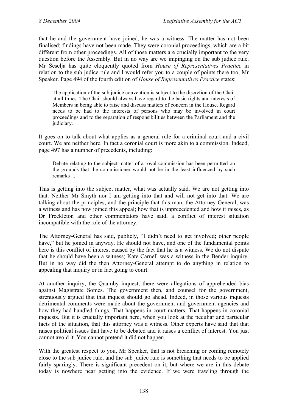that he and the government have joined, he was a witness. The matter has not been finalised; findings have not been made. They were coronial proceedings, which are a bit different from other proceedings. All of those matters are crucially important to the very question before the Assembly. But in no way are we impinging on the sub judice rule. Mr Seselja has quite eloquently quoted from *House of Representatives Practice* in relation to the sub judice rule and I would refer you to a couple of points there too, Mr Speaker. Page 494 of the fourth edition of *House of Representatives Practice* states:

The application of the sub judice convention is subject to the discretion of the Chair at all times. The Chair should always have regard to the basic rights and interests of Members in being able to raise and discuss matters of concern in the House. Regard needs to be had to the interests of persons who may be involved in court proceedings and to the separation of responsibilities between the Parliament and the judiciary.

It goes on to talk about what applies as a general rule for a criminal court and a civil court. We are neither here. In fact a coronial court is more akin to a commission. Indeed, page 497 has a number of precedents, including:

Debate relating to the subject matter of a royal commission has been permitted on the grounds that the commissioner would not be in the least influenced by such remarks ...

This is getting into the subject matter, what was actually said. We are not getting into that. Neither Mr Smyth nor I am getting into that and will not get into that. We are talking about the principles, and the principle that this man, the Attorney-General, was a witness and has now joined this appeal; how that is unprecedented and how it raises, as Dr Freckleton and other commentators have said, a conflict of interest situation incompatible with the role of the attorney.

The Attorney-General has said, publicly, "I didn't need to get involved; other people have," but he joined in anyway. He should not have, and one of the fundamental points here is this conflict of interest caused by the fact that he is a witness. We do not dispute that he should have been a witness; Kate Carnell was a witness in the Bender inquiry. But in no way did the then Attorney-General attempt to do anything in relation to appealing that inquiry or in fact going to court.

At another inquiry, the Quamby inquest, there were allegations of apprehended bias against Magistrate Somes. The government then, and counsel for the government, strenuously argued that that inquest should go ahead. Indeed, in those various inquests detrimental comments were made about the government and government agencies and how they had handled things. That happens in court matters. That happens in coronial inquests. But it is crucially important here, when you look at the peculiar and particular facts of the situation, that this attorney was a witness. Other experts have said that that raises political issues that have to be debated and it raises a conflict of interest. You just cannot avoid it. You cannot pretend it did not happen.

With the greatest respect to you, Mr Speaker, that is not breaching or coming remotely close to the sub judice rule, and the sub judice rule is something that needs to be applied fairly sparingly. There is significant precedent on it, but where we are in this debate today is nowhere near getting into the evidence. If we were trawling through the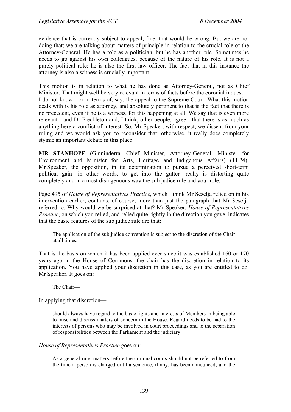evidence that is currently subject to appeal, fine; that would be wrong. But we are not doing that; we are talking about matters of principle in relation to the crucial role of the Attorney-General. He has a role as a politician, but he has another role. Sometimes he needs to go against his own colleagues, because of the nature of his role. It is not a purely political role: he is also the first law officer. The fact that in this instance the attorney is also a witness is crucially important.

This motion is in relation to what he has done as Attorney-General, not as Chief Minister. That might well be very relevant in terms of facts before the coronial inquest— I do not know—or in terms of, say, the appeal to the Supreme Court. What this motion deals with is his role as attorney, and absolutely pertinent to that is the fact that there is no precedent, even if he is a witness, for this happening at all. We say that is even more relevant—and Dr Freckleton and, I think, other people, agree—that there is as much as anything here a conflict of interest. So, Mr Speaker, with respect, we dissent from your ruling and we would ask you to reconsider that; otherwise, it really does completely stymie an important debate in this place.

**MR STANHOPE** (Ginninderra—Chief Minister, Attorney-General, Minister for Environment and Minister for Arts, Heritage and Indigenous Affairs) (11.24): Mr Speaker, the opposition, in its determination to pursue a perceived short-term political gain—in other words, to get into the gutter—really is distorting quite completely and in a most disingenuous way the sub judice rule and your role.

Page 495 of *House of Representatives Practice*, which I think Mr Seselja relied on in his intervention earlier, contains, of course, more than just the paragraph that Mr Seselja referred to. Why would we be surprised at that? Mr Speaker, *House of Representatives Practice*, on which you relied, and relied quite rightly in the direction you gave, indicates that the basic features of the sub judice rule are that:

The application of the sub judice convention is subject to the discretion of the Chair at all times.

That is the basis on which it has been applied ever since it was established 160 or 170 years ago in the House of Commons: the chair has the discretion in relation to its application. You have applied your discretion in this case, as you are entitled to do, Mr Speaker. It goes on:

The Chair—

In applying that discretion—

should always have regard to the basic rights and interests of Members in being able to raise and discuss matters of concern in the House. Regard needs to be had to the interests of persons who may be involved in court proceedings and to the separation of responsibilities between the Parliament and the judiciary.

#### *House of Representatives Practice* goes on:

As a general rule, matters before the criminal courts should not be referred to from the time a person is charged until a sentence, if any, has been announced; and the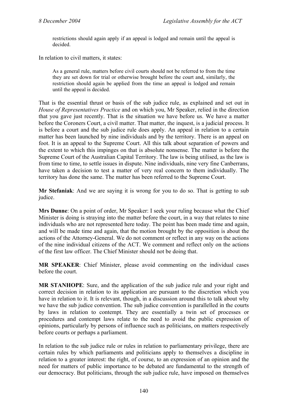restrictions should again apply if an appeal is lodged and remain until the appeal is decided.

In relation to civil matters, it states:

As a general rule, matters before civil courts should not be referred to from the time they are set down for trial or otherwise brought before the court and, similarly, the restriction should again be applied from the time an appeal is lodged and remain until the appeal is decided.

That is the essential thrust or basis of the sub judice rule, as explained and set out in *House of Representatives Practice* and on which you, Mr Speaker, relied in the direction that you gave just recently. That is the situation we have before us. We have a matter before the Coroners Court, a civil matter. That matter, the inquest, is a judicial process. It is before a court and the sub judice rule does apply. An appeal in relation to a certain matter has been launched by nine individuals and by the territory. There is an appeal on foot. It is an appeal to the Supreme Court. All this talk about separation of powers and the extent to which this impinges on that is absolute nonsense. The matter is before the Supreme Court of the Australian Capital Territory. The law is being utilised, as the law is from time to time, to settle issues in dispute. Nine individuals, nine very fine Canberrans, have taken a decision to test a matter of very real concern to them individually. The territory has done the same. The matter has been referred to the Supreme Court.

**Mr Stefaniak**: And we are saying it is wrong for you to do so. That is getting to sub judice.

**Mrs Dunne**: On a point of order, Mr Speaker: I seek your ruling because what the Chief Minister is doing is straying into the matter before the court, in a way that relates to nine individuals who are not represented here today. The point has been made time and again, and will be made time and again, that the motion brought by the opposition is about the actions of the Attorney-General. We do not comment or reflect in any way on the actions of the nine individual citizens of the ACT. We comment and reflect only on the actions of the first law officer. The Chief Minister should not be doing that.

**MR SPEAKER**: Chief Minister, please avoid commenting on the individual cases before the court.

**MR STANHOPE**: Sure, and the application of the sub judice rule and your right and correct decision in relation to its application are pursuant to the discretion which you have in relation to it. It is relevant, though, in a discussion around this to talk about why we have the sub judice convention. The sub judice convention is parallelled in the courts by laws in relation to contempt. They are essentially a twin set of processes or procedures and contempt laws relate to the need to avoid the public expression of opinions, particularly by persons of influence such as politicians, on matters respectively before courts or perhaps a parliament.

In relation to the sub judice rule or rules in relation to parliamentary privilege, there are certain rules by which parliaments and politicians apply to themselves a discipline in relation to a greater interest: the right, of course, to an expression of an opinion and the need for matters of public importance to be debated are fundamental to the strength of our democracy. But politicians, through the sub judice rule, have imposed on themselves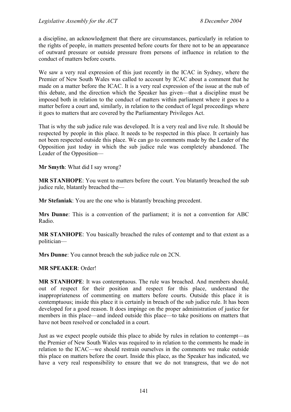a discipline, an acknowledgment that there are circumstances, particularly in relation to the rights of people, in matters presented before courts for there not to be an appearance of outward pressure or outside pressure from persons of influence in relation to the conduct of matters before courts.

We saw a very real expression of this just recently in the ICAC in Sydney, where the Premier of New South Wales was called to account by ICAC about a comment that he made on a matter before the ICAC. It is a very real expression of the issue at the nub of this debate, and the direction which the Speaker has given—that a discipline must be imposed both in relation to the conduct of matters within parliament where it goes to a matter before a court and, similarly, in relation to the conduct of legal proceedings where it goes to matters that are covered by the Parliamentary Privileges Act.

That is why the sub judice rule was developed. It is a very real and live rule. It should be respected by people in this place. It needs to be respected in this place. It certainly has not been respected outside this place. We can go to comments made by the Leader of the Opposition just today in which the sub judice rule was completely abandoned. The Leader of the Opposition—

**Mr Smyth**: What did I say wrong?

**MR STANHOPE**: You went to matters before the court. You blatantly breached the sub judice rule, blatantly breached the—

**Mr Stefaniak**: You are the one who is blatantly breaching precedent.

**Mrs Dunne**: This is a convention of the parliament; it is not a convention for ABC Radio.

**MR STANHOPE**: You basically breached the rules of contempt and to that extent as a politician—

**Mrs Dunne**: You cannot breach the sub judice rule on 2CN.

**MR SPEAKER**: Order!

**MR STANHOPE**: It was contemptuous. The rule was breached. And members should, out of respect for their position and respect for this place, understand the inappropriateness of commenting on matters before courts. Outside this place it is contemptuous; inside this place it is certainly in breach of the sub judice rule. It has been developed for a good reason. It does impinge on the proper administration of justice for members in this place—and indeed outside this place—to take positions on matters that have not been resolved or concluded in a court.

Just as we expect people outside this place to abide by rules in relation to contempt—as the Premier of New South Wales was required to in relation to the comments he made in relation to the ICAC—we should restrain ourselves in the comments we make outside this place on matters before the court. Inside this place, as the Speaker has indicated, we have a very real responsibility to ensure that we do not transgress, that we do not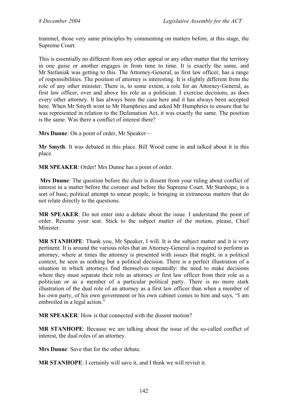trammel, those very same principles by commenting on matters before, at this stage, the Supreme Court.

This is essentially no different from any other appeal or any other matter that the territory in one guise or another engages in from time to time. It is exactly the same, and Mr Stefaniak was getting to this. The Attorney-General, as first law officer, has a range of responsibilities. The position of attorney is interesting. It is slightly different from the role of any other minister. There is, to some extent, a role for an Attorney-General, as first law officer, over and above his role as a politician. I exercise decisions, as does every other attorney. It has always been the case here and it has always been accepted here. When Mr Smyth went to Mr Humphries and asked Mr Humphries to ensure that he was represented in relation to the Defamation Act, it was exactly the same. The position is the same. Was there a conflict of interest there?

**Mrs Dunne**: On a point of order, Mr Speaker—

**Mr Smyth**: It was debated in this place. Bill Wood came in and talked about it in this place.

**MR SPEAKER**: Order! Mrs Dunne has a point of order.

 **Mrs Dunne**: The question before the chair is dissent from your ruling about conflict of interest in a matter before the coroner and before the Supreme Court. Mr Stanhope, in a sort of base, political attempt to smear people, is bringing in extraneous matters that do not relate directly to the questions.

**MR SPEAKER**: Do not enter into a debate about the issue. I understand the point of order. Resume your seat. Stick to the subject matter of the motion, please, Chief Minister.

**MR STANHOPE**: Thank you, Mr Speaker, I will. It is the subject matter and it is very pertinent. It is around the various roles that an Attorney-General is required to perform as attorney, where at times the attorney is presented with issues that might, in a political context, be seen as nothing but a political decision. There is a perfect illustration of a situation in which attorneys find themselves repeatedly: the need to make decisions where they must separate their role as attorney or first law officer from their role as a politician or as a member of a particular political party. There is no more stark illustration of the dual role of an attorney as a first law officer than when a member of his own party, of his own government or his own cabinet comes to him and says, "I am embroiled in a legal action."

**MR SPEAKER**: How is that connected with the dissent motion?

**MR STANHOPE**: Because we are talking about the issue of the so-called conflict of interest, the dual roles of an attorney.

**Mrs Dunne**: Save that for the other debate.

**MR STANHOPE**: I certainly will save it, and I think we will revisit it.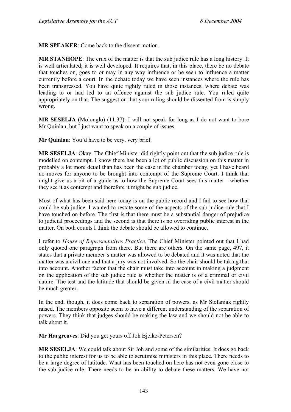**MR SPEAKER**: Come back to the dissent motion.

**MR STANHOPE**: The crux of the matter is that the sub judice rule has a long history. It is well articulated; it is well developed. It requires that, in this place, there be no debate that touches on, goes to or may in any way influence or be seen to influence a matter currently before a court. In the debate today we have seen instances where the rule has been transgressed. You have quite rightly ruled in those instances, where debate was leading to or had led to an offence against the sub judice rule. You ruled quite appropriately on that. The suggestion that your ruling should be dissented from is simply wrong.

**MR SESELJA** (Molonglo) (11.37): I will not speak for long as I do not want to bore Mr Quinlan, but I just want to speak on a couple of issues.

**Mr Quinlan**: You'd have to be very, very brief.

**MR SESELJA**: Okay. The Chief Minister did rightly point out that the sub judice rule is modelled on contempt. I know there has been a lot of public discussion on this matter in probably a lot more detail than has been the case in the chamber today, yet I have heard no moves for anyone to be brought into contempt of the Supreme Court. I think that might give us a bit of a guide as to how the Supreme Court sees this matter—whether they see it as contempt and therefore it might be sub judice.

Most of what has been said here today is on the public record and I fail to see how that could be sub judice. I wanted to restate some of the aspects of the sub judice rule that I have touched on before. The first is that there must be a substantial danger of prejudice to judicial proceedings and the second is that there is no overriding public interest in the matter. On both counts I think the debate should be allowed to continue.

I refer to *House of Representatives Practice*. The Chief Minister pointed out that I had only quoted one paragraph from there. But there are others. On the same page, 497, it states that a private member's matter was allowed to be debated and it was noted that the matter was a civil one and that a jury was not involved. So the chair should be taking that into account. Another factor that the chair must take into account in making a judgment on the application of the sub judice rule is whether the matter is of a criminal or civil nature. The test and the latitude that should be given in the case of a civil matter should be much greater.

In the end, though, it does come back to separation of powers, as Mr Stefaniak rightly raised. The members opposite seem to have a different understanding of the separation of powers. They think that judges should be making the law and we should not be able to talk about it.

**Mr Hargreaves**: Did you get yours off Joh Bjelke-Petersen?

**MR SESELJA**: We could talk about Sir Joh and some of the similarities. It does go back to the public interest for us to be able to scrutinise ministers in this place. There needs to be a large degree of latitude. What has been touched on here has not even gone close to the sub judice rule. There needs to be an ability to debate these matters. We have not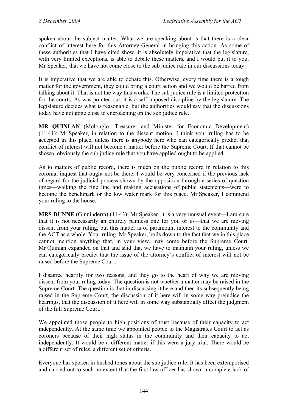spoken about the subject matter. What we are speaking about is that there is a clear conflict of interest here for this Attorney-General in bringing this action. As some of these authorities that I have cited show, it is absolutely imperative that the legislature, with very limited exceptions, is able to debate these matters, and I would put it to you, Mr Speaker, that we have not come close to the sub judice rule in our discussions today.

It is imperative that we are able to debate this. Otherwise, every time there is a tough matter for the government, they could bring a court action and we would be barred from talking about it. That is not the way this works. The sub judice rule is a limited protection for the courts. As was pointed out, it is a self-imposed discipline by the legislature. The legislature decides what is reasonable, but the authorities would say that the discussions today have not gone close to encroaching on the sub judice rule.

**MR QUINLAN** (Molonglo—Treasurer and Minister for Economic Development) (11.41): Mr Speaker, in relation to the dissent motion, I think your ruling has to be accepted in this place, unless there is anybody here who can categorically predict that conflict of interest will not become a matter before the Supreme Court. If that cannot be shown, obviously the sub judice rule that you have applied ought to be applied.

As to matters of public record, there is much on the public record in relation to this coronial inquest that ought not be there. I would be very concerned if the previous lack of regard for the judicial process shown by the opposition through a series of question times—walking the fine line and making accusations of public statements—were to become the benchmark or the low water mark for this place. Mr Speaker, I commend your ruling to the house.

**MRS DUNNE** (Ginninderra) (11.43): Mr Speaker, it is a very unusual event—I am sure that it is not necessarily an entirely painless one for you or us—that we are moving dissent from your ruling, but this matter is of paramount interest to the community and the ACT as a whole. Your ruling, Mr Speaker, boils down to the fact that we in this place cannot mention anything that, in your view, may come before the Supreme Court. Mr Quinlan expanded on that and said that we have to maintain your ruling, unless we can categorically predict that the issue of the attorney's conflict of interest will not be raised before the Supreme Court.

I disagree heartily for two reasons, and they go to the heart of why we are moving dissent from your ruling today. The question is not whether a matter may be raised in the Supreme Court. The question is that in discussing it here and then its subsequently being raised in the Supreme Court, the discussion of it here will in some way prejudice the hearings, that the discussion of it here will in some way substantially affect the judgment of the full Supreme Court.

We appointed those people to high positions of trust because of their capacity to act independently. At the same time we appointed people to the Magistrates Court to act as coroners because of their high status in the community and their capacity to act independently. It would be a different matter if this were a jury trial. There would be a different set of rules, a different set of criteria.

Everyone has spoken in hushed tones about the sub judice rule. It has been extemporised and carried out to such an extent that the first law officer has shown a complete lack of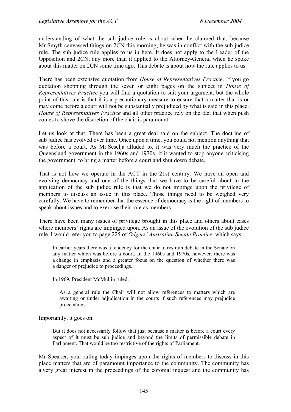understanding of what the sub judice rule is about when he claimed that, because Mr Smyth canvassed things on 2CN this morning, he was in conflict with the sub judice rule. The sub judice rule applies to us in here. It does not apply to the Leader of the Opposition and 2CN, any more than it applied to the Attorney-General when he spoke about this matter on 2CN some time ago. This debate is about how the rule applies to us.

There has been extensive quotation from *House of Representatives Practice*. If you go quotation shopping through the seven or eight pages on the subject in *House of Representatives Practice* you will find a quotation to suit your argument, but the whole point of this rule is that it is a precautionary measure to ensure that a matter that is or may come before a court will not be substantially prejudiced by what is said in this place. *House of Representatives Practice* and all other practice rely on the fact that when push comes to shove the discretion of the chair is paramount.

Let us look at that. There has been a great deal said on the subject. The doctrine of sub judice has evolved over time. Once upon a time, you could not mention anything that was before a court. As Mr Seselja alluded to, it was very much the practice of the Queensland government in the 1960s and 1970s, if it wanted to stop anyone criticising the government, to bring a matter before a court and shut down debate.

That is not how we operate in the ACT in the 21st century. We have an open and evolving democracy and one of the things that we have to be careful about in the application of the sub judice rule is that we do not impinge upon the privilege of members to discuss an issue in this place. Those things need to be weighed very carefully. We have to remember that the essence of democracy is the right of members to speak about issues and to exercise their role as members.

There have been many issues of privilege brought in this place and others about cases where members' rights are impinged upon. As an issue of the evolution of the sub judice rule, I would refer you to page 225 of *Odgers' Australian Senate Practice*, which says:

In earlier years there was a tendency for the chair to restrain debate in the Senate on any matter which was before a court. In the 1960s and 1970s, however, there was a change in emphasis and a greater focus on the question of whether there was a danger of prejudice to proceedings.

In 1969, President McMullin ruled:

As a general rule the Chair will not allow references to matters which are awaiting or under adjudication in the courts if such references may prejudice proceedings.

Importantly, it goes on:

But it does not necessarily follow that just because a matter is before a court every aspect of it must be sub judice and beyond the limits of permissible debate in Parliament. That would be too restrictive of the rights of Parliament.

Mr Speaker, your ruling today impinges upon the rights of members to discuss in this place matters that are of paramount importance to the community. The community has a very great interest in the proceedings of the coronial inquest and the community has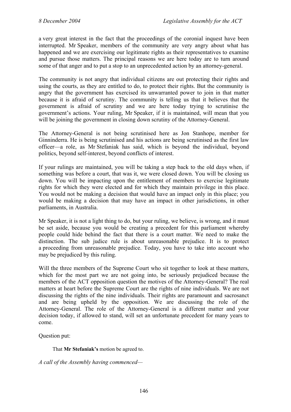a very great interest in the fact that the proceedings of the coronial inquest have been interrupted. Mr Speaker, members of the community are very angry about what has happened and we are exercising our legitimate rights as their representatives to examine and pursue those matters. The principal reasons we are here today are to turn around some of that anger and to put a stop to an unprecedented action by an attorney-general.

The community is not angry that individual citizens are out protecting their rights and using the courts, as they are entitled to do, to protect their rights. But the community is angry that the government has exercised its unwarranted power to join in that matter because it is afraid of scrutiny. The community is telling us that it believes that the government is afraid of scrutiny and we are here today trying to scrutinise the government's actions. Your ruling, Mr Speaker, if it is maintained, will mean that you will be joining the government in closing down scrutiny of the Attorney-General.

The Attorney-General is not being scrutinised here as Jon Stanhope, member for Ginninderra. He is being scrutinised and his actions are being scrutinised as the first law officer—a role, as Mr Stefaniak has said, which is beyond the individual, beyond politics, beyond self-interest, beyond conflicts of interest.

If your rulings are maintained, you will be taking a step back to the old days when, if something was before a court, that was it, we were closed down. You will be closing us down. You will be impacting upon the entitlement of members to exercise legitimate rights for which they were elected and for which they maintain privilege in this place. You would not be making a decision that would have an impact only in this place; you would be making a decision that may have an impact in other jurisdictions, in other parliaments, in Australia.

Mr Speaker, it is not a light thing to do, but your ruling, we believe, is wrong, and it must be set aside, because you would be creating a precedent for this parliament whereby people could hide behind the fact that there is a court matter. We need to make the distinction. The sub judice rule is about unreasonable prejudice. It is to protect a proceeding from unreasonable prejudice. Today, you have to take into account who may be prejudiced by this ruling.

Will the three members of the Supreme Court who sit together to look at these matters, which for the most part we are not going into, be seriously prejudiced because the members of the ACT opposition question the motives of the Attorney-General? The real matters at heart before the Supreme Court are the rights of nine individuals. We are not discussing the rights of the nine individuals. Their rights are paramount and sacrosanct and are being upheld by the opposition. We are discussing the role of the Attorney-General. The role of the Attorney-General is a different matter and your decision today, if allowed to stand, will set an unfortunate precedent for many years to come.

Question put:

That **Mr Stefaniak's** motion be agreed to.

*A call of the Assembly having commenced—*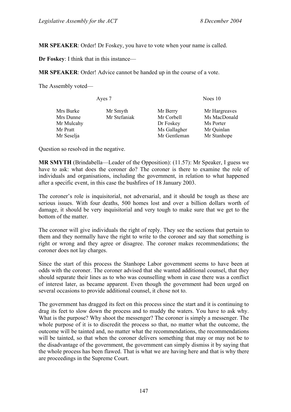**MR SPEAKER**: Order! Dr Foskey, you have to vote when your name is called.

**Dr Foskey**: I think that in this instance—

**MR SPEAKER**: Order! Advice cannot be handed up in the course of a vote.

The Assembly voted—

| Ayes 7     |              | Noes 10      |               |  |
|------------|--------------|--------------|---------------|--|
| Mrs Burke  | Mr Smyth     | Mr Berry     | Mr Hargreaves |  |
| Mrs Dunne  | Mr Stefaniak | Mr Corbell   | Ms MacDonald  |  |
| Mr Mulcahy |              | Dr Foskey    | Ms Porter     |  |
| Mr Pratt   |              | Ms Gallagher | Mr Quinlan    |  |
| Mr Seselja |              | Mr Gentleman | Mr Stanhope   |  |
|            |              |              |               |  |

Question so resolved in the negative.

**MR SMYTH** (Brindabella—Leader of the Opposition): (11.57): Mr Speaker, I guess we have to ask: what does the coroner do? The coroner is there to examine the role of individuals and organisations, including the government, in relation to what happened after a specific event, in this case the bushfires of 18 January 2003.

The coroner's role is inquisitorial, not adversarial, and it should be tough as these are serious issues. With four deaths, 500 homes lost and over a billion dollars worth of damage, it should be very inquisitorial and very tough to make sure that we get to the bottom of the matter.

The coroner will give individuals the right of reply. They see the sections that pertain to them and they normally have the right to write to the coroner and say that something is right or wrong and they agree or disagree. The coroner makes recommendations; the coroner does not lay charges.

Since the start of this process the Stanhope Labor government seems to have been at odds with the coroner. The coroner advised that she wanted additional counsel, that they should separate their lines as to who was counselling whom in case there was a conflict of interest later, as became apparent. Even though the government had been urged on several occasions to provide additional counsel, it chose not to.

The government has dragged its feet on this process since the start and it is continuing to drag its feet to slow down the process and to muddy the waters. You have to ask why. What is the purpose? Why shoot the messenger? The coroner is simply a messenger. The whole purpose of it is to discredit the process so that, no matter what the outcome, the outcome will be tainted and, no matter what the recommendations, the recommendations will be tainted, so that when the coroner delivers something that may or may not be to the disadvantage of the government, the government can simply dismiss it by saying that the whole process has been flawed. That is what we are having here and that is why there are proceedings in the Supreme Court.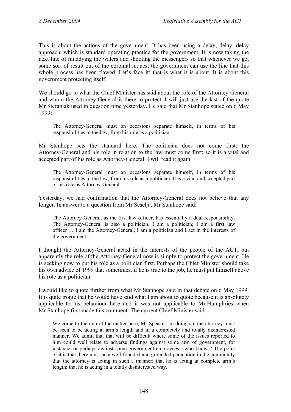This is about the actions of the government. It has been using a delay, delay, delay approach, which is standard operating practice for the government. It is now taking the next line of muddying the waters and shooting the messengers so that whenever we get some sort of result out of the coronial inquest the government can use the line that this whole process has been flawed. Let's face it: that is what it is about. It is about this government protecting itself.

We should go to what the Chief Minister has said about the role of the Attorney-General and whom the Attorney-General is there to protect. I will just use the last of the quote Mr Stefaniak used in question time yesterday. He said that Mr Stanhope stated on 6 May 1999:

The Attorney-General must on occasions separate himself, in terms of his responsibilities to the law, from his role as a politician.

Mr Stanhope sets the standard here. The politician does not come first: the Attorney-General and his role in relation to the law must come first; so it is a vital and accepted part of his role as Attorney-General. I will read it again:

The Attorney-General must on occasions separate himself, in terms of his responsibilities to the law, from his role as a politician. It is a vital and accepted part of his role as Attorney-General.

Yesterday, we had confirmation that the Attorney-General does not believe that any longer. In answer to a question from Mr Seselja, Mr Stanhope said:

The Attorney-General, as the first law officer, has essentially a dual responsibility. The Attorney-General is also a politician. I am a politician; I am a first law officer … I am the Attorney-General, I am a politician and I act in the interests of the government …

I thought the Attorney-General acted in the interests of the people of the ACT, but apparently the role of the Attorney-General now is simply to protect the government. He is seeking now to put his role as a politician first. Perhaps the Chief Minister should take his own advice of 1999 that sometimes, if he is true to the job, he must put himself above his role as a politician.

I would like to quote further from what Mr Stanhope said in that debate on 6 May 1999. It is quite ironic that he would have said what I am about to quote because it is absolutely applicable to his behaviour here and it was not applicable to Mr Humphries when Mr Stanhope first made this comment. The current Chief Minister said:

We come to the nub of the matter here, Mr Speaker. In doing so, the attorney must be seen to be acting at arm's length and in a completely and totally disinterested manner. We admit that that will be difficult where some of the issues reported to him could well relate to adverse findings against some arm of government, for instance, or perhaps against some government employees—who knows? The point of it is that there must be a well-founded and grounded perception in the community that the attorney is acting in such a manner; that he is acting at complete arm's length; that he is acting in a totally disinterested way.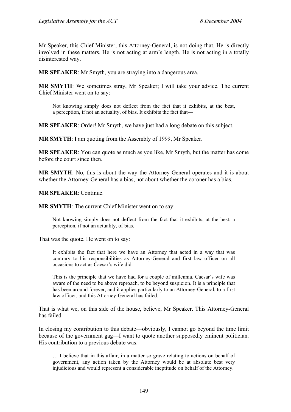Mr Speaker, this Chief Minister, this Attorney-General, is not doing that. He is directly involved in these matters. He is not acting at arm's length. He is not acting in a totally disinterested way.

**MR SPEAKER**: Mr Smyth, you are straying into a dangerous area.

**MR SMYTH**: We sometimes stray, Mr Speaker; I will take your advice. The current Chief Minister went on to say:

Not knowing simply does not deflect from the fact that it exhibits, at the best, a perception, if not an actuality, of bias. It exhibits the fact that—

**MR SPEAKER**: Order! Mr Smyth, we have just had a long debate on this subject.

**MR SMYTH**: I am quoting from the Assembly of 1999, Mr Speaker.

**MR SPEAKER**: You can quote as much as you like, Mr Smyth, but the matter has come before the court since then.

**MR SMYTH**: No, this is about the way the Attorney-General operates and it is about whether the Attorney-General has a bias, not about whether the coroner has a bias.

**MR SPEAKER**: Continue.

**MR SMYTH**: The current Chief Minister went on to say:

Not knowing simply does not deflect from the fact that it exhibits, at the best, a perception, if not an actuality, of bias.

That was the quote. He went on to say:

It exhibits the fact that here we have an Attorney that acted in a way that was contrary to his responsibilities as Attorney-General and first law officer on all occasions to act as Caesar's wife did.

This is the principle that we have had for a couple of millennia. Caesar's wife was aware of the need to be above reproach, to be beyond suspicion. It is a principle that has been around forever, and it applies particularly to an Attorney-General, to a first law officer, and this Attorney-General has failed.

That is what we, on this side of the house, believe, Mr Speaker. This Attorney-General has failed.

In closing my contribution to this debate—obviously, I cannot go beyond the time limit because of the government gag—I want to quote another supposedly eminent politician. His contribution to a previous debate was:

… I believe that in this affair, in a matter so grave relating to actions on behalf of government, any action taken by the Attorney would be at absolute best very injudicious and would represent a considerable ineptitude on behalf of the Attorney.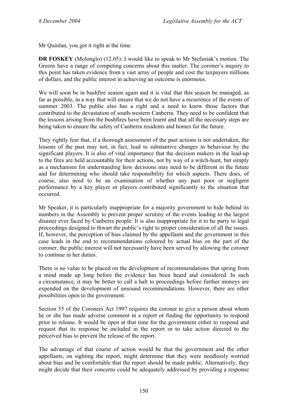Mr Quinlan, you got it right at the time.

**DR FOSKEY** (Molonglo) (12.05): I would like to speak to Mr Stefaniak's motion. The Greens have a range of competing concerns about this matter. The coroner's inquiry to this point has taken evidence from a vast array of people and cost the taxpayers millions of dollars, and the public interest in achieving an outcome is enormous.

We will soon be in bushfire season again and it is vital that this season be managed, as far as possible, in a way that will ensure that we do not have a recurrence of the events of summer 2003. The public also has a right and a need to know those factors that contributed to the devastation of south-western Canberra. They need to be confident that the lessons arising from the bushfires have been learnt and that all the necessary steps are being taken to ensure the safety of Canberra residents and homes for the future.

They rightly fear that, if a thorough assessment of the past actions is not undertaken, the lessons of the past may not, in fact, lead to substantive changes in behaviour by the significant players. It is also of vital importance that the decision makers in the lead-up to the fires are held accountable for their actions, not by way of a witch-hunt, but simply as a mechanism for understanding how decisions may need to be different in the future and for determining who should take responsibility for which aspects. There does, of course, also need to be an examination of whether any past poor or negligent performance by a key player or players contributed significantly to the situation that occurred.

Mr Speaker, it is particularly inappropriate for a majority government to hide behind its numbers in the Assembly to prevent proper scrutiny of the events leading to the largest disaster ever faced by Canberra people. It is also inappropriate for it to be party to legal proceedings designed to thwart the public's right to proper consideration of all the issues. If, however, the perception of bias claimed by the appellants and the government in this case leads in the end to recommendations coloured by actual bias on the part of the coroner, the public interest will not necessarily have been served by allowing the coroner to continue in her duties.

There is no value to be placed on the development of recommendations that spring from a mind made up long before the evidence has been heard and considered. In such a circumstance, it may be better to call a halt to proceedings before further moneys are expended on the development of unsound recommendations. However, there are other possibilities open to the government.

Section 55 of the Coroners Act 1997 requires the coroner to give a person about whom he or she has made adverse comment in a report or finding the opportunity to respond prior to release. It would be open at that time for the government either to respond and request that its response be included in the report or to take action directed to the perceived bias to prevent the release of the report.

The advantage of that course of action would be that the government and the other appellants, on sighting the report, might determine that they were needlessly worried about bias and be comfortable that the report should be made public. Alternatively, they might decide that their concerns could be adequately addressed by providing a response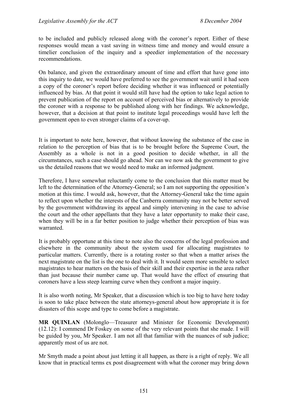to be included and publicly released along with the coroner's report. Either of these responses would mean a vast saving in witness time and money and would ensure a timelier conclusion of the inquiry and a speedier implementation of the necessary recommendations.

On balance, and given the extraordinary amount of time and effort that have gone into this inquiry to date, we would have preferred to see the government wait until it had seen a copy of the coroner's report before deciding whether it was influenced or potentially influenced by bias. At that point it would still have had the option to take legal action to prevent publication of the report on account of perceived bias or alternatively to provide the coroner with a response to be published along with her findings. We acknowledge, however, that a decision at that point to institute legal proceedings would have left the government open to even stronger claims of a cover-up.

It is important to note here, however, that without knowing the substance of the case in relation to the perception of bias that is to be brought before the Supreme Court, the Assembly as a whole is not in a good position to decide whether, in all the circumstances, such a case should go ahead. Nor can we now ask the government to give us the detailed reasons that we would need to make an informed judgment.

Therefore, I have somewhat reluctantly come to the conclusion that this matter must be left to the determination of the Attorney-General; so I am not supporting the opposition's motion at this time. I would ask, however, that the Attorney-General take the time again to reflect upon whether the interests of the Canberra community may not be better served by the government withdrawing its appeal and simply intervening in the case to advise the court and the other appellants that they have a later opportunity to make their case, when they will be in a far better position to judge whether their perception of bias was warranted.

It is probably opportune at this time to note also the concerns of the legal profession and elsewhere in the community about the system used for allocating magistrates to particular matters. Currently, there is a rotating roster so that when a matter arises the next magistrate on the list is the one to deal with it. It would seem more sensible to select magistrates to hear matters on the basis of their skill and their expertise in the area rather than just because their number came up. That would have the effect of ensuring that coroners have a less steep learning curve when they confront a major inquiry.

It is also worth noting, Mr Speaker, that a discussion which is too big to have here today is soon to take place between the state attorneys-general about how appropriate it is for disasters of this scope and type to come before a magistrate.

**MR QUINLAN** (Molonglo—Treasurer and Minister for Economic Development) (12.12): I commend Dr Foskey on some of the very relevant points that she made. I will be guided by you, Mr Speaker. I am not all that familiar with the nuances of sub judice; apparently most of us are not.

Mr Smyth made a point about just letting it all happen, as there is a right of reply. We all know that in practical terms ex post disagreement with what the coroner may bring down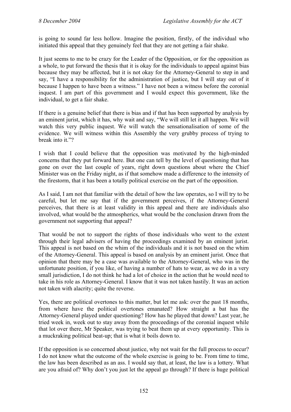is going to sound far less hollow. Imagine the position, firstly, of the individual who initiated this appeal that they genuinely feel that they are not getting a fair shake.

It just seems to me to be crazy for the Leader of the Opposition, or for the opposition as a whole, to put forward the thesis that it is okay for the individuals to appeal against bias because they may be affected, but it is not okay for the Attorney-General to step in and say, "I have a responsibility for the administration of justice, but I will stay out of it because I happen to have been a witness." I have not been a witness before the coronial inquest. I am part of this government and I would expect this government, like the individual, to get a fair shake.

If there is a genuine belief that there is bias and if that has been supported by analysis by an eminent jurist, which it has, why wait and say, "We will still let it all happen. We will watch this very public inquest. We will watch the sensationalisation of some of the evidence. We will witness within this Assembly the very grubby process of trying to break into it."?

I wish that I could believe that the opposition was motivated by the high-minded concerns that they put forward here. But one can tell by the level of questioning that has gone on over the last couple of years, right down questions about where the Chief Minister was on the Friday night, as if that somehow made a difference to the intensity of the firestorm, that it has been a totally political exercise on the part of the opposition.

As I said, I am not that familiar with the detail of how the law operates, so I will try to be careful, but let me say that if the government perceives, if the Attorney-General perceives, that there is at least validity in this appeal and there are individuals also involved, what would be the atmospherics, what would be the conclusion drawn from the government not supporting that appeal?

That would be not to support the rights of those individuals who went to the extent through their legal advisers of having the proceedings examined by an eminent jurist. This appeal is not based on the whim of the individuals and it is not based on the whim of the Attorney-General. This appeal is based on analysis by an eminent jurist. Once that opinion that there may be a case was available to the Attorney-General, who was in the unfortunate position, if you like, of having a number of hats to wear, as we do in a very small jurisdiction, I do not think he had a lot of choice in the action that he would need to take in his role as Attorney-General. I know that it was not taken hastily. It was an action not taken with alacrity; quite the reverse.

Yes, there are political overtones to this matter, but let me ask: over the past 18 months, from where have the political overtones emanated? How straight a bat has the Attorney-General played under questioning? How has he played that down? Last year, he tried week in, week out to stay away from the proceedings of the coronial inquest while that lot over there, Mr Speaker, was trying to beat them up at every opportunity. This is a muckraking political beat-up; that is what it boils down to.

If the opposition is so concerned about justice, why not wait for the full process to occur? I do not know what the outcome of the whole exercise is going to be. From time to time, the law has been described as an ass. I would say that, at least, the law is a lottery. What are you afraid of? Why don't you just let the appeal go through? If there is huge political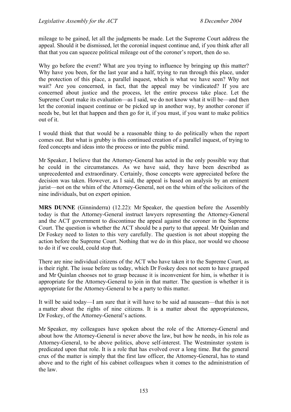mileage to be gained, let all the judgments be made. Let the Supreme Court address the appeal. Should it be dismissed, let the coronial inquest continue and, if you think after all that that you can squeeze political mileage out of the coroner's report, then do so.

Why go before the event? What are you trying to influence by bringing up this matter? Why have you been, for the last year and a half, trying to run through this place, under the protection of this place, a parallel inquest, which is what we have seen? Why not wait? Are you concerned, in fact, that the appeal may be vindicated? If you are concerned about justice and the process, let the entire process take place. Let the Supreme Court make its evaluation—as I said, we do not know what it will be—and then let the coronial inquest continue or be picked up in another way, by another coroner if needs be, but let that happen and then go for it, if you must, if you want to make politics out of it.

I would think that that would be a reasonable thing to do politically when the report comes out. But what is grubby is this continued creation of a parallel inquest, of trying to feed concepts and ideas into the process or into the public mind.

Mr Speaker, I believe that the Attorney-General has acted in the only possible way that he could in the circumstances. As we have said, they have been described as unprecedented and extraordinary. Certainly, those concepts were appreciated before the decision was taken. However, as I said, the appeal is based on analysis by an eminent jurist—not on the whim of the Attorney-General, not on the whim of the solicitors of the nine individuals, but on expert opinion.

**MRS DUNNE** (Ginninderra) (12.22): Mr Speaker, the question before the Assembly today is that the Attorney-General instruct lawyers representing the Attorney-General and the ACT government to discontinue the appeal against the coroner in the Supreme Court. The question is whether the ACT should be a party to that appeal. Mr Quinlan and Dr Foskey need to listen to this very carefully. The question is not about stopping the action before the Supreme Court. Nothing that we do in this place, nor would we choose to do it if we could, could stop that.

There are nine individual citizens of the ACT who have taken it to the Supreme Court, as is their right. The issue before us today, which Dr Foskey does not seem to have grasped and Mr Quinlan chooses not to grasp because it is inconvenient for him, is whether it is appropriate for the Attorney-General to join in that matter. The question is whether it is appropriate for the Attorney-General to be a party to this matter.

It will be said today—I am sure that it will have to be said ad nauseam—that this is not a matter about the rights of nine citizens. It is a matter about the appropriateness, Dr Foskey, of the Attorney-General's actions.

Mr Speaker, my colleagues have spoken about the role of the Attorney-General and about how the Attorney-General is never above the law, but how he needs, in his role as Attorney-General, to be above politics, above self-interest. The Westminster system is predicated upon that role. It is a role that has evolved over a long time. But the general crux of the matter is simply that the first law officer, the Attorney-General, has to stand above and to the right of his cabinet colleagues when it comes to the administration of the law.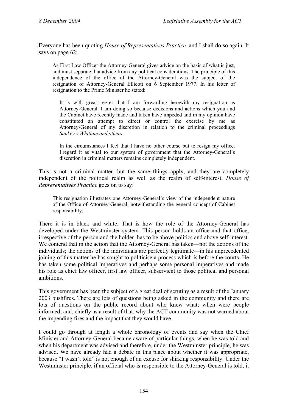Everyone has been quoting *House of Representatives Practice*, and I shall do so again. It says on page 62:

As First Law Officer the Attorney-General gives advice on the basis of what is just, and must separate that advice from any political considerations. The principle of this independence of the office of the Attorney-General was the subject of the resignation of Attorney-General Ellicott on 6 September 1977. In his letter of resignation to the Prime Minister he stated:

It is with great regret that I am forwarding herewith my resignation as Attorney-General. I am doing so because decisions and actions which you and the Cabinet have recently made and taken have impeded and in my opinion have constituted an attempt to direct or control the exercise by me as Attorney-General of my discretion in relation to the criminal proceedings *Sankey v Whitlam and others*.

In the circumstances I feel that I have no other course but to resign my office. I regard it as vital to our system of government that the Attorney-General's discretion in criminal matters remains completely independent.

This is not a criminal matter, but the same things apply, and they are completely independent of the political realm as well as the realm of self-interest. *House of Representatives Practice* goes on to say:

This resignation illustrates one Attorney-General's view of the independent nature of the Office of Attorney-General, notwithstanding the general concept of Cabinet responsibility.

There it is in black and white. That is how the role of the Attorney-General has developed under the Westminster system. This person holds an office and that office, irrespective of the person and the holder, has to be above politics and above self-interest. We contend that in the action that the Attorney-General has taken—not the actions of the individuals; the actions of the individuals are perfectly legitimate—in his unprecedented joining of this matter he has sought to politicise a process which is before the courts. He has taken some political imperatives and perhaps some personal imperatives and made his role as chief law officer, first law officer, subservient to those political and personal ambitions.

This government has been the subject of a great deal of scrutiny as a result of the January 2003 bushfires. There are lots of questions being asked in the community and there are lots of questions on the public record about who knew what; when were people informed; and, chiefly as a result of that, why the ACT community was not warned about the impending fires and the impact that they would have.

I could go through at length a whole chronology of events and say when the Chief Minister and Attorney-General became aware of particular things, when he was told and when his department was advised and therefore, under the Westminster principle, he was advised. We have already had a debate in this place about whether it was appropriate, because "I wasn't told" is not enough of an excuse for shirking responsibility. Under the Westminster principle, if an official who is responsible to the Attorney-General is told, it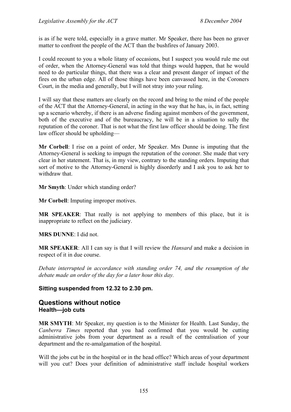is as if he were told, especially in a grave matter. Mr Speaker, there has been no graver matter to confront the people of the ACT than the bushfires of January 2003.

I could recount to you a whole litany of occasions, but I suspect you would rule me out of order, when the Attorney-General was told that things would happen, that he would need to do particular things, that there was a clear and present danger of impact of the fires on the urban edge. All of those things have been canvassed here, in the Coroners Court, in the media and generally, but I will not stray into your ruling.

I will say that these matters are clearly on the record and bring to the mind of the people of the ACT that the Attorney-General, in acting in the way that he has, is, in fact, setting up a scenario whereby, if there is an adverse finding against members of the government, both of the executive and of the bureaucracy, he will be in a situation to sully the reputation of the coroner. That is not what the first law officer should be doing. The first law officer should be upholding—

**Mr Corbell**: I rise on a point of order, Mr Speaker. Mrs Dunne is imputing that the Attorney-General is seeking to impugn the reputation of the coroner. She made that very clear in her statement. That is, in my view, contrary to the standing orders. Imputing that sort of motive to the Attorney-General is highly disorderly and I ask you to ask her to withdraw that.

**Mr Smyth**: Under which standing order?

**Mr Corbell**: Imputing improper motives.

**MR SPEAKER**: That really is not applying to members of this place, but it is inappropriate to reflect on the judiciary.

**MRS DUNNE**: I did not.

**MR SPEAKER**: All I can say is that I will review the *Hansard* and make a decision in respect of it in due course.

*Debate interrupted in accordance with standing order 74, and the resumption of the debate made an order of the day for a later hour this day.* 

# **Sitting suspended from 12.32 to 2.30 pm.**

# <span id="page-32-0"></span>**Questions without notice Health—job cuts**

**MR SMYTH**: Mr Speaker, my question is to the Minister for Health. Last Sunday, the *Canberra Times* reported that you had confirmed that you would be cutting administrative jobs from your department as a result of the centralisation of your department and the re-amalgamation of the hospital.

Will the jobs cut be in the hospital or in the head office? Which areas of your department will you cut? Does your definition of administrative staff include hospital workers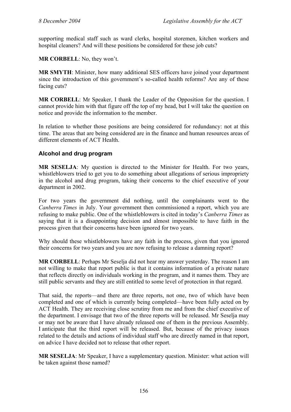supporting medical staff such as ward clerks, hospital storemen, kitchen workers and hospital cleaners? And will these positions be considered for these job cuts?

**MR CORBELL**: No, they won't.

**MR SMYTH**: Minister, how many additional SES officers have joined your department since the introduction of this government's so-called health reforms? Are any of these facing cuts?

**MR CORBELL:** Mr Speaker, I thank the Leader of the Opposition for the question. I cannot provide him with that figure off the top of my head, but I will take the question on notice and provide the information to the member.

In relation to whether those positions are being considered for redundancy: not at this time. The areas that are being considered are in the finance and human resources areas of different elements of ACT Health.

# <span id="page-33-0"></span>**Alcohol and drug program**

**MR SESELJA**: My question is directed to the Minister for Health. For two years, whistleblowers tried to get you to do something about allegations of serious impropriety in the alcohol and drug program, taking their concerns to the chief executive of your department in 2002.

For two years the government did nothing, until the complainants went to the *Canberra Times* in July. Your government then commissioned a report, which you are refusing to make public. One of the whistleblowers is cited in today's *Canberra Times* as saying that it is a disappointing decision and almost impossible to have faith in the process given that their concerns have been ignored for two years.

Why should these whistleblowers have any faith in the process, given that you ignored their concerns for two years and you are now refusing to release a damning report?

**MR CORBELL**: Perhaps Mr Seselja did not hear my answer yesterday. The reason I am not willing to make that report public is that it contains information of a private nature that reflects directly on individuals working in the program, and it names them. They are still public servants and they are still entitled to some level of protection in that regard.

That said, the reports—and there are three reports, not one, two of which have been completed and one of which is currently being completed—have been fully acted on by ACT Health. They are receiving close scrutiny from me and from the chief executive of the department. I envisage that two of the three reports will be released. Mr Seselja may or may not be aware that I have already released one of them in the previous Assembly. I anticipate that the third report will be released. But, because of the privacy issues related to the details and actions of individual staff who are directly named in that report, on advice I have decided not to release that other report.

**MR SESELJA**: Mr Speaker, I have a supplementary question. Minister: what action will be taken against those named?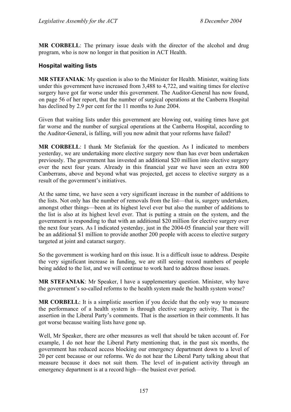**MR CORBELL**: The primary issue deals with the director of the alcohol and drug program, who is now no longer in that position in ACT Health.

# <span id="page-34-0"></span>**Hospital waiting lists**

**MR STEFANIAK**: My question is also to the Minister for Health. Minister, waiting lists under this government have increased from 3,488 to 4,722, and waiting times for elective surgery have got far worse under this government. The Auditor-General has now found, on page 56 of her report, that the number of surgical operations at the Canberra Hospital has declined by 2.9 per cent for the 11 months to June 2004.

Given that waiting lists under this government are blowing out, waiting times have got far worse and the number of surgical operations at the Canberra Hospital, according to the Auditor-General, is falling, will you now admit that your reforms have failed?

**MR CORBELL**: I thank Mr Stefaniak for the question. As I indicated to members yesterday, we are undertaking more elective surgery now than has ever been undertaken previously. The government has invested an additional \$20 million into elective surgery over the next four years. Already in this financial year we have seen an extra 800 Canberrans, above and beyond what was projected, get access to elective surgery as a result of the government's initiatives.

At the same time, we have seen a very significant increase in the number of additions to the lists. Not only has the number of removals from the list—that is, surgery undertaken, amongst other things—been at its highest level ever but also the number of additions to the list is also at its highest level ever. That is putting a strain on the system, and the government is responding to that with an additional \$20 million for elective surgery over the next four years. As I indicated yesterday, just in the 2004-05 financial year there will be an additional \$1 million to provide another 200 people with access to elective surgery targeted at joint and cataract surgery.

So the government is working hard on this issue. It is a difficult issue to address. Despite the very significant increase in funding, we are still seeing record numbers of people being added to the list, and we will continue to work hard to address those issues.

**MR STEFANIAK**: Mr Speaker, I have a supplementary question. Minister, why have the government's so-called reforms to the health system made the health system worse?

**MR CORBELL**: It is a simplistic assertion if you decide that the only way to measure the performance of a health system is through elective surgery activity. That is the assertion in the Liberal Party's comments. That is the assertion in their comments. It has got worse because waiting lists have gone up.

Well, Mr Speaker, there are other measures as well that should be taken account of. For example, I do not hear the Liberal Party mentioning that, in the past six months, the government has reduced access blocking our emergency department down to a level of 20 per cent because or our reforms. We do not hear the Liberal Party talking about that measure because it does not suit them. The level of in-patient activity through an emergency department is at a record high—the busiest ever period.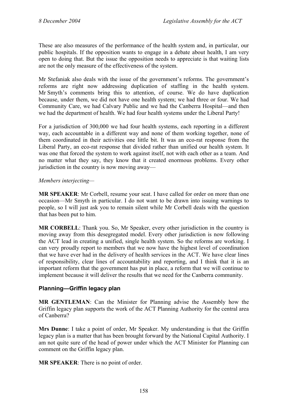These are also measures of the performance of the health system and, in particular, our public hospitals. If the opposition wants to engage in a debate about health, I am very open to doing that. But the issue the opposition needs to appreciate is that waiting lists are not the only measure of the effectiveness of the system.

Mr Stefaniak also deals with the issue of the government's reforms. The government's reforms are right now addressing duplication of staffing in the health system. Mr Smyth's comments bring this to attention, of course. We do have duplication because, under them, we did not have one health system; we had three or four. We had Community Care, we had Calvary Public and we had the Canberra Hospital—and then we had the department of health. We had four health systems under the Liberal Party!

For a jurisdiction of 300,000 we had four health systems, each reporting in a different way, each accountable in a different way and none of them working together, none of them coordinated in their activities one little bit. It was an eco-rat response from the Liberal Party, an eco-rat response that divided rather than unified our health system. It was one that forced the system to work against itself, not with each other as a team. And no matter what they say, they know that it created enormous problems. Every other jurisdiction in the country is now moving away—

#### *Members interjecting—*

**MR SPEAKER**: Mr Corbell, resume your seat. I have called for order on more than one occasion—Mr Smyth in particular. I do not want to be drawn into issuing warnings to people, so I will just ask you to remain silent while Mr Corbell deals with the question that has been put to him.

**MR CORBELL**: Thank you. So, Mr Speaker, every other jurisdiction in the country is moving away from this desegregated model. Every other jurisdiction is now following the ACT lead in creating a unified, single health system. So the reforms are working. I can very proudly report to members that we now have the highest level of coordination that we have ever had in the delivery of health services in the ACT. We have clear lines of responsibility, clear lines of accountability and reporting, and I think that it is an important reform that the government has put in place, a reform that we will continue to implement because it will deliver the results that we need for the Canberra community.

# <span id="page-35-0"></span>**Planning—Griffin legacy plan**

**MR GENTLEMAN**: Can the Minister for Planning advise the Assembly how the Griffin legacy plan supports the work of the ACT Planning Authority for the central area of Canberra?

**Mrs Dunne**: I take a point of order, Mr Speaker. My understanding is that the Griffin legacy plan is a matter that has been brought forward by the National Capital Authority. I am not quite sure of the head of power under which the ACT Minister for Planning can comment on the Griffin legacy plan.

**MR SPEAKER**: There is no point of order.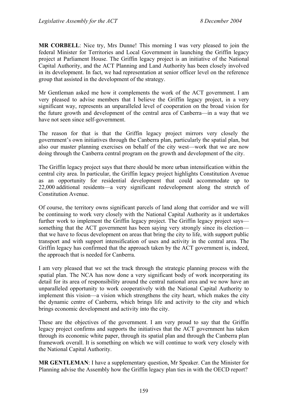**MR CORBELL**: Nice try, Mrs Dunne! This morning I was very pleased to join the federal Minister for Territories and Local Government in launching the Griffin legacy project at Parliament House. The Griffin legacy project is an initiative of the National Capital Authority, and the ACT Planning and Land Authority has been closely involved in its development. In fact, we had representation at senior officer level on the reference group that assisted in the development of the strategy.

Mr Gentleman asked me how it complements the work of the ACT government. I am very pleased to advise members that I believe the Griffin legacy project, in a very significant way, represents an unparalleled level of cooperation on the broad vision for the future growth and development of the central area of Canberra—in a way that we have not seen since self-government.

The reason for that is that the Griffin legacy project mirrors very closely the government's own initiatives through the Canberra plan, particularly the spatial plan, but also our master planning exercises on behalf of the city west—work that we are now doing through the Canberra central program on the growth and development of the city.

The Griffin legacy project says that there should be more urban intensification within the central city area. In particular, the Griffin legacy project highlights Constitution Avenue as an opportunity for residential development that could accommodate up to 22,000 additional residents—a very significant redevelopment along the stretch of Constitution Avenue.

Of course, the territory owns significant parcels of land along that corridor and we will be continuing to work very closely with the National Capital Authority as it undertakes further work to implement the Griffin legacy project. The Griffin legacy project says something that the ACT government has been saying very strongly since its election that we have to focus development on areas that bring the city to life, with support public transport and with support intensification of uses and activity in the central area. The Griffin legacy has confirmed that the approach taken by the ACT government is, indeed, the approach that is needed for Canberra.

I am very pleased that we set the track through the strategic planning process with the spatial plan. The NCA has now done a very significant body of work incorporating its detail for its area of responsibility around the central national area and we now have an unparalleled opportunity to work cooperatively with the National Capital Authority to implement this vision—a vision which strengthens the city heart, which makes the city the dynamic centre of Canberra, which brings life and activity to the city and which brings economic development and activity into the city.

These are the objectives of the government. I am very proud to say that the Griffin legacy project confirms and supports the initiatives that the ACT government has taken through its economic white paper, through its spatial plan and through the Canberra plan framework overall. It is something on which we will continue to work very closely with the National Capital Authority.

**MR GENTLEMAN**: I have a supplementary question, Mr Speaker. Can the Minister for Planning advise the Assembly how the Griffin legacy plan ties in with the OECD report?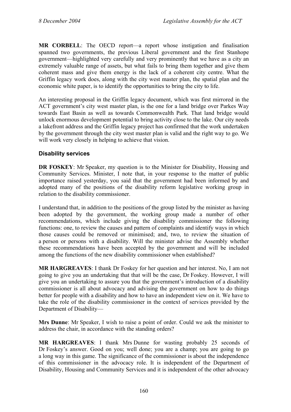**MR CORBELL**: The OECD report—a report whose instigation and finalisation spanned two governments, the previous Liberal government and the first Stanhope government—highlighted very carefully and very prominently that we have as a city an extremely valuable range of assets, but what fails to bring them together and give them coherent mass and give them energy is the lack of a coherent city centre. What the Griffin legacy work does, along with the city west master plan, the spatial plan and the economic white paper, is to identify the opportunities to bring the city to life.

An interesting proposal in the Griffin legacy document, which was first mirrored in the ACT government's city west master plan, is the one for a land bridge over Parkes Way towards East Basin as well as towards Commonwealth Park. That land bridge would unlock enormous development potential to bring activity close to the lake. Our city needs a lakefront address and the Griffin legacy project has confirmed that the work undertaken by the government through the city west master plan is valid and the right way to go. We will work very closely in helping to achieve that vision.

### **Disability services**

**DR FOSKEY:** Mr Speaker, my question is to the Minister for Disability, Housing and Community Services. Minister, I note that, in your response to the matter of public importance raised yesterday, you said that the government had been informed by and adopted many of the positions of the disability reform legislative working group in relation to the disability commissioner.

I understand that, in addition to the positions of the group listed by the minister as having been adopted by the government, the working group made a number of other recommendations, which include giving the disability commissioner the following functions: one, to review the causes and pattern of complaints and identify ways in which those causes could be removed or minimised; and, two, to review the situation of a person or persons with a disability. Will the minister advise the Assembly whether these recommendations have been accepted by the government and will be included among the functions of the new disability commissioner when established?

**MR HARGREAVES**: I thank Dr Foskey for her question and her interest. No, I am not going to give you an undertaking that that will be the case, Dr Foskey. However, I will give you an undertaking to assure you that the government's introduction of a disability commissioner is all about advocacy and advising the government on how to do things better for people with a disability and how to have an independent view on it. We have to take the role of the disability commissioner in the context of services provided by the Department of Disability—

**Mrs Dunne**: Mr Speaker, I wish to raise a point of order. Could we ask the minister to address the chair, in accordance with the standing orders?

**MR HARGREAVES**: I thank Mrs Dunne for wasting probably 25 seconds of Dr Foskey's answer. Good on you; well done; you are a champ; you are going to go a long way in this game. The significance of the commissioner is about the independence of this commissioner in the advocacy role. It is independent of the Department of Disability, Housing and Community Services and it is independent of the other advocacy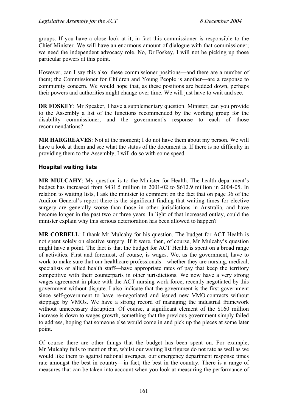groups. If you have a close look at it, in fact this commissioner is responsible to the Chief Minister. We will have an enormous amount of dialogue with that commissioner; we need the independent advocacy role. No, Dr Foskey, I will not be picking up those particular powers at this point.

However, can I say this also: these commissioner positions—and there are a number of them; the Commissioner for Children and Young People is another—are a response to community concern. We would hope that, as these positions are bedded down, perhaps their powers and authorities might change over time. We will just have to wait and see.

**DR FOSKEY**: Mr Speaker, I have a supplementary question. Minister, can you provide to the Assembly a list of the functions recommended by the working group for the disability commissioner, and the government's response to each of those recommendations?

**MR HARGREAVES**: Not at the moment; I do not have them about my person. We will have a look at them and see what the status of the document is. If there is no difficulty in providing them to the Assembly, I will do so with some speed.

### **Hospital waiting lists**

**MR MULCAHY**: My question is to the Minister for Health. The health department's budget has increased from \$431.5 million in 2001-02 to \$612.9 million in 2004-05. In relation to waiting lists, I ask the minister to comment on the fact that on page 36 of the Auditor-General's report there is the significant finding that waiting times for elective surgery are generally worse than those in other jurisdictions in Australia, and have become longer in the past two or three years. In light of that increased outlay, could the minister explain why this serious deterioration has been allowed to happen?

**MR CORBELL**: I thank Mr Mulcahy for his question. The budget for ACT Health is not spent solely on elective surgery. If it were, then, of course, Mr Mulcahy's question might have a point. The fact is that the budget for ACT Health is spent on a broad range of activities. First and foremost, of course, is wages. We, as the government, have to work to make sure that our healthcare professionals—whether they are nursing, medical, specialists or allied health staff—have appropriate rates of pay that keep the territory competitive with their counterparts in other jurisdictions. We now have a very strong wages agreement in place with the ACT nursing work force, recently negotiated by this government without dispute. I also indicate that the government is the first government since self-government to have re-negotiated and issued new VMO contracts without stoppage by VMOs. We have a strong record of managing the industrial framework without unnecessary disruption. Of course, a significant element of the \$160 million increase is down to wages growth, something that the previous government simply failed to address, hoping that someone else would come in and pick up the pieces at some later point.

Of course there are other things that the budget has been spent on. For example, Mr Mulcahy fails to mention that, whilst our waiting list figures do not rate as well as we would like them to against national averages, our emergency department response times rate amongst the best in country—in fact, the best in the country. There is a range of measures that can be taken into account when you look at measuring the performance of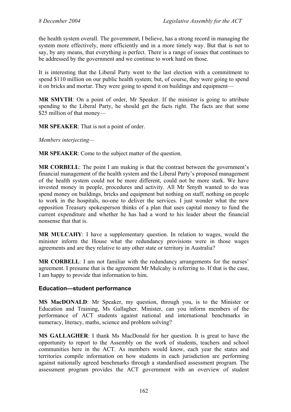the health system overall. The government, I believe, has a strong record in managing the system more effectively, more efficiently and in a more timely way. But that is not to say, by any means, that everything is perfect. There is a range of issues that continues to be addressed by the government and we continue to work hard on those.

It is interesting that the Liberal Party went to the last election with a commitment to spend \$110 million on our public health system; but, of course, they were going to spend it on bricks and mortar. They were going to spend it on buildings and equipment—

**MR SMYTH**: On a point of order, Mr Speaker. If the minister is going to attribute spending to the Liberal Party, he should get the facts right. The facts are that some \$25 million of that money—

**MR SPEAKER**: That is not a point of order.

*Members interjecting—*

**MR SPEAKER**: Come to the subject matter of the question.

**MR CORBELL:** The point I am making is that the contrast between the government's financial management of the health system and the Liberal Party's proposed management of the health system could not be more different, could not be more stark. We have invested money in people, procedures and activity. All Mr Smyth wanted to do was spend money on buildings, bricks and equipment but nothing on staff, nothing on people to work in the hospitals, no-one to deliver the services. I just wonder what the new opposition Treasury spokesperson thinks of a plan that uses capital money to fund the current expenditure and whether he has had a word to his leader about the financial nonsense that that is.

**MR MULCAHY**: I have a supplementary question. In relation to wages, would the minister inform the House what the redundancy provisions were in those wages agreements and are they relative to any other state or territory in Australia?

**MR CORBELL**: I am not familiar with the redundancy arrangements for the nurses' agreement. I presume that is the agreement Mr Mulcahy is referring to. If that is the case, I am happy to provide that information to him.

#### **Education—student performance**

**MS MacDONALD**: Mr Speaker, my question, through you, is to the Minister or Education and Training, Ms Gallagher. Minister, can you inform members of the performance of ACT students against national and international benchmarks in numeracy, literacy, maths, science and problem solving?

**MS GALLAGHER**: I thank Ms MacDonald for her question. It is great to have the opportunity to report to the Assembly on the work of students, teachers and school communities here in the ACT. As members would know, each year the states and territories compile information on how students in each jurisdiction are performing against nationally agreed benchmarks through a standardised assessment program. The assessment program provides the ACT government with an overview of student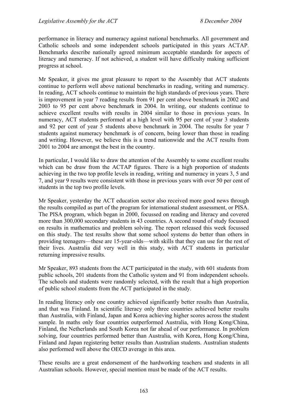performance in literacy and numeracy against national benchmarks. All government and Catholic schools and some independent schools participated in this years ACTAP. Benchmarks describe nationally agreed minimum acceptable standards for aspects of literacy and numeracy. If not achieved, a student will have difficulty making sufficient progress at school.

Mr Speaker, it gives me great pleasure to report to the Assembly that ACT students continue to perform well above national benchmarks in reading, writing and numeracy. In reading, ACT schools continue to maintain the high standards of previous years. There is improvement in year 7 reading results from 91 per cent above benchmark in 2002 and 2003 to 95 per cent above benchmark in 2004. In writing, our students continue to achieve excellent results with results in 2004 similar to those in previous years. In numeracy, ACT students performed at a high level with 95 per cent of year 3 students and 92 per cent of year 5 students above benchmark in 2004. The results for year 7 students against numeracy benchmark is of concern, being lower than those in reading and writing. However, we believe this is a trend nationwide and the ACT results from 2001 to 2004 are amongst the best in the country.

In particular, I would like to draw the attention of the Assembly to some excellent results which can be draw from the ACTAP figures. There is a high proportion of students achieving in the two top profile levels in reading, writing and numeracy in years 3, 5 and 7, and year 9 results were consistent with those in previous years with over 50 per cent of students in the top two profile levels.

Mr Speaker, yesterday the ACT education sector also received more good news through the results compiled as part of the program for international student assessment, or PISA. The PISA program, which began in 2000, focussed on reading and literacy and covered more than 300,000 secondary students in 43 countries. A second round of study focussed on results in mathematics and problem solving. The report released this week focussed on this study. The test results show that some school systems do better than others in providing teenagers—these are 15-year-olds—with skills that they can use for the rest of their lives. Australia did very well in this study, with ACT students in particular returning impressive results.

Mr Speaker, 893 students from the ACT participated in the study, with 601 students from public schools, 201 students from the Catholic system and 91 from independent schools. The schools and students were randomly selected, with the result that a high proportion of public school students from the ACT participated in the study.

In reading literacy only one country achieved significantly better results than Australia, and that was Finland. In scientific literacy only three countries achieved better results than Australia, with Finland, Japan and Korea achieving higher scores across the student sample. In maths only four countries outperformed Australia, with Hong Kong/China, Finland, the Netherlands and South Korea not far ahead of our performance. In problem solving, four countries performed better than Australia, with Korea, Hong Kong/China, Finland and Japan registering better results than Australian students. Australian students also performed well above the OECD average in this area.

These results are a great endorsement of the hardworking teachers and students in all Australian schools. However, special mention must be made of the ACT results.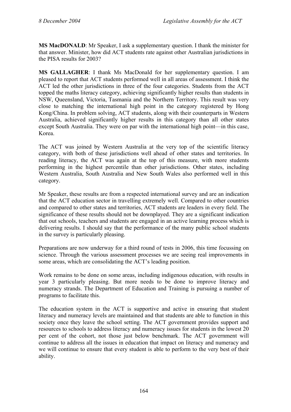**MS MacDONALD**: Mr Speaker, I ask a supplementary question. I thank the minister for that answer. Minister, how did ACT students rate against other Australian jurisdictions in the PISA results for 2003?

**MS GALLAGHER**: I thank Ms MacDonald for her supplementary question. I am pleased to report that ACT students performed well in all areas of assessment. I think the ACT led the other jurisdictions in three of the four categories. Students from the ACT topped the maths literacy category, achieving significantly higher results than students in NSW, Queensland, Victoria, Tasmania and the Northern Territory. This result was very close to matching the international high point in the category registered by Hong Kong/China. In problem solving, ACT students, along with their counterparts in Western Australia, achieved significantly higher results in this category than all other states except South Australia. They were on par with the international high point—in this case, Korea.

The ACT was joined by Western Australia at the very top of the scientific literacy category, with both of these jurisdictions well ahead of other states and territories. In reading literacy, the ACT was again at the top of this measure, with more students performing in the highest percentile than other jurisdictions. Other states, including Western Australia, South Australia and New South Wales also performed well in this category.

Mr Speaker, these results are from a respected international survey and are an indication that the ACT education sector in travelling extremely well. Compared to other countries and compared to other states and territories, ACT students are leaders in every field. The significance of these results should not be downplayed. They are a significant indication that out schools, teachers and students are engaged in an active learning process which is delivering results. I should say that the performance of the many public school students in the survey is particularly pleasing.

Preparations are now underway for a third round of tests in 2006, this time focussing on science. Through the various assessment processes we are seeing real improvements in some areas, which are consolidating the ACT's leading position.

Work remains to be done on some areas, including indigenous education, with results in year 3 particularly pleasing. But more needs to be done to improve literacy and numeracy strands. The Department of Education and Training is pursuing a number of programs to facilitate this.

The education system in the ACT is supportive and active in ensuring that student literacy and numeracy levels are maintained and that students are able to function in this society once they leave the school setting. The ACT government provides support and resources to schools to address literacy and numeracy issues for students in the lowest 20 per cent of the cohort, not those just below benchmark. The ACT government will continue to address all the issues in education that impact on literacy and numeracy and we will continue to ensure that every student is able to perform to the very best of their ability.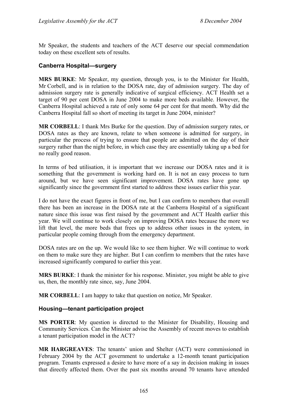Mr Speaker, the students and teachers of the ACT deserve our special commendation today on these excellent sets of results.

### **Canberra Hospital—surgery**

**MRS BURKE**: Mr Speaker, my question, through you, is to the Minister for Health, Mr Corbell, and is in relation to the DOSA rate, day of admission surgery. The day of admission surgery rate is generally indicative of surgical efficiency. ACT Health set a target of 90 per cent DOSA in June 2004 to make more beds available. However, the Canberra Hospital achieved a rate of only some 64 per cent for that month. Why did the Canberra Hospital fall so short of meeting its target in June 2004, minister?

**MR CORBELL**: I thank Mrs Burke for the question. Day of admission surgery rates, or DOSA rates as they are known, relate to when someone is admitted for surgery, in particular the process of trying to ensure that people are admitted on the day of their surgery rather than the night before, in which case they are essentially taking up a bed for no really good reason.

In terms of bed utilisation, it is important that we increase our DOSA rates and it is something that the government is working hard on. It is not an easy process to turn around, but we have seen significant improvement. DOSA rates have gone up significantly since the government first started to address these issues earlier this year.

I do not have the exact figures in front of me, but I can confirm to members that overall there has been an increase in the DOSA rate at the Canberra Hospital of a significant nature since this issue was first raised by the government and ACT Health earlier this year. We will continue to work closely on improving DOSA rates because the more we lift that level, the more beds that frees up to address other issues in the system, in particular people coming through from the emergency department.

DOSA rates are on the up. We would like to see them higher. We will continue to work on them to make sure they are higher. But I can confirm to members that the rates have increased significantly compared to earlier this year.

**MRS BURKE**: I thank the minister for his response. Minister, you might be able to give us, then, the monthly rate since, say, June 2004.

**MR CORBELL**: I am happy to take that question on notice, Mr Speaker.

#### **Housing—tenant participation project**

**MS PORTER**: My question is directed to the Minister for Disability, Housing and Community Services. Can the Minister advise the Assembly of recent moves to establish a tenant participation model in the ACT?

**MR HARGREAVES**: The tenants' union and Shelter (ACT) were commissioned in February 2004 by the ACT government to undertake a 12-month tenant participation program. Tenants expressed a desire to have more of a say in decision making in issues that directly affected them. Over the past six months around 70 tenants have attended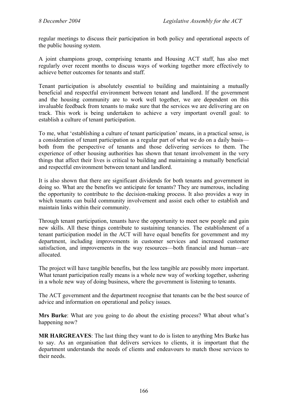regular meetings to discuss their participation in both policy and operational aspects of the public housing system.

A joint champions group, comprising tenants and Housing ACT staff, has also met regularly over recent months to discuss ways of working together more effectively to achieve better outcomes for tenants and staff.

Tenant participation is absolutely essential to building and maintaining a mutually beneficial and respectful environment between tenant and landlord. If the government and the housing community are to work well together, we are dependent on this invaluable feedback from tenants to make sure that the services we are delivering are on track. This work is being undertaken to achieve a very important overall goal: to establish a culture of tenant participation.

To me, what 'establishing a culture of tenant participation' means, in a practical sense, is a consideration of tenant participation as a regular part of what we do on a daily basis both from the perspective of tenants and those delivering services to them. The experience of other housing authorities has shown that tenant involvement in the very things that affect their lives is critical to building and maintaining a mutually beneficial and respectful environment between tenant and landlord.

It is also shown that there are significant dividends for both tenants and government in doing so. What are the benefits we anticipate for tenants? They are numerous, including the opportunity to contribute to the decision-making process. It also provides a way in which tenants can build community involvement and assist each other to establish and maintain links within their community.

Through tenant participation, tenants have the opportunity to meet new people and gain new skills. All these things contribute to sustaining tenancies. The establishment of a tenant participation model in the ACT will have equal benefits for government and my department, including improvements in customer services and increased customer satisfaction, and improvements in the way resources—both financial and human—are allocated.

The project will have tangible benefits, but the less tangible are possibly more important. What tenant participation really means is a whole new way of working together, ushering in a whole new way of doing business, where the government is listening to tenants.

The ACT government and the department recognise that tenants can be the best source of advice and information on operational and policy issues.

**Mrs Burke**: What are you going to do about the existing process? What about what's happening now?

**MR HARGREAVES**: The last thing they want to do is listen to anything Mrs Burke has to say. As an organisation that delivers services to clients, it is important that the department understands the needs of clients and endeavours to match those services to their needs.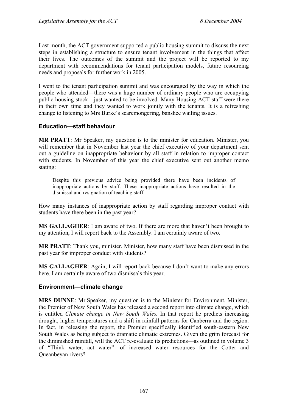Last month, the ACT government supported a public housing summit to discuss the next steps in establishing a structure to ensure tenant involvement in the things that affect their lives. The outcomes of the summit and the project will be reported to my department with recommendations for tenant participation models, future resourcing needs and proposals for further work in 2005.

I went to the tenant participation summit and was encouraged by the way in which the people who attended—there was a huge number of ordinary people who are occupying public housing stock—just wanted to be involved. Many Housing ACT staff were there in their own time and they wanted to work jointly with the tenants. It is a refreshing change to listening to Mrs Burke's scaremongering, banshee wailing issues.

### **Education—staff behaviour**

**MR PRATT**: Mr Speaker, my question is to the minister for education. Minister, you will remember that in November last year the chief executive of your department sent out a guideline on inappropriate behaviour by all staff in relation to improper contact with students. In November of this year the chief executive sent out another memo stating:

Despite this previous advice being provided there have been incidents of inappropriate actions by staff. These inappropriate actions have resulted in the dismissal and resignation of teaching staff.

How many instances of inappropriate action by staff regarding improper contact with students have there been in the past year?

**MS GALLAGHER**: I am aware of two. If there are more that haven't been brought to my attention, I will report back to the Assembly. I am certainly aware of two.

**MR PRATT**: Thank you, minister. Minister, how many staff have been dismissed in the past year for improper conduct with students?

**MS GALLAGHER**: Again, I will report back because I don't want to make any errors here. I am certainly aware of two dismissals this year.

### **Environment—climate change**

**MRS DUNNE**: Mr Speaker, my question is to the Minister for Environment. Minister, the Premier of New South Wales has released a second report into climate change, which is entitled *Climate change in New South Wales.* In that report he predicts increasing drought, higher temperatures and a shift in rainfall patterns for Canberra and the region. In fact, in releasing the report, the Premier specifically identified south-eastern New South Wales as being subject to dramatic climatic extremes. Given the grim forecast for the diminished rainfall, will the ACT re-evaluate its predictions—as outlined in volume 3 of "Think water, act water"—of increased water resources for the Cotter and Queanbeyan rivers?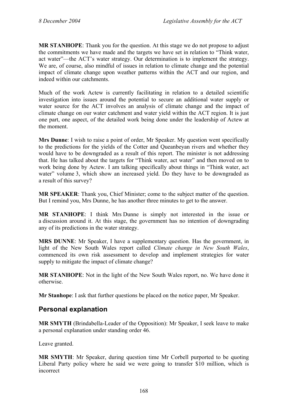**MR STANHOPE**: Thank you for the question. At this stage we do not propose to adjust the commitments we have made and the targets we have set in relation to "Think water, act water"—the ACT's water strategy. Our determination is to implement the strategy. We are, of course, also mindful of issues in relation to climate change and the potential impact of climate change upon weather patterns within the ACT and our region, and indeed within our catchments.

Much of the work Actew is currently facilitating in relation to a detailed scientific investigation into issues around the potential to secure an additional water supply or water source for the ACT involves an analysis of climate change and the impact of climate change on our water catchment and water yield within the ACT region. It is just one part, one aspect, of the detailed work being done under the leadership of Actew at the moment.

**Mrs Dunne**: I wish to raise a point of order, Mr Speaker. My question went specifically to the predictions for the yields of the Cotter and Queanbeyan rivers and whether they would have to be downgraded as a result of this report. The minister is not addressing that. He has talked about the targets for "Think water, act water" and then moved on to work being done by Actew. I am talking specifically about things in "Think water, act water" volume 3, which show an increased yield. Do they have to be downgraded as a result of this survey?

**MR SPEAKER**: Thank you, Chief Minister; come to the subject matter of the question. But I remind you, Mrs Dunne, he has another three minutes to get to the answer.

**MR STANHOPE**: I think Mrs Dunne is simply not interested in the issue or a discussion around it. At this stage, the government has no intention of downgrading any of its predictions in the water strategy.

**MRS DUNNE**: Mr Speaker, I have a supplementary question. Has the government, in light of the New South Wales report called *Climate change in New South Wales*, commenced its own risk assessment to develop and implement strategies for water supply to mitigate the impact of climate change?

**MR STANHOPE**: Not in the light of the New South Wales report, no. We have done it otherwise.

**Mr Stanhope**: I ask that further questions be placed on the notice paper, Mr Speaker.

## **Personal explanation**

**MR SMYTH** (Brindabella-Leader of the Opposition): Mr Speaker, I seek leave to make a personal explanation under standing order 46.

Leave granted.

**MR SMYTH**: Mr Speaker, during question time Mr Corbell purported to be quoting Liberal Party policy where he said we were going to transfer \$10 million, which is incorrect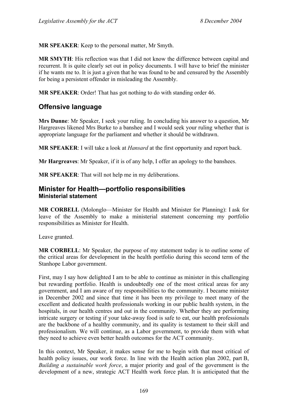**MR SPEAKER**: Keep to the personal matter, Mr Smyth.

**MR SMYTH**: His reflection was that I did not know the difference between capital and recurrent. It is quite clearly set out in policy documents. I will have to brief the minister if he wants me to. It is just a given that he was found to be and censured by the Assembly for being a persistent offender in misleading the Assembly.

**MR SPEAKER**: Order! That has got nothing to do with standing order 46.

# **Offensive language**

**Mrs Dunne**: Mr Speaker, I seek your ruling. In concluding his answer to a question, Mr Hargreaves likened Mrs Burke to a banshee and I would seek your ruling whether that is appropriate language for the parliament and whether it should be withdrawn.

**MR SPEAKER**: I will take a look at *Hansard* at the first opportunity and report back.

**Mr Hargreaves**: Mr Speaker, if it is of any help, I offer an apology to the banshees.

**MR SPEAKER**: That will not help me in my deliberations.

## **Minister for Health—portfolio responsibilities Ministerial statement**

**MR CORBELL** (Molonglo—Minister for Health and Minister for Planning): I ask for leave of the Assembly to make a ministerial statement concerning my portfolio responsibilities as Minister for Health.

Leave granted.

**MR CORBELL:** Mr Speaker, the purpose of my statement today is to outline some of the critical areas for development in the health portfolio during this second term of the Stanhope Labor government.

First, may I say how delighted I am to be able to continue as minister in this challenging but rewarding portfolio. Health is undoubtedly one of the most critical areas for any government, and I am aware of my responsibilities to the community. I became minister in December 2002 and since that time it has been my privilege to meet many of the excellent and dedicated health professionals working in our public health system, in the hospitals, in our health centres and out in the community. Whether they are performing intricate surgery or testing if your take-away food is safe to eat, our health professionals are the backbone of a healthy community, and its quality is testament to their skill and professionalism. We will continue, as a Labor government, to provide them with what they need to achieve even better health outcomes for the ACT community.

In this context, Mr Speaker, it makes sense for me to begin with that most critical of health policy issues, our work force. In line with the Health action plan 2002, part B, *Building a sustainable work force*, a major priority and goal of the government is the development of a new, strategic ACT Health work force plan. It is anticipated that the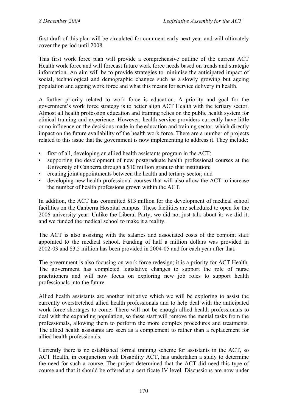first draft of this plan will be circulated for comment early next year and will ultimately cover the period until 2008.

This first work force plan will provide a comprehensive outline of the current ACT Health work force and will forecast future work force needs based on trends and strategic information. An aim will be to provide strategies to minimise the anticipated impact of social, technological and demographic changes such as a slowly growing but ageing population and ageing work force and what this means for service delivery in health.

A further priority related to work force is education. A priority and goal for the government's work force strategy is to better align ACT Health with the tertiary sector. Almost all health profession education and training relies on the public health system for clinical training and experience. However, health service providers currently have little or no influence on the decisions made in the education and training sector, which directly impact on the future availability of the health work force. There are a number of projects related to this issue that the government is now implementing to address it. They include:

- first of all, developing an allied health assistants program in the ACT;
- supporting the development of new postgraduate health professional courses at the University of Canberra through a \$10 million grant to that institution;
- creating joint appointments between the health and tertiary sector; and
- developing new health professional courses that will also allow the ACT to increase the number of health professions grown within the ACT.

In addition, the ACT has committed \$13 million for the development of medical school facilities on the Canberra Hospital campus. These facilities are scheduled to open for the 2006 university year. Unlike the Liberal Party, we did not just talk about it; we did it; and we funded the medical school to make it a reality.

The ACT is also assisting with the salaries and associated costs of the conjoint staff appointed to the medical school. Funding of half a million dollars was provided in 2002-03 and \$3.5 million has been provided in 2004-05 and for each year after that.

The government is also focusing on work force redesign; it is a priority for ACT Health. The government has completed legislative changes to support the role of nurse practitioners and will now focus on exploring new job roles to support health professionals into the future.

Allied health assistants are another initiative which we will be exploring to assist the currently overstretched allied health professionals and to help deal with the anticipated work force shortages to come. There will not be enough allied health professionals to deal with the expanding population, so these staff will remove the menial tasks from the professionals, allowing them to perform the more complex procedures and treatments. The allied health assistants are seen as a complement to rather than a replacement for allied health professionals.

Currently there is no established formal training scheme for assistants in the ACT, so ACT Health, in conjunction with Disability ACT, has undertaken a study to determine the need for such a course. The project determined that the ACT did need this type of course and that it should be offered at a certificate IV level. Discussions are now under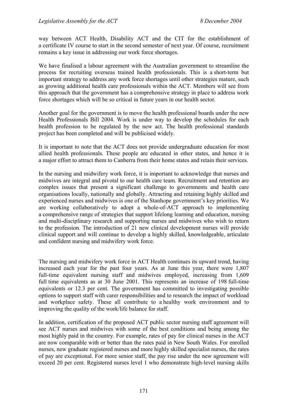way between ACT Health, Disability ACT and the CIT for the establishment of a certificate IV course to start in the second semester of next year. Of course, recruitment remains a key issue in addressing our work force shortages.

We have finalised a labour agreement with the Australian government to streamline the process for recruiting overseas trained health professionals. This is a short-term but important strategy to address any work force shortages until other strategies mature, such as growing additional health care professionals within the ACT. Members will see from this approach that the government has a comprehensive strategy in place to address work force shortages which will be so critical in future years in our health sector.

Another goal for the government is to move the health professional boards under the new Health Professionals Bill 2004. Work is under way to develop the schedules for each health profession to be regulated by the new act. The health professional standards project has been completed and will be publicised widely.

It is important to note that the ACT does not provide undergraduate education for most allied health professionals. These people are educated in other states, and hence it is a major effort to attract them to Canberra from their home states and retain their services.

In the nursing and midwifery work force, it is important to acknowledge that nurses and midwives are integral and pivotal to our health care team. Recruitment and retention are complex issues that present a significant challenge to governments and health care organisations locally, nationally and globally. Attracting and retaining highly skilled and experienced nurses and midwives is one of the Stanhope government's key priorities. We are working collaboratively to adopt a whole-of-ACT approach to implementing a comprehensive range of strategies that support lifelong learning and education, nursing and multi-disciplinary research and supporting nurses and midwives who wish to return to the profession. The introduction of 21 new clinical development nurses will provide clinical support and will continue to develop a highly skilled, knowledgeable, articulate and confident nursing and midwifery work force.

The nursing and midwifery work force in ACT Health continues its upward trend, having increased each year for the past four years. As at June this year, there were 1,807 full-time equivalent nursing staff and midwives employed, increasing from 1,609 full time equivalents as at 30 June 2001. This represents an increase of 198 full-time equivalents or 12.3 per cent. The government has committed to investigating possible options to support staff with carer responsibilities and to research the impact of workload and workplace safety. These all contribute to a healthy work environment and to improving the quality of the work/life balance for staff.

In addition, certification of the proposed ACT public sector nursing staff agreement will see ACT nurses and midwives with some of the best conditions and being among the most highly paid in the country. For example, rates of pay for clinical nurses in the ACT are now comparable with or better than the rates paid in New South Wales. For enrolled nurses, new graduate registered nurses and more highly skilled specialist nurses, the rates of pay are exceptional. For more senior staff, the pay rise under the new agreement will exceed 20 per cent. Registered nurses level 1 who demonstrate high-level nursing skills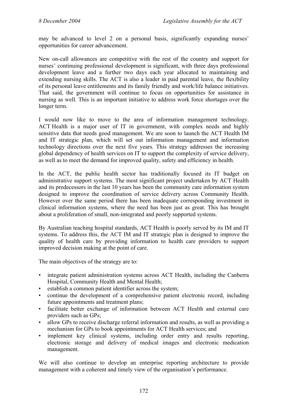may be advanced to level 2 on a personal basis, significantly expanding nurses' opportunities for career advancement.

New on-call allowances are competitive with the rest of the country and support for nurses' continuing professional development is significant, with three days professional development leave and a further two days each year allocated to maintaining and extending nursing skills. The ACT is also a leader in paid parental leave, the flexibility of its personal leave entitlements and its family friendly and work/life balance initiatives. That said, the government will continue to focus on opportunities for assistance in nursing as well. This is an important initiative to address work force shortages over the longer term.

I would now like to move to the area of information management technology. ACT Health is a major user of IT in government, with complex needs and highly sensitive data that needs good management. We are soon to launch the ACT Health IM and IT strategic plan, which will set out information management and information technology directions over the next five years. This strategy addresses the increasing global dependency of health services on IT to support the complexity of service delivery, as well as to meet the demand for improved quality, safety and efficiency in health.

In the ACT, the public health sector has traditionally focused its IT budget on administrative support systems. The most significant project undertaken by ACT Health and its predecessors in the last 10 years has been the community care information system designed to improve the coordination of service delivery across Community Health. However over the same period there has been inadequate corresponding investment in clinical information systems, where the need has been just as great. This has brought about a proliferation of small, non-integrated and poorly supported systems.

By Australian teaching hospital standards, ACT Health is poorly served by its IM and IT systems. To address this, the ACT IM and IT strategic plan is designed to improve the quality of health care by providing information to health care providers to support improved decision making at the point of care.

The main objectives of the strategy are to:

- integrate patient administration systems across ACT Health, including the Canberra Hospital, Community Health and Mental Health;
- establish a common patient identifier across the system;
- continue the development of a comprehensive patient electronic record, including future appointments and treatment plans;
- facilitate better exchange of information between ACT Health and external care providers such as GPs;
- allow GPs to receive discharge referral information and results, as well as providing a mechanism for GPs to book appointments for ACT Health services; and
- implement key clinical systems, including order entry and results reporting, electronic storage and delivery of medical images and electronic medication management.

We will also continue to develop an enterprise reporting architecture to provide management with a coherent and timely view of the organisation's performance.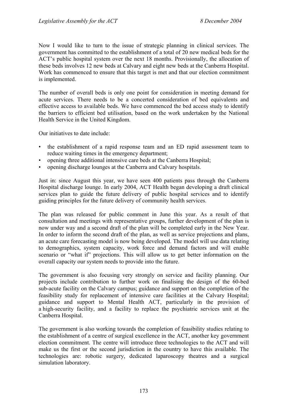Now I would like to turn to the issue of strategic planning in clinical services. The government has committed to the establishment of a total of 20 new medical beds for the ACT's public hospital system over the next 18 months. Provisionally, the allocation of these beds involves 12 new beds at Calvary and eight new beds at the Canberra Hospital. Work has commenced to ensure that this target is met and that our election commitment is implemented.

The number of overall beds is only one point for consideration in meeting demand for acute services. There needs to be a concerted consideration of bed equivalents and effective access to available beds. We have commenced the bed access study to identify the barriers to efficient bed utilisation, based on the work undertaken by the National Health Service in the United Kingdom.

Our initiatives to date include:

- the establishment of a rapid response team and an ED rapid assessment team to reduce waiting times in the emergency department;
- opening three additional intensive care beds at the Canberra Hospital;
- opening discharge lounges at the Canberra and Calvary hospitals.

Just in: since August this year, we have seen 400 patients pass through the Canberra Hospital discharge lounge. In early 2004, ACT Health began developing a draft clinical services plan to guide the future delivery of public hospital services and to identify guiding principles for the future delivery of community health services.

The plan was released for public comment in June this year. As a result of that consultation and meetings with representative groups, further development of the plan is now under way and a second draft of the plan will be completed early in the New Year. In order to inform the second draft of the plan, as well as service projections and plans, an acute care forecasting model is now being developed. The model will use data relating to demographics, system capacity, work force and demand factors and will enable scenario or "what if" projections. This will allow us to get better information on the overall capacity our system needs to provide into the future.

The government is also focusing very strongly on service and facility planning. Our projects include contribution to further work on finalising the design of the 60-bed sub-acute facility on the Calvary campus; guidance and support on the completion of the feasibility study for replacement of intensive care facilities at the Calvary Hospital; guidance and support to Mental Health ACT, particularly in the provision of a high-security facility, and a facility to replace the psychiatric services unit at the Canberra Hospital.

The government is also working towards the completion of feasibility studies relating to the establishment of a centre of surgical excellence in the ACT, another key government election commitment. The centre will introduce three technologies to the ACT and will make us the first or the second jurisdiction in the country to have this available. The technologies are: robotic surgery, dedicated laparoscopy theatres and a surgical simulation laboratory.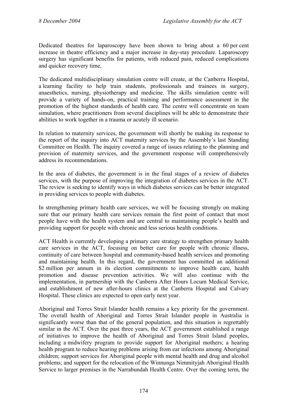Dedicated theatres for laparoscopy have been shown to bring about a 60 per cent increase in theatre efficiency and a major increase in day-stay procedure. Laparoscopy surgery has significant benefits for patients, with reduced pain, reduced complications and quicker recovery time,

The dedicated multidisciplinary simulation centre will create, at the Canberra Hospital, a learning facility to help train students, professionals and trainees in surgery, anaesthetics, nursing, physiotherapy and medicine. The skills simulation centre will provide a variety of hands-on, practical training and performance assessment in the promotion of the highest standards of health care. The centre will concentrate on team simulation, where practitioners from several disciplines will be able to demonstrate their abilities to work together in a trauma or acutely ill scenario.

In relation to maternity services, the government will shortly be making its response to the report of the inquiry into ACT maternity services by the Assembly's last Standing Committee on Health. The inquiry covered a range of issues relating to the planning and provision of maternity services, and the government response will comprehensively address its recommendations.

In the area of diabetes, the government is in the final stages of a review of diabetes services, with the purpose of improving the integration of diabetes services in the ACT. The review is seeking to identify ways in which diabetes services can be better integrated in providing services to people with diabetes.

In strengthening primary health care services, we will be focusing strongly on making sure that our primary health care services remain the first point of contact that most people have with the health system and are central to maintaining people's health and providing support for people with chronic and less serious health conditions.

ACT Health is currently developing a primary care strategy to strengthen primary health care services in the ACT, focusing on better care for people with chronic illness, continuity of care between hospital and community-based health services and promoting and maintaining health. In this regard, the government has committed an additional \$2 million per annum in its election commitments to improve health care, health promotion and disease prevention activities. We will also continue with the implementation, in partnership with the Canberra After Hours Locum Medical Service, and establishment of new after-hours clinics at the Canberra Hospital and Calvary Hospital. These clinics are expected to open early next year.

Aboriginal and Torres Strait Islander health remains a key priority for the government. The overall health of Aboriginal and Torres Strait Islander people in Australia is significantly worse than that of the general population, and this situation is regrettably similar in the ACT. Over the past three years, the ACT government established a range of initiatives to improve the health of Aboriginal and Torres Strait Island peoples, including a midwifery program to provide support for Aboriginal mothers; a hearing health program to reduce hearing problems arising from ear infections among Aboriginal children; support services for Aboriginal people with mental health and drug and alcohol problems; and support for the relocation of the Winnunga Nimmityjah Aboriginal Health Service to larger premises in the Narrabundah Health Centre. Over the coming term, the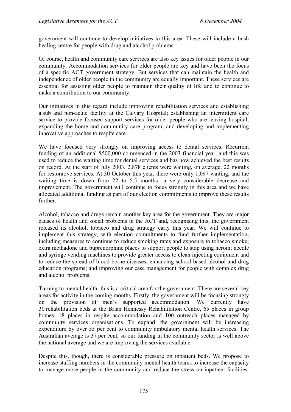government will continue to develop initiatives in this area. These will include a bush healing centre for people with drug and alcohol problems.

Of course, health and community care services are also key issues for older people in our community. Accommodation services for older people are key and have been the focus of a specific ACT government strategy. But services that can maintain the health and independence of older people in the community are equally important. These services are essential for assisting older people to maintain their quality of life and to continue to make a contribution to our community.

Our initiatives in this regard include improving rehabilitation services and establishing a sub and non-acute facility at the Calvary Hospital; establishing an intermittent care service to provide focused support services for older people who are leaving hospital; expanding the home and community care program; and developing and implementing innovative approaches to respite care.

We have focused very strongly on improving access to dental services. Recurrent funding of an additional \$500,000 commenced in the 2003 financial year, and this was used to reduce the waiting time for dental services and has now achieved the best results on record. At the start of July 2003, 2,878 clients were waiting, on average, 22 months for restorative services. At 30 October this year, there were only 1,097 waiting, and the waiting time is down from 22 to 5.5 months—a very considerable decrease and improvement. The government will continue to focus strongly in this area and we have allocated additional funding as part of our election commitments to improve these results further.

Alcohol, tobacco and drugs remain another key area for the government. They are major causes of health and social problems in the ACT and, recognising this, the government released its alcohol, tobacco and drug strategy early this year. We will continue to implement this strategy, with election commitments to fund further implementation, including measures to continue to reduce smoking rates and exposure to tobacco smoke; extra methadone and buprenorphine places to support people to stop using heroin; needle and syringe vending machines to provide greater access to clean injecting equipment and to reduce the spread of blood-borne diseases; enhancing school-based alcohol and drug education programs; and improving our case management for people with complex drug and alcohol problems.

Turning to mental health: this is a critical area for the government. There are several key areas for activity in the coming months. Firstly, the government will be focusing strongly on the provision of men's supported accommodation. We currently have 30 rehabilitation beds at the Brian Hennessy Rehabilitation Centre, 65 places in group homes. 18 places in respite accommodation and 100 outreach places managed by community services organisations. To expand: the government will be increasing expenditure by over 55 per cent to community ambulatory mental health services. The Australian average is 37 per cent, so our funding in the community sector is well above the national average and we are improving the services available.

Despite this, though, there is considerable pressure on inpatient beds. We propose to increase staffing numbers in the community mental health teams to increase the capacity to manage more people in the community and reduce the stress on inpatient facilities.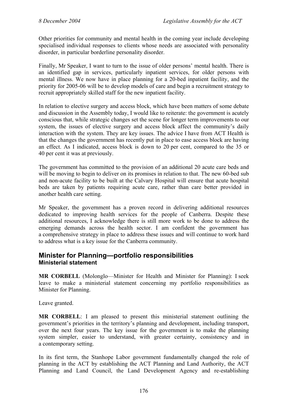Other priorities for community and mental health in the coming year include developing specialised individual responses to clients whose needs are associated with personality disorder, in particular borderline personality disorder.

Finally, Mr Speaker, I want to turn to the issue of older persons' mental health. There is an identified gap in services, particularly inpatient services, for older persons with mental illness. We now have in place planning for a 20-bed inpatient facility, and the priority for 2005-06 will be to develop models of care and begin a recruitment strategy to recruit appropriately skilled staff for the new inpatient facility.

In relation to elective surgery and access block, which have been matters of some debate and discussion in the Assembly today, I would like to reiterate: the government is acutely conscious that, while strategic changes set the scene for longer term improvements to our system, the issues of elective surgery and access block affect the community's daily interaction with the system. They are key issues. The advice I have from ACT Health is that the changes the government has recently put in place to ease access block are having an effect. As I indicated, access block is down to 20 per cent, compared to the 35 or 40 per cent it was at previously.

The government has committed to the provision of an additional 20 acute care beds and will be moving to begin to deliver on its promises in relation to that. The new 60-bed sub and non-acute facility to be built at the Calvary Hospital will ensure that acute hospital beds are taken by patients requiring acute care, rather than care better provided in another health care setting.

Mr Speaker, the government has a proven record in delivering additional resources dedicated to improving health services for the people of Canberra. Despite these additional resources, I acknowledge there is still more work to be done to address the emerging demands across the health sector. I am confident the government has a comprehensive strategy in place to address these issues and will continue to work hard to address what is a key issue for the Canberra community.

## **Minister for Planning—portfolio responsibilities Ministerial statement**

**MR CORBELL** (Molonglo—Minister for Health and Minister for Planning): I seek leave to make a ministerial statement concerning my portfolio responsibilities as Minister for Planning.

Leave granted.

**MR CORBELL**: I am pleased to present this ministerial statement outlining the government's priorities in the territory's planning and development, including transport, over the next four years. The key issue for the government is to make the planning system simpler, easier to understand, with greater certainty, consistency and in a contemporary setting.

In its first term, the Stanhope Labor government fundamentally changed the role of planning in the ACT by establishing the ACT Planning and Land Authority, the ACT Planning and Land Council, the Land Development Agency and re-establishing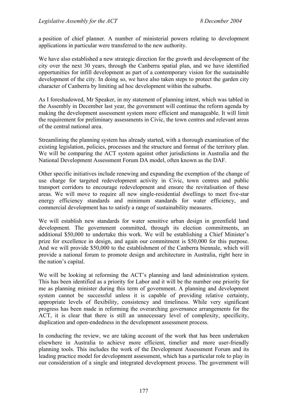a position of chief planner. A number of ministerial powers relating to development applications in particular were transferred to the new authority.

We have also established a new strategic direction for the growth and development of the city over the next 30 years, through the Canberra spatial plan, and we have identified opportunities for infill development as part of a contemporary vision for the sustainable development of the city. In doing so, we have also taken steps to protect the garden city character of Canberra by limiting ad hoc development within the suburbs.

As I foreshadowed, Mr Speaker, in my statement of planning intent, which was tabled in the Assembly in December last year, the government will continue the reform agenda by making the development assessment system more efficient and manageable. It will limit the requirement for preliminary assessments in Civic, the town centres and relevant areas of the central national area.

Streamlining the planning system has already started, with a thorough examination of the existing legislation, policies, processes and the structure and format of the territory plan. We will be comparing the ACT system against other jurisdictions in Australia and the National Development Assessment Forum DA model, often known as the DAF.

Other specific initiatives include renewing and expanding the exemption of the change of use charge for targeted redevelopment activity in Civic, town centres and public transport corridors to encourage redevelopment and ensure the revitalisation of these areas. We will move to require all new single-residential dwellings to meet five-star energy efficiency standards and minimum standards for water efficiency, and commercial development has to satisfy a range of sustainability measures.

We will establish new standards for water sensitive urban design in greenfield land development. The government committed, through its election commitments, an additional \$50,000 to undertake this work. We will be establishing a Chief Minister's prize for excellence in design, and again our commitment is \$50,000 for this purpose. And we will provide \$50,000 to the establishment of the Canberra biennale, which will provide a national forum to promote design and architecture in Australia, right here in the nation's capital.

We will be looking at reforming the ACT's planning and land administration system. This has been identified as a priority for Labor and it will be the number one priority for me as planning minister during this term of government. A planning and development system cannot be successful unless it is capable of providing relative certainty, appropriate levels of flexibility, consistency and timeliness. While very significant progress has been made in reforming the overarching governance arrangements for the ACT, it is clear that there is still an unnecessary level of complexity, specificity, duplication and open-endedness in the development assessment process.

In conducting the review, we are taking account of the work that has been undertaken elsewhere in Australia to achieve more efficient, timelier and more user-friendly planning tools. This includes the work of the Development Assessment Forum and its leading practice model for development assessment, which has a particular role to play in our consideration of a single and integrated development process. The government will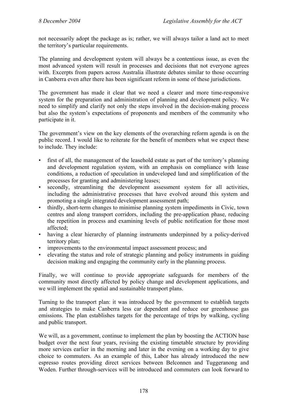not necessarily adopt the package as is; rather, we will always tailor a land act to meet the territory's particular requirements.

The planning and development system will always be a contentious issue, as even the most advanced system will result in processes and decisions that not everyone agrees with. Excerpts from papers across Australia illustrate debates similar to those occurring in Canberra even after there has been significant reform in some of these jurisdictions.

The government has made it clear that we need a clearer and more time-responsive system for the preparation and administration of planning and development policy. We need to simplify and clarify not only the steps involved in the decision-making process but also the system's expectations of proponents and members of the community who participate in it.

The government's view on the key elements of the overarching reform agenda is on the public record. I would like to reiterate for the benefit of members what we expect these to include. They include:

- first of all, the management of the leasehold estate as part of the territory's planning and development regulation system, with an emphasis on compliance with lease conditions, a reduction of speculation in undeveloped land and simplification of the processes for granting and administering leases;
- secondly, streamlining the development assessment system for all activities, including the administrative processes that have evolved around this system and promoting a single integrated development assessment path;
- thirdly, short-term changes to minimise planning system impediments in Civic, town centres and along transport corridors, including the pre-application phase, reducing the repetition in process and examining levels of public notification for those most affected;
- having a clear hierarchy of planning instruments underpinned by a policy-derived territory plan;
- improvements to the environmental impact assessment process; and
- elevating the status and role of strategic planning and policy instruments in guiding decision making and engaging the community early in the planning process.

Finally, we will continue to provide appropriate safeguards for members of the community most directly affected by policy change and development applications, and we will implement the spatial and sustainable transport plans.

Turning to the transport plan: it was introduced by the government to establish targets and strategies to make Canberra less car dependent and reduce our greenhouse gas emissions. The plan establishes targets for the percentage of trips by walking, cycling and public transport.

We will, as a government, continue to implement the plan by boosting the ACTION base budget over the next four years, revising the existing timetable structure by providing more services earlier in the morning and later in the evening on a working day to give choice to commuters. As an example of this, Labor has already introduced the new espresso routes providing direct services between Belconnen and Tuggeranong and Woden. Further through-services will be introduced and commuters can look forward to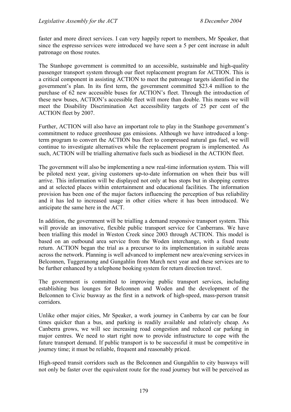faster and more direct services. I can very happily report to members, Mr Speaker, that since the espresso services were introduced we have seen a 5 per cent increase in adult patronage on those routes.

The Stanhope government is committed to an accessible, sustainable and high-quality passenger transport system through our fleet replacement program for ACTION. This is a critical component in assisting ACTION to meet the patronage targets identified in the government's plan. In its first term, the government committed \$23.4 million to the purchase of 62 new accessible buses for ACTION's fleet. Through the introduction of these new buses, ACTION's accessible fleet will more than double. This means we will meet the Disability Discrimination Act accessibility targets of 25 per cent of the ACTION fleet by 2007.

Further, ACTION will also have an important role to play in the Stanhope government's commitment to reduce greenhouse gas emissions. Although we have introduced a longterm program to convert the ACTION bus fleet to compressed natural gas fuel, we will continue to investigate alternatives while the replacement program is implemented. As such, ACTION will be trialling alternative fuels such as biodiesel in the ACTION fleet.

The government will also be implementing a new real-time information system. This will be piloted next year, giving customers up-to-date information on when their bus will arrive. This information will be displayed not only at bus stops but in shopping centres and at selected places within entertainment and educational facilities. The information provision has been one of the major factors influencing the perception of bus reliability and it has led to increased usage in other cities where it has been introduced. We anticipate the same here in the ACT.

In addition, the government will be trialling a demand responsive transport system. This will provide an innovative, flexible public transport service for Canberrans. We have been trialling this model in Weston Creek since 2003 through ACTION. This model is based on an outbound area service from the Woden interchange, with a fixed route return. ACTION began the trial as a precursor to its implementation in suitable areas across the network. Planning is well advanced to implement new area/evening services in Belconnen, Tuggeranong and Gungahlin from March next year and these services are to be further enhanced by a telephone booking system for return direction travel.

The government is committed to improving public transport services, including establishing bus lounges for Belconnen and Woden and the development of the Belconnen to Civic busway as the first in a network of high-speed, mass-person transit corridors.

Unlike other major cities, Mr Speaker, a work journey in Canberra by car can be four times quicker than a bus, and parking is readily available and relatively cheap. As Canberra grows, we will see increasing road congestion and reduced car parking in major centres. We need to start right now to provide infrastructure to cope with the future transport demand. If public transport is to be successful it must be competitive in journey time; it must be reliable, frequent and reasonably priced.

High-speed transit corridors such as the Belconnen and Gungahlin to city busways will not only be faster over the equivalent route for the road journey but will be perceived as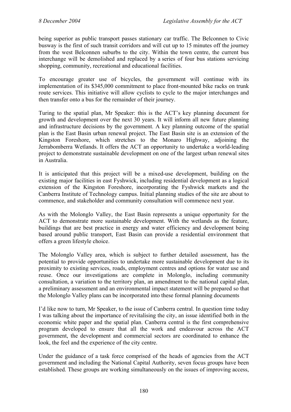being superior as public transport passes stationary car traffic. The Belconnen to Civic busway is the first of such transit corridors and will cut up to 15 minutes off the journey from the west Belconnen suburbs to the city. Within the town centre, the current bus interchange will be demolished and replaced by a series of four bus stations servicing shopping, community, recreational and educational facilities.

To encourage greater use of bicycles, the government will continue with its implementation of its \$345,000 commitment to place front-mounted bike racks on trunk route services. This initiative will allow cyclists to cycle to the major interchanges and then transfer onto a bus for the remainder of their journey.

Turing to the spatial plan, Mr Speaker: this is the ACT's key planning document for growth and development over the next 30 years. It will inform all new future planning and infrastructure decisions by the government. A key planning outcome of the spatial plan is the East Basin urban renewal project. The East Basin site is an extension of the Kingston Foreshore, which stretches to the Monaro Highway, adjoining the Jerrabomberra Wetlands. It offers the ACT an opportunity to undertake a world-leading project to demonstrate sustainable development on one of the largest urban renewal sites in Australia.

It is anticipated that this project will be a mixed-use development, building on the existing major facilities in east Fyshwick, including residential development as a logical extension of the Kingston Foreshore, incorporating the Fyshwick markets and the Canberra Institute of Technology campus. Initial planning studies of the site are about to commence, and stakeholder and community consultation will commence next year.

As with the Molonglo Valley, the East Basin represents a unique opportunity for the ACT to demonstrate more sustainable development. With the wetlands as the feature, buildings that are best practice in energy and water efficiency and development being based around public transport, East Basin can provide a residential environment that offers a green lifestyle choice.

The Molonglo Valley area, which is subject to further detailed assessment, has the potential to provide opportunities to undertake more sustainable development due to its proximity to existing services, roads, employment centres and options for water use and reuse. Once our investigations are complete in Molonglo, including community consultation, a variation to the territory plan, an amendment to the national capital plan, a preliminary assessment and an environmental impact statement will be prepared so that the Molonglo Valley plans can be incorporated into these formal planning documents

I'd like now to turn, Mr Speaker, to the issue of Canberra central. In question time today I was talking about the importance of revitalising the city, an issue identified both in the economic white paper and the spatial plan. Canberra central is the first comprehensive program developed to ensure that all the work and endeavour across the ACT government, the development and commercial sectors are coordinated to enhance the look, the feel and the experience of the city centre.

Under the guidance of a task force comprised of the heads of agencies from the ACT government and including the National Capital Authority, seven focus groups have been established. These groups are working simultaneously on the issues of improving access,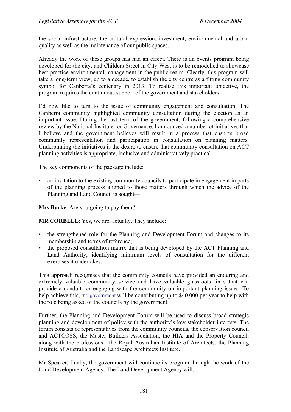the social infrastructure, the cultural expression, investment, environmental and urban quality as well as the maintenance of our public spaces.

Already the work of these groups has had an effect. There is an events program being developed for the city, and Childers Street in City West is to be remodelled to showcase best practice environmental management in the public realm. Clearly, this program will take a long-term view, up to a decade, to establish the city centre as a fitting community symbol for Canberra's centenary in 2013. To realise this important objective, the program requires the continuous support of the government and stakeholders.

I'd now like to turn to the issue of community engagement and consultation. The Canberra community highlighted community consultation during the election as an important issue. During the last term of the government, following a comprehensive review by the National Institute for Governance, I announced a number of initiatives that I believe and the government believes will result in a process that ensures broad community representation and participation in consultation on planning matters. Underpinning the initiatives is the desire to ensure that community consultation on ACT planning activities is appropriate, inclusive and administratively practical.

The key components of the package include:

• an invitation to the existing community councils to participate in engagement in parts of the planning process aligned to those matters through which the advice of the Planning and Land Council is sought—

**Mrs Burke**: Are you going to pay them?

**MR CORBELL:** Yes, we are, actually. They include:

- the strengthened role for the Planning and Development Forum and changes to its membership and terms of reference;
- the proposed consultation matrix that is being developed by the ACT Planning and Land Authority, identifying minimum levels of consultation for the different exercises it undertakes.

This approach recognises that the community councils have provided an enduring and extremely valuable community service and have valuable grassroots links that can provide a conduit for engaging with the community on important planning issues. To help achieve this, the government will be contributing up to \$40,000 per year to help with the role being asked of the councils by the government.

Further, the Planning and Development Forum will be used to discuss broad strategic planning and development of policy with the authority's key stakeholder interests. The forum consists of representatives from the community councils, the conservation council and ACTCOSS, the Master Builders Association, the HIA and the Property Council, along with the professions—the Royal Australian Institute of Architects, the Planning Institute of Australia and the Landscape Architects Institute.

Mr Speaker, finally, the government will continue its program through the work of the Land Development Agency. The Land Development Agency will: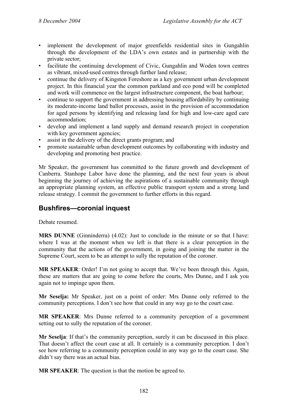- implement the development of major greenfields residential sites in Gungahlin through the development of the LDA's own estates and in partnership with the private sector;
- facilitate the continuing development of Civic, Gungahlin and Woden town centres as vibrant, mixed-used centres through further land release;
- continue the delivery of Kingston Foreshore as a key government urban development project. In this financial year the common parkland and eco pond will be completed and work will commence on the largest infrastructure component, the boat harbour;
- continue to support the government in addressing housing affordability by continuing its moderate-income land ballot processes, assist in the provision of accommodation for aged persons by identifying and releasing land for high and low-care aged care accommodation;
- develop and implement a land supply and demand research project in cooperation with key government agencies;
- assist in the delivery of the direct grants program; and
- promote sustainable urban development outcomes by collaborating with industry and developing and promoting best practice.

Mr Speaker, the government has committed to the future growth and development of Canberra. Stanhope Labor have done the planning, and the next four years is about beginning the journey of achieving the aspirations of a sustainable community through an appropriate planning system, an effective public transport system and a strong land release strategy. I commit the government to further efforts in this regard.

## **Bushfires—coronial inquest**

Debate resumed.

**MRS DUNNE** (Ginninderra) (4.02): Just to conclude in the minute or so that I have: where I was at the moment when we left is that there is a clear perception in the community that the actions of the government, in going and joining the matter in the Supreme Court, seem to be an attempt to sully the reputation of the coroner.

**MR SPEAKER**: Order! I'm not going to accept that. We've been through this. Again, these are matters that are going to come before the courts, Mrs Dunne, and I ask you again not to impinge upon them.

**Mr Seselja:** Mr Speaker, just on a point of order: Mrs Dunne only referred to the community perceptions. I don't see how that could in any way go to the court case.

**MR SPEAKER**: Mrs Dunne referred to a community perception of a government setting out to sully the reputation of the coroner.

**Mr Seselja**: If that's the community perception, surely it can be discussed in this place. That doesn't affect the court case at all. It certainly is a community perception. I don't see how referring to a community perception could in any way go to the court case. She didn't say there was an actual bias.

**MR SPEAKER**: The question is that the motion be agreed to.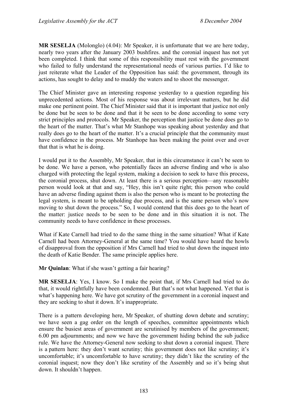**MR SESELJA** (Molonglo) (4.04): Mr Speaker, it is unfortunate that we are here today, nearly two years after the January 2003 bushfires. and the coronial inquest has not yet been completed. I think that some of this responsibility must rest with the government who failed to fully understand the representational needs of various parties. I'd like to just reiterate what the Leader of the Opposition has said: the government, through its actions, has sought to delay and to muddy the waters and to shoot the messenger.

The Chief Minister gave an interesting response yesterday to a question regarding his unprecedented actions. Most of his response was about irrelevant matters, but he did make one pertinent point. The Chief Minister said that it is important that justice not only be done but be seen to be done and that it be seen to be done according to some very strict principles and protocols. Mr Speaker, the perception that justice be done does go to the heart of the matter. That's what Mr Stanhope was speaking about yesterday and that really does go to the heart of the matter. It's a crucial principle that the community must have confidence in the process. Mr Stanhope has been making the point over and over that that is what he is doing.

I would put it to the Assembly, Mr Speaker, that in this circumstance it can't be seen to be done. We have a person, who potentially faces an adverse finding and who is also charged with protecting the legal system, making a decision to seek to have this process, the coronial process, shut down. At least there is a serious perception—any reasonable person would look at that and say, "Hey, this isn't quite right; this person who could have an adverse finding against them is also the person who is meant to be protecting the legal system, is meant to be upholding due process, and is the same person who's now moving to shut down the process." So, I would contend that this does go to the heart of the matter: justice needs to be seen to be done and in this situation it is not. The community needs to have confidence in these processes.

What if Kate Carnell had tried to do the same thing in the same situation? What if Kate Carnell had been Attorney-General at the same time? You would have heard the howls of disapproval from the opposition if Mrs Carnell had tried to shut down the inquest into the death of Katie Bender. The same principle applies here.

**Mr Quinlan**: What if she wasn't getting a fair hearing?

**MR SESELJA**: Yes, I know. So I make the point that, if Mrs Carnell had tried to do that, it would rightfully have been condemned. But that's not what happened. Yet that is what's happening here. We have got scrutiny of the government in a coronial inquest and they are seeking to shut it down. It's inappropriate.

There is a pattern developing here, Mr Speaker, of shutting down debate and scrutiny; we have seen a gag order on the length of speeches, committee appointments which ensure the busiest areas of government are scrutinised by members of the government; 6.00 pm adjournments; and now we have the government hiding behind the sub judice rule. We have the Attorney-General now seeking to shut down a coronial inquest. There is a pattern here: they don't want scrutiny; this government does not like scrutiny; it's uncomfortable; it's uncomfortable to have scrutiny; they didn't like the scrutiny of the coronial inquest; now they don't like scrutiny of the Assembly and so it's being shut down. It shouldn't happen.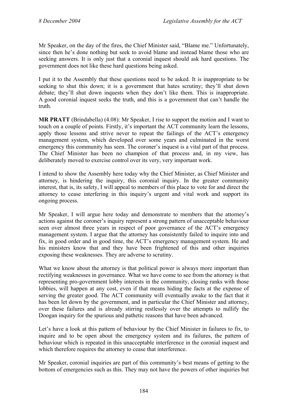Mr Speaker, on the day of the fires, the Chief Minister said, "Blame me." Unfortunately, since then he's done nothing but seek to avoid blame and instead blame those who are seeking answers. It is only just that a coronial inquest should ask hard questions. The government does not like these hard questions being asked.

I put it to the Assembly that these questions need to be asked. It is inappropriate to be seeking to shut this down; it is a government that hates scrutiny; they'll shut down debate; they'll shut down inquests when they don't like them. This is inappropriate. A good coronial inquest seeks the truth, and this is a government that can't handle the truth.

**MR PRATT** (Brindabella) (4.08): Mr Speaker, I rise to support the motion and I want to touch on a couple of points. Firstly, it's important the ACT community learn the lessons, apply those lessons and strive never to repeat the failings of the ACT's emergency management system, which developed over some years and culminated in the worst emergency this community has seen. The coroner's inquest is a vital part of that process. The Chief Minister has been no champion of that process and, in my view, has deliberately moved to exercise control over its very, very important work.

I intend to show the Assembly here today why the Chief Minister, as Chief Minister and attorney, is hindering the inquiry, this coronial inquiry. In the greater community interest, that is, its safety, I will appeal to members of this place to vote for and direct the attorney to cease interfering in this inquiry's urgent and vital work and support its ongoing process.

Mr Speaker, I will argue here today and demonstrate to members that the attorney's actions against the coroner's inquiry represent a strong pattern of unacceptable behaviour seen over almost three years in respect of poor governance of the ACT's emergency management system. I argue that the attorney has consistently failed to inquire into and fix, in good order and in good time, the ACT's emergency management system. He and his ministers know that and they have been frightened of this and other inquiries exposing these weaknesses. They are adverse to scrutiny.

What we know about the attorney is that political power is always more important than rectifying weaknesses in governance. What we have come to see from the attorney is that representing pro-government lobby interests in the community, closing ranks with those lobbies, will happen at any cost, even if that means hiding the facts at the expense of serving the greater good. The ACT community will eventually awake to the fact that it has been let down by the government, and in particular the Chief Minister and attorney, over these failures and is already stirring restlessly over the attempts to nullify the Doogan inquiry for the spurious and pathetic reasons that have been advanced.

Let's have a look at this pattern of behaviour by the Chief Minister in failures to fix, to inquire and to be open about the emergency system and its failures, the pattern of behaviour which is repeated in this unacceptable interference in the coronial inquest and which therefore requires the attorney to cease that interference.

Mr Speaker, coronial inquiries are part of this community's best means of getting to the bottom of emergencies such as this. They may not have the powers of other inquiries but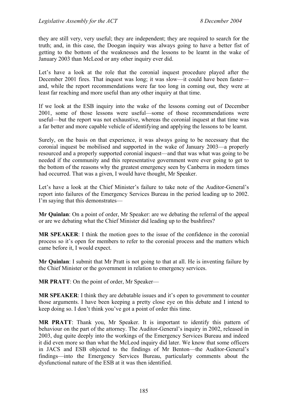they are still very, very useful; they are independent; they are required to search for the truth; and, in this case, the Doogan inquiry was always going to have a better fist of getting to the bottom of the weaknesses and the lessons to be learnt in the wake of January 2003 than McLeod or any other inquiry ever did.

Let's have a look at the role that the coronial inquest procedure played after the December 2001 fires. That inquest was long; it was slow—it could have been faster and, while the report recommendations were far too long in coming out, they were at least far reaching and more useful than any other inquiry at that time.

If we look at the ESB inquiry into the wake of the lessons coming out of December 2001, some of those lessons were useful—some of those recommendations were useful—but the report was not exhaustive, whereas the coronial inquest at that time was a far better and more capable vehicle of identifying and applying the lessons to be learnt.

Surely, on the basis on that experience, it was always going to be necessary that the coronial inquest be mobilised and supported in the wake of January 2003—a properly resourced and a properly supported coronial inquest—and that was what was going to be needed if the community and this representative government were ever going to get to the bottom of the reasons why the greatest emergency seen by Canberra in modern times had occurred. That was a given, I would have thought, Mr Speaker.

Let's have a look at the Chief Minister's failure to take note of the Auditor-General's report into failures of the Emergency Services Bureau in the period leading up to 2002. I'm saying that this demonstrates—

**Mr Quinlan**: On a point of order, Mr Speaker: are we debating the referral of the appeal or are we debating what the Chief Minister did leading up to the bushfires?

**MR SPEAKER**: I think the motion goes to the issue of the confidence in the coronial process so it's open for members to refer to the coronial process and the matters which came before it, I would expect.

**Mr Quinlan**: I submit that Mr Pratt is not going to that at all. He is inventing failure by the Chief Minister or the government in relation to emergency services.

**MR PRATT:** On the point of order, Mr Speaker—

**MR SPEAKER**: I think they are debatable issues and it's open to government to counter those arguments. I have been keeping a pretty close eye on this debate and I intend to keep doing so. I don't think you've got a point of order this time.

**MR PRATT**: Thank you, Mr Speaker. It is important to identify this pattern of behaviour on the part of the attorney. The Auditor-General's inquiry in 2002, released in 2003, dug quite deeply into the workings of the Emergency Services Bureau and indeed it did even more so than what the McLeod inquiry did later. We know that some officers in JACS and ESB objected to the findings of Mr Benton—the Auditor-General's findings—into the Emergency Services Bureau, particularly comments about the dysfunctional nature of the ESB at it was then identified.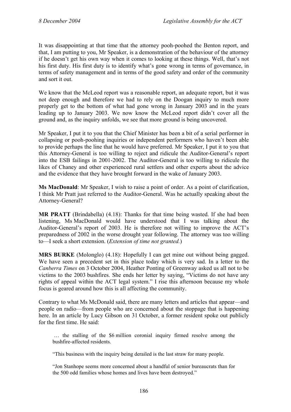It was disappointing at that time that the attorney pooh-poohed the Benton report, and that, I am putting to you, Mr Speaker, is a demonstration of the behaviour of the attorney if he doesn't get his own way when it comes to looking at these things. Well, that's not his first duty. His first duty is to identify what's gone wrong in terms of governance, in terms of safety management and in terms of the good safety and order of the community and sort it out.

We know that the McLeod report was a reasonable report, an adequate report, but it was not deep enough and therefore we had to rely on the Doogan inquiry to much more properly get to the bottom of what had gone wrong in January 2003 and in the years leading up to January 2003. We now know the McLeod report didn't cover all the ground and, as the inquiry unfolds, we see that more ground is being uncovered.

Mr Speaker, I put it to you that the Chief Minister has been a bit of a serial performer in collapsing or pooh-poohing inquiries or independent performers who haven't been able to provide perhaps the line that he would have preferred. Mr Speaker, I put it to you that this Attorney-General is too willing to reject and ridicule the Auditor-General's report into the ESB failings in 2001-2002. The Auditor-General is too willing to ridicule the likes of Chaney and other experienced rural settlers and other experts about the advice and the evidence that they have brought forward in the wake of January 2003.

**Ms MacDonald**: Mr Speaker, I wish to raise a point of order. As a point of clarification, I think Mr Pratt just referred to the Auditor-General. Was he actually speaking about the Attorney-General?

**MR PRATT** (Brindabella) (4.18): Thanks for that time being wasted. If she had been listening, Ms MacDonald would have understood that I was talking about the Auditor-General's report of 2003. He is therefore not willing to improve the ACT's preparedness of 2002 in the worse drought year following. The attorney was too willing to—I seek a short extension. (*Extension of time not granted.*)

**MRS BURKE** (Molonglo) (4.18): Hopefully I can get mine out without being gagged. We have seen a precedent set in this place today which is very sad. In a letter to the *Canberra Times* on 3 October 2004, Heather Ponting of Greenway asked us all not to be victims to the 2003 bushfires. She ends her letter by saying, "Victims do not have any rights of appeal within the ACT legal system." I rise this afternoon because my whole focus is geared around how this is all affecting the community.

Contrary to what Ms McDonald said, there are many letters and articles that appear—and people on radio—from people who are concerned about the stoppage that is happening here. In an article by Lucy Gibson on 31 October, a former resident spoke out publicly for the first time. He said:

 … the stalling of the \$6 million coronial inquiry firmed resolve among the bushfire-affected residents.

"This business with the inquiry being derailed is the last straw for many people.

"Jon Stanhope seems more concerned about a handful of senior bureaucrats than for the 500 odd families whose homes and lives have been destroyed."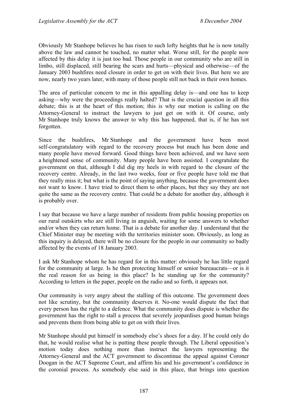Obviously Mr Stanhope believes he has risen to such lofty heights that he is now totally above the law and cannot be touched, no matter what. Worse still, for the people now affected by this delay it is just too bad. Those people in our community who are still in limbo, still displaced, still bearing the scars and hurts—physical and otherwise—of the January 2003 bushfires need closure in order to get on with their lives. But here we are now, nearly two years later, with many of those people still not back in their own homes.

The area of particular concern to me in this appalling delay is—and one has to keep asking—why were the proceedings really halted? That is the crucial question in all this debate; this is at the heart of this motion; this is why our motion is calling on the Attorney-General to instruct the lawyers to just get on with it. Of course, only Mr Stanhope truly knows the answer to why this has happened, that is, if he has not forgotten.

Since the bushfires, Mr Stanhope and the government have been most self-congratulatory with regard to the recovery process but much has been done and many people have moved forward. Good things have been achieved, and we have seen a heightened sense of community. Many people have been assisted. I congratulate the government on that, although I did dig my heels in with regard to the closure of the recovery centre. Already, in the last two weeks, four or five people have told me that they really miss it; but what is the point of saying anything, because the government does not want to know. I have tried to direct them to other places, but they say they are not quite the same as the recovery centre. That could be a debate for another day, although it is probably over.

I say that because we have a large number of residents from public housing properties on our rural outskirts who are still living in anguish, waiting for some answers to whether and/or when they can return home. That is a debate for another day. I understand that the Chief Minister may be meeting with the territories minister soon. Obviously, as long as this inquiry is delayed, there will be no closure for the people in our community so badly affected by the events of 18 January 2003.

I ask Mr Stanhope whom he has regard for in this matter: obviously he has little regard for the community at large. Is he then protecting himself or senior bureaucrats—or is it the real reason for us being in this place? Is he standing up for the community? According to letters in the paper, people on the radio and so forth, it appears not.

Our community is very angry about the stalling of this outcome. The government does not like scrutiny, but the community deserves it. No-one would dispute the fact that every person has the right to a defence. What the community does dispute is whether the government has the right to stall a process that severely jeopardises good human beings and prevents them from being able to get on with their lives.

Mr Stanhope should put himself in somebody else's shoes for a day. If he could only do that, he would realise what he is putting these people through. The Liberal opposition's motion today does nothing more than instruct the lawyers representing the Attorney-General and the ACT government to discontinue the appeal against Coroner Doogan in the ACT Supreme Court, and affirm his and his government's confidence in the coronial process. As somebody else said in this place, that brings into question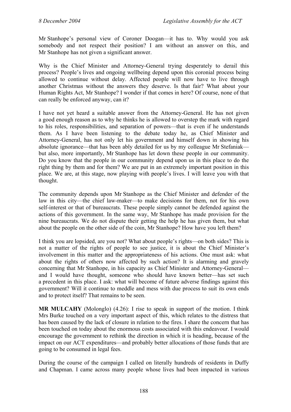Mr Stanhope's personal view of Coroner Doogan—it has to. Why would you ask somebody and not respect their position? I am without an answer on this, and Mr Stanhope has not given a significant answer.

Why is the Chief Minister and Attorney-General trying desperately to derail this process? People's lives and ongoing wellbeing depend upon this coronial process being allowed to continue without delay. Affected people will now have to live through another Christmas without the answers they deserve. Is that fair? What about your Human Rights Act, Mr Stanhope? I wonder if that comes in here? Of course, none of that can really be enforced anyway, can it?

I have not yet heard a suitable answer from the Attorney-General. He has not given a good enough reason as to why he thinks he is allowed to overstep the mark with regard to his roles, responsibilities, and separation of powers—that is even if he understands them. As I have been listening to the debate today he, as Chief Minister and Attorney-General, has not only let his government and himself down in showing his absolute ignorance—that has been ably detailed for us by my colleague Mr Stefaniak but also, more importantly, Mr Stanhope has let down these people in our community. Do you know that the people in our community depend upon us in this place to do the right thing by them and for them? We are put in an extremely important position in this place. We are, at this stage, now playing with people's lives. I will leave you with that thought.

The community depends upon Mr Stanhope as the Chief Minister and defender of the law in this city—the chief law-maker—to make decisions for them, not for his own self-interest or that of bureaucrats. These people simply cannot be defended against the actions of this government. In the same way, Mr Stanhope has made provision for the nine bureaucrats. We do not dispute their getting the help he has given them, but what about the people on the other side of the coin, Mr Stanhope? How have you left them?

I think you are lopsided, are you not? What about people's rights—on both sides? This is not a matter of the rights of people to see justice, it is about the Chief Minister's involvement in this matter and the appropriateness of his actions. One must ask: what about the rights of others now affected by such action? It is alarming and gravely concerning that Mr Stanhope, in his capacity as Chief Minister and Attorney-General and I would have thought, someone who should have known better—has set such a precedent in this place. I ask: what will become of future adverse findings against this government? Will it continue to meddle and mess with due process to suit its own ends and to protect itself? That remains to be seen.

**MR MULCAHY** (Molonglo) (4.26): I rise to speak in support of the motion. I think Mrs Burke touched on a very important aspect of this, which relates to the distress that has been caused by the lack of closure in relation to the fires. I share the concern that has been touched on today about the enormous costs associated with this endeavour. I would encourage the government to rethink the direction in which it is heading, because of the impact on our ACT expenditures—and probably better allocations of those funds that are going to be consumed in legal fees.

During the course of the campaign I called on literally hundreds of residents in Duffy and Chapman. I came across many people whose lives had been impacted in various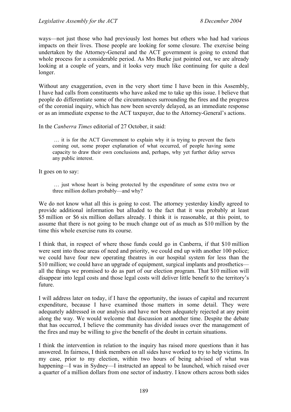ways—not just those who had previously lost homes but others who had had various impacts on their lives. Those people are looking for some closure. The exercise being undertaken by the Attorney-General and the ACT government is going to extend that whole process for a considerable period. As Mrs Burke just pointed out, we are already looking at a couple of years, and it looks very much like continuing for quite a deal longer.

Without any exaggeration, even in the very short time I have been in this Assembly, I have had calls from constituents who have asked me to take up this issue. I believe that people do differentiate some of the circumstances surrounding the fires and the progress of the coronial inquiry, which has now been severely delayed, as an immediate response or as an immediate expense to the ACT taxpayer, due to the Attorney-General's actions.

#### In the *Canberra Times* editorial of 27 October, it said:

 … it is for the ACT Government to explain why it is trying to prevent the facts coming out, some proper explanation of what occurred, of people having some capacity to draw their own conclusions and, perhaps, why yet further delay serves any public interest.

It goes on to say:

 … just whose heart is being protected by the expenditure of some extra two or three million dollars probably—and why?

We do not know what all this is going to cost. The attorney yesterday kindly agreed to provide additional information but alluded to the fact that it was probably at least \$5 million or \$6 six million dollars already. I think it is reasonable, at this point, to assume that there is not going to be much change out of as much as \$10 million by the time this whole exercise runs its course.

I think that, in respect of where those funds could go in Canberra, if that \$10 million were sent into those areas of need and priority, we could end up with another 100 police; we could have four new operating theatres in our hospital system for less than the \$10 million; we could have an upgrade of equipment, surgical implants and prosthetics all the things we promised to do as part of our election program. That \$10 million will disappear into legal costs and those legal costs will deliver little benefit to the territory's future.

I will address later on today, if I have the opportunity, the issues of capital and recurrent expenditure, because I have examined those matters in some detail. They were adequately addressed in our analysis and have not been adequately rejected at any point along the way. We would welcome that discussion at another time. Despite the debate that has occurred, I believe the community has divided issues over the management of the fires and may be willing to give the benefit of the doubt in certain situations.

I think the intervention in relation to the inquiry has raised more questions than it has answered. In fairness, I think members on all sides have worked to try to help victims. In my case, prior to my election, within two hours of being advised of what was happening—I was in Sydney—I instructed an appeal to be launched, which raised over a quarter of a million dollars from one sector of industry. I know others across both sides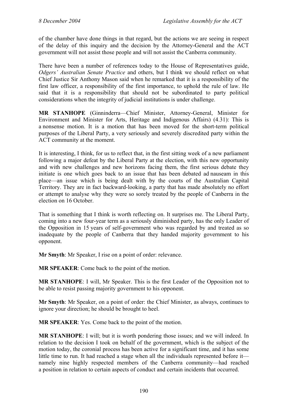of the chamber have done things in that regard, but the actions we are seeing in respect of the delay of this inquiry and the decision by the Attorney-General and the ACT government will not assist those people and will not assist the Canberra community.

There have been a number of references today to the House of Representatives guide, *Odgers' Australian Senate Practice* and others, but I think we should reflect on what Chief Justice Sir Anthony Mason said when he remarked that it is a responsibility of the first law officer, a responsibility of the first importance, to uphold the rule of law. He said that it is a responsibility that should not be subordinated to party political considerations when the integrity of judicial institutions is under challenge.

**MR STANHOPE** (Ginninderra—Chief Minister, Attorney-General, Minister for Environment and Minister for Arts, Heritage and Indigenous Affairs) (4.31): This is a nonsense motion. It is a motion that has been moved for the short-term political purposes of the Liberal Party, a very seriously and severely discredited party within the ACT community at the moment.

It is interesting, I think, for us to reflect that, in the first sitting week of a new parliament following a major defeat by the Liberal Party at the election, with this new opportunity and with new challenges and new horizons facing them, the first serious debate they initiate is one which goes back to an issue that has been debated ad nauseam in this place—an issue which is being dealt with by the courts of the Australian Capital Territory. They are in fact backward-looking, a party that has made absolutely no effort or attempt to analyse why they were so sorely treated by the people of Canberra in the election on 16 October.

That is something that I think is worth reflecting on. It surprises me. The Liberal Party, coming into a new four-year term as a seriously diminished party, has the only Leader of the Opposition in 15 years of self-government who was regarded by and treated as so inadequate by the people of Canberra that they handed majority government to his opponent.

**Mr Smyth**: Mr Speaker, I rise on a point of order: relevance.

**MR SPEAKER**: Come back to the point of the motion.

**MR STANHOPE**: I will, Mr Speaker. This is the first Leader of the Opposition not to be able to resist passing majority government to his opponent.

**Mr Smyth**: Mr Speaker, on a point of order: the Chief Minister, as always, continues to ignore your direction; he should be brought to heel.

**MR SPEAKER**: Yes. Come back to the point of the motion.

**MR STANHOPE**: I will; but it is worth pondering those issues; and we will indeed. In relation to the decision I took on behalf of the government, which is the subject of the motion today, the coronial process has been active for a significant time, and it has some little time to run. It had reached a stage when all the individuals represented before it namely nine highly respected members of the Canberra community—had reached a position in relation to certain aspects of conduct and certain incidents that occurred.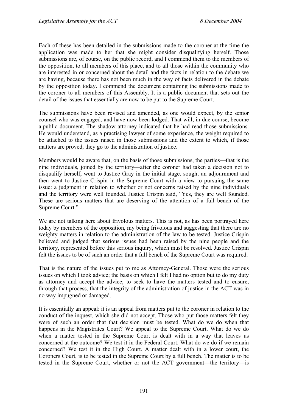Each of these has been detailed in the submissions made to the coroner at the time the application was made to her that she might consider disqualifying herself. Those submissions are, of course, on the public record, and I commend them to the members of the opposition, to all members of this place, and to all those within the community who are interested in or concerned about the detail and the facts in relation to the debate we are having, because there has not been much in the way of facts delivered in the debate by the opposition today. I commend the document containing the submissions made to the coroner to all members of this Assembly. It is a public document that sets out the detail of the issues that essentially are now to be put to the Supreme Court.

The submissions have been revised and amended, as one would expect, by the senior counsel who was engaged, and have now been lodged. That will, in due course, become a public document. The shadow attorney indicated that he had read those submissions. He would understand, as a practising lawyer of some experience, the weight required to be attached to the issues raised in those submissions and the extent to which, if those matters are proved, they go to the administration of justice.

Members would be aware that, on the basis of those submissions, the parties—that is the nine individuals, joined by the territory—after the coroner had taken a decision not to disqualify herself, went to Justice Gray in the initial stage, sought an adjournment and then went to Justice Crispin in the Supreme Court with a view to pursuing the same issue: a judgment in relation to whether or not concerns raised by the nine individuals and the territory were well founded. Justice Crispin said, "Yes, they are well founded. These are serious matters that are deserving of the attention of a full bench of the Supreme Court."

We are not talking here about frivolous matters. This is not, as has been portrayed here today by members of the opposition, my being frivolous and suggesting that there are no weighty matters in relation to the administration of the law to be tested. Justice Crispin believed and judged that serious issues had been raised by the nine people and the territory, represented before this serious inquiry, which must be resolved. Justice Crispin felt the issues to be of such an order that a full bench of the Supreme Court was required.

That is the nature of the issues put to me as Attorney-General. Those were the serious issues on which I took advice; the basis on which I felt I had no option but to do my duty as attorney and accept the advice; to seek to have the matters tested and to ensure, through that process, that the integrity of the administration of justice in the ACT was in no way impugned or damaged.

It is essentially an appeal: it is an appeal from matters put to the coroner in relation to the conduct of the inquest, which she did not accept. Those who put those matters felt they were of such an order that that decision must be tested. What do we do when that happens in the Magistrates Court? We appeal to the Supreme Court. What do we do when a matter tested in the Supreme Court is dealt with in a way that leaves us concerned at the outcome? We test it in the Federal Court. What do we do if we remain concerned? We test it in the High Court. A matter dealt with in a lower court, the Coroners Court, is to be tested in the Supreme Court by a full bench. The matter is to be tested in the Supreme Court, whether or not the ACT government—the territory—is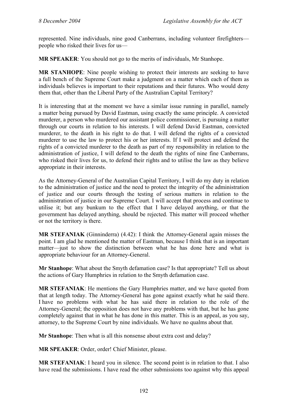represented. Nine individuals, nine good Canberrans, including volunteer firefighters people who risked their lives for us—

**MR SPEAKER**: You should not go to the merits of individuals, Mr Stanhope.

**MR STANHOPE**: Nine people wishing to protect their interests are seeking to have a full bench of the Supreme Court make a judgment on a matter which each of them as individuals believes is important to their reputations and their futures. Who would deny them that, other than the Liberal Party of the Australian Capital Territory?

It is interesting that at the moment we have a similar issue running in parallel, namely a matter being pursued by David Eastman, using exactly the same principle. A convicted murderer, a person who murdered our assistant police commissioner, is pursuing a matter through our courts in relation to his interests. I will defend David Eastman, convicted murderer, to the death in his right to do that. I will defend the rights of a convicted murderer to use the law to protect his or her interests. If I will protect and defend the rights of a convicted murderer to the death as part of my responsibility in relation to the administration of justice, I will defend to the death the rights of nine fine Canberrans, who risked their lives for us, to defend their rights and to utilise the law as they believe appropriate in their interests.

As the Attorney-General of the Australian Capital Territory, I will do my duty in relation to the administration of justice and the need to protect the integrity of the administration of justice and our courts through the testing of serious matters in relation to the administration of justice in our Supreme Court. I will accept that process and continue to utilise it; but any bunkum to the effect that I have delayed anything, or that the government has delayed anything, should be rejected. This matter will proceed whether or not the territory is there.

**MR STEFANIAK** (Ginninderra) (4.42): I think the Attorney-General again misses the point. I am glad he mentioned the matter of Eastman, because I think that is an important matter—just to show the distinction between what he has done here and what is appropriate behaviour for an Attorney-General.

**Mr Stanhope**: What about the Smyth defamation case? Is that appropriate? Tell us about the actions of Gary Humphries in relation to the Smyth defamation case.

**MR STEFANIAK**: He mentions the Gary Humphries matter, and we have quoted from that at length today. The Attorney-General has gone against exactly what he said there. I have no problems with what he has said there in relation to the role of the Attorney-General; the opposition does not have any problems with that, but he has gone completely against that in what he has done in this matter. This is an appeal, as you say, attorney, to the Supreme Court by nine individuals. We have no qualms about that.

**Mr Stanhope**: Then what is all this nonsense about extra cost and delay?

**MR SPEAKER**: Order, order! Chief Minister, please.

**MR STEFANIAK**: I heard you in silence. The second point is in relation to that. I also have read the submissions. I have read the other submissions too against why this appeal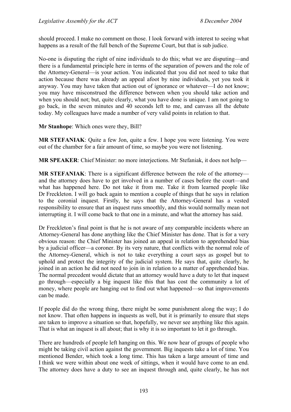should proceed. I make no comment on those. I look forward with interest to seeing what happens as a result of the full bench of the Supreme Court, but that is sub judice.

No-one is disputing the right of nine individuals to do this; what we are disputing—and there is a fundamental principle here in terms of the separation of powers and the role of the Attorney-General—is your action. You indicated that you did not need to take that action because there was already an appeal afoot by nine individuals, yet you took it anyway. You may have taken that action out of ignorance or whatever—I do not know; you may have misconstrued the difference between when you should take action and when you should not; but, quite clearly, what you have done is unique. I am not going to go back, in the seven minutes and 40 seconds left to me, and canvass all the debate today. My colleagues have made a number of very valid points in relation to that.

**Mr Stanhope**: Which ones were they, Bill?

**MR STEFANIAK**: Quite a few Jon, quite a few. I hope you were listening. You were out of the chamber for a fair amount of time, so maybe you were not listening.

**MR SPEAKER**: Chief Minister: no more interjections. Mr Stefaniak, it does not help—

**MR STEFANIAK**: There is a significant difference between the role of the attorney and the attorney does have to get involved in a number of cases before the court—and what has happened here. Do not take it from me. Take it from learned people like Dr Freckleton. I will go back again to mention a couple of things that he says in relation to the coronial inquest. Firstly, he says that the Attorney-General has a vested responsibility to ensure that an inquest runs smoothly, and this would normally mean not interrupting it. I will come back to that one in a minute, and what the attorney has said.

Dr Freckleton's final point is that he is not aware of any comparable incidents where an Attorney-General has done anything like the Chief Minister has done. That is for a very obvious reason: the Chief Minister has joined an appeal in relation to apprehended bias by a judicial officer—a coroner. By its very nature, that conflicts with the normal role of the Attorney-General, which is not to take everything a court says as gospel but to uphold and protect the integrity of the judicial system. He says that, quite clearly, he joined in an action he did not need to join in in relation to a matter of apprehended bias. The normal precedent would dictate that an attorney would have a duty to let that inquest go through—especially a big inquest like this that has cost the community a lot of money, where people are hanging out to find out what happened—so that improvements can be made.

If people did do the wrong thing, there might be some punishment along the way; I do not know. That often happens in inquests as well, but it is primarily to ensure that steps are taken to improve a situation so that, hopefully, we never see anything like this again. That is what an inquest is all about; that is why it is so important to let it go through.

There are hundreds of people left hanging on this. We now hear of groups of people who might be taking civil action against the government. Big inquests take a lot of time. You mentioned Bender, which took a long time. This has taken a large amount of time and I think we were within about one week of sittings, when it would have come to an end. The attorney does have a duty to see an inquest through and, quite clearly, he has not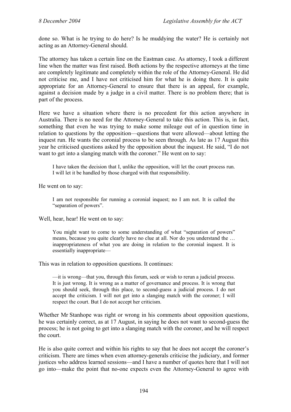done so. What is he trying to do here? Is he muddying the water? He is certainly not acting as an Attorney-General should.

The attorney has taken a certain line on the Eastman case. As attorney, I took a different line when the matter was first raised. Both actions by the respective attorneys at the time are completely legitimate and completely within the role of the Attorney-General. He did not criticise me, and I have not criticised him for what he is doing there. It is quite appropriate for an Attorney-General to ensure that there is an appeal, for example, against a decision made by a judge in a civil matter. There is no problem there; that is part of the process.

Here we have a situation where there is no precedent for this action anywhere in Australia. There is no need for the Attorney-General to take this action. This is, in fact, something that even he was trying to make some mileage out of in question time in relation to questions by the opposition—questions that were allowed—about letting the inquest run. He wants the coronial process to be seen through. As late as 17 August this year he criticised questions asked by the opposition about the inquest. He said, "I do not want to get into a slanging match with the coroner." He went on to say:

I have taken the decision that I, unlike the opposition, will let the court process run. I will let it be handled by those charged with that responsibility.

He went on to say:

I am not responsible for running a coronial inquest; no I am not. It is called the "separation of powers".

Well, hear, hear! He went on to say:

You might want to come to some understanding of what "separation of powers" means, because you quite clearly have no clue at all. Nor do you understand the … inappropriateness of what you are doing in relation to the coronial inquest. It is essentially inappropriate—

This was in relation to opposition questions. It continues:

—it is wrong—that you, through this forum, seek or wish to rerun a judicial process. It is just wrong. It is wrong as a matter of governance and process. It is wrong that you should seek, through this place, to second-guess a judicial process. I do not accept the criticism. I will not get into a slanging match with the coroner; I will respect the court. But I do not accept her criticism.

Whether Mr Stanhope was right or wrong in his comments about opposition questions, he was certainly correct, as at 17 August, in saying he does not want to second-guess the process; he is not going to get into a slanging match with the coroner, and he will respect the court.

He is also quite correct and within his rights to say that he does not accept the coroner's criticism. There are times when even attorney-generals criticise the judiciary, and former justices who address learned sessions—and I have a number of quotes here that I will not go into—make the point that no-one expects even the Attorney-General to agree with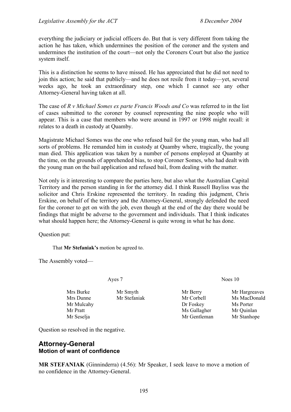everything the judiciary or judicial officers do. But that is very different from taking the action he has taken, which undermines the position of the coroner and the system and undermines the institution of the court—not only the Coroners Court but also the justice system itself.

This is a distinction he seems to have missed. He has appreciated that he did not need to join this action; he said that publicly—and he does not resile from it today—yet, several weeks ago, he took an extraordinary step, one which I cannot see any other Attorney-General having taken at all.

The case of *R v Michael Somes ex parte Francis Woods and Co* was referred to in the list of cases submitted to the coroner by counsel representing the nine people who will appear. This is a case that members who were around in 1997 or 1998 might recall: it relates to a death in custody at Quamby.

Magistrate Michael Somes was the one who refused bail for the young man, who had all sorts of problems. He remanded him in custody at Quamby where, tragically, the young man died. This application was taken by a number of persons employed at Quamby at the time, on the grounds of apprehended bias, to stop Coroner Somes, who had dealt with the young man on the bail application and refused bail, from dealing with the matter.

Not only is it interesting to compare the parties here, but also what the Australian Capital Territory and the person standing in for the attorney did. I think Russell Bayliss was the solicitor and Chris Erskine represented the territory. In reading this judgment, Chris Erskine, on behalf of the territory and the Attorney-General, strongly defended the need for the coroner to get on with the job, even though at the end of the day there would be findings that might be adverse to the government and individuals. That I think indicates what should happen here; the Attorney-General is quite wrong in what he has done.

Question put:

That **Mr Stefaniak's** motion be agreed to.

The Assembly voted—

Mrs Burke Mr Smyth Mr Berry Mr Hargreaves Mr Mulcahy **Dr Foskey** Ms Porter Mr Pratt Mr Gallagher Mr Ouinlan

Ayes 7 Noes 10

Mrs Dunne Mr Stefaniak Mr Corbell Ms MacDonald Mr Seselja Mr Gentleman Mr Stanhope

Question so resolved in the negative.

### **Attorney-General Motion of want of confidence**

**MR STEFANIAK** (Ginninderra) (4.56): Mr Speaker, I seek leave to move a motion of no confidence in the Attorney-General.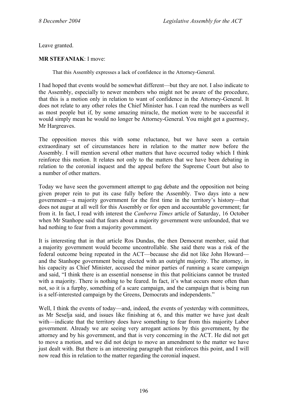Leave granted.

**MR STEFANIAK**: I move:

That this Assembly expresses a lack of confidence in the Attorney-General.

I had hoped that events would be somewhat different—but they are not. I also indicate to the Assembly, especially to newer members who might not be aware of the procedure, that this is a motion only in relation to want of confidence in the Attorney-General. It does not relate to any other roles the Chief Minister has. I can read the numbers as well as most people but if, by some amazing miracle, the motion were to be successful it would simply mean he would no longer be Attorney-General. You might get a guernsey, Mr Hargreaves.

The opposition moves this with some reluctance, but we have seen a certain extraordinary set of circumstances here in relation to the matter now before the Assembly. I will mention several other matters that have occurred today which I think reinforce this motion. It relates not only to the matters that we have been debating in relation to the coronial inquest and the appeal before the Supreme Court but also to a number of other matters.

Today we have seen the government attempt to gag debate and the opposition not being given proper rein to put its case fully before the Assembly. Two days into a new government—a majority government for the first time in the territory's history—that does not augur at all well for this Assembly or for open and accountable government; far from it. In fact, I read with interest the *Canberra Times* article of Saturday, 16 October when Mr Stanhope said that fears about a majority government were unfounded, that we had nothing to fear from a majority government.

It is interesting that in that article Ros Dundas, the then Democrat member, said that a majority government would become uncontrollable. She said there was a risk of the federal outcome being repeated in the ACT—because she did not like John Howard and the Stanhope government being elected with an outright majority. The attorney, in his capacity as Chief Minister, accused the minor parties of running a scare campaign and said, "I think there is an essential nonsense in this that politicians cannot be trusted with a majority. There is nothing to be feared. In fact, it's what occurs more often than not, so it is a furphy, something of a scare campaign, and the campaign that is being run is a self-interested campaign by the Greens, Democrats and independents."

Well. I think the events of today—and, indeed, the events of vesterday with committees, as Mr Seselja said, and issues like finishing at 6, and this matter we have just dealt with—indicate that the territory does have something to fear from this majority Labor government. Already we are seeing very arrogant actions by this government, by the attorney and by his government, and that is very concerning in the ACT. He did not get to move a motion, and we did not deign to move an amendment to the matter we have just dealt with. But there is an interesting paragraph that reinforces this point, and I will now read this in relation to the matter regarding the coronial inquest.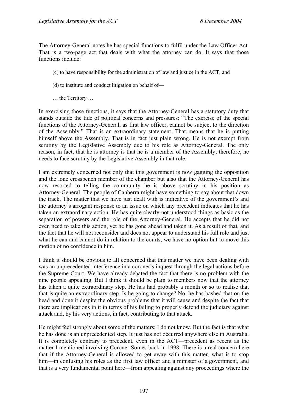The Attorney-General notes he has special functions to fulfil under the Law Officer Act. That is a two-page act that deals with what the attorney can do. It says that those functions include:

- (c) to have responsibility for the administration of law and justice in the ACT; and
- (d) to institute and conduct litigation on behalf of—
- … the Territory …

In exercising those functions, it says that the Attorney-General has a statutory duty that stands outside the tide of political concerns and pressures: "The exercise of the special functions of the Attorney-General, as first law officer, cannot be subject to the direction of the Assembly." That is an extraordinary statement. That means that he is putting himself above the Assembly. That is in fact just plain wrong. He is not exempt from scrutiny by the Legislative Assembly due to his role as Attorney-General. The only reason, in fact, that he is attorney is that he is a member of the Assembly; therefore, he needs to face scrutiny by the Legislative Assembly in that role.

I am extremely concerned not only that this government is now gagging the opposition and the lone crossbench member of the chamber but also that the Attorney-General has now resorted to telling the community he is above scrutiny in his position as Attorney-General. The people of Canberra might have something to say about that down the track. The matter that we have just dealt with is indicative of the government's and the attorney's arrogant response to an issue on which any precedent indicates that he has taken an extraordinary action. He has quite clearly not understood things as basic as the separation of powers and the role of the Attorney-General. He accepts that he did not even need to take this action, yet he has gone ahead and taken it. As a result of that, and the fact that he will not reconsider and does not appear to understand his full role and just what he can and cannot do in relation to the courts, we have no option but to move this motion of no confidence in him.

I think it should be obvious to all concerned that this matter we have been dealing with was an unprecedented interference in a coroner's inquest through the legal actions before the Supreme Court. We have already debated the fact that there is no problem with the nine people appealing. But I think it should be plain to members now that the attorney has taken a quite extraordinary step. He has had probably a month or so to realise that that is quite an extraordinary step. Is he going to change? No, he has bashed that on the head and done it despite the obvious problems that it will cause and despite the fact that there are implications in it in terms of his failing to properly defend the judiciary against attack and, by his very actions, in fact, contributing to that attack.

He might feel strongly about some of the matters; I do not know. But the fact is that what he has done is an unprecedented step. It just has not occurred anywhere else in Australia. It is completely contrary to precedent, even in the ACT—precedent as recent as the matter I mentioned involving Coroner Somes back in 1998. There is a real concern here that if the Attorney-General is allowed to get away with this matter, what is to stop him—in confusing his roles as the first law officer and a minister of a government, and that is a very fundamental point here—from appealing against any proceedings where the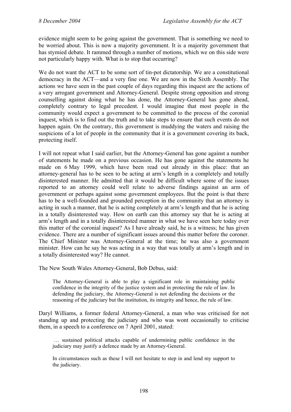evidence might seem to be going against the government. That is something we need to be worried about. This is now a majority government. It is a majority government that has stymied debate. It rammed through a number of motions, which we on this side were not particularly happy with. What is to stop that occurring?

We do not want the ACT to be some sort of tin-pot dictatorship. We are a constitutional democracy in the ACT—and a very fine one. We are now in the Sixth Assembly. The actions we have seen in the past couple of days regarding this inquest are the actions of a very arrogant government and Attorney-General. Despite strong opposition and strong counselling against doing what he has done, the Attorney-General has gone ahead, completely contrary to legal precedent. I would imagine that most people in the community would expect a government to be committed to the process of the coronial inquest, which is to find out the truth and to take steps to ensure that such events do not happen again. On the contrary, this government is muddying the waters and raising the suspicions of a lot of people in the community that it is a government covering its back, protecting itself.

I will not repeat what I said earlier, but the Attorney-General has gone against a number of statements he made on a previous occasion. He has gone against the statements he made on 6 May 1999, which have been read out already in this place: that an attorney-general has to be seen to be acting at arm's length in a completely and totally disinterested manner. He admitted that it would be difficult where some of the issues reported to an attorney could well relate to adverse findings against an arm of government or perhaps against some government employees. But the point is that there has to be a well-founded and grounded perception in the community that an attorney is acting in such a manner, that he is acting completely at arm's length and that he is acting in a totally disinterested way. How on earth can this attorney say that he is acting at arm's length and in a totally disinterested manner in what we have seen here today over this matter of the coronial inquest? As I have already said, he is a witness; he has given evidence. There are a number of significant issues around this matter before the coroner. The Chief Minister was Attorney-General at the time; he was also a government minister. How can he say he was acting in a way that was totally at arm's length and in a totally disinterested way? He cannot.

The New South Wales Attorney-General, Bob Debus, said:

The Attorney-General is able to play a significant role in maintaining public confidence in the integrity of the justice system and in protecting the rule of law. In defending the judiciary, the Attorney-General is not defending the decisions or the reasoning of the judiciary but the institution, its integrity and hence, the rule of law.

Daryl Williams, a former federal Attorney-General, a man who was criticised for not standing up and protecting the judiciary and who was wont occasionally to criticise them, in a speech to a conference on 7 April 2001, stated:

 … sustained political attacks capable of undermining public confidence in the judiciary may justify a defence made by an Attorney-General.

In circumstances such as these I will not hesitate to step in and lend my support to the judiciary.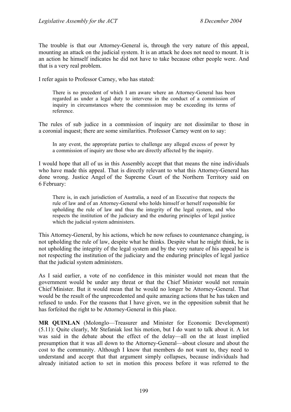The trouble is that our Attorney-General is, through the very nature of this appeal, mounting an attack on the judicial system. It is an attack he does not need to mount. It is an action he himself indicates he did not have to take because other people were. And that is a very real problem.

I refer again to Professor Carney, who has stated:

There is no precedent of which I am aware where an Attorney-General has been regarded as under a legal duty to intervene in the conduct of a commission of inquiry in circumstances where the commission may be exceeding its terms of reference.

The rules of sub judice in a commission of inquiry are not dissimilar to those in a coronial inquest; there are some similarities. Professor Carney went on to say:

In any event, the appropriate parties to challenge any alleged excess of power by a commission of inquiry are those who are directly affected by the inquiry.

I would hope that all of us in this Assembly accept that that means the nine individuals who have made this appeal. That is directly relevant to what this Attorney-General has done wrong. Justice Angel of the Supreme Court of the Northern Territory said on 6 February:

There is, in each jurisdiction of Australia, a need of an Executive that respects the rule of law and of an Attorney-General who holds himself or herself responsible for upholding the rule of law and thus the integrity of the legal system, and who respects the institution of the judiciary and the enduring principles of legal justice which the judicial system administers.

This Attorney-General, by his actions, which he now refuses to countenance changing, is not upholding the rule of law, despite what he thinks. Despite what he might think, he is not upholding the integrity of the legal system and by the very nature of his appeal he is not respecting the institution of the judiciary and the enduring principles of legal justice that the judicial system administers.

As I said earlier, a vote of no confidence in this minister would not mean that the government would be under any threat or that the Chief Minister would not remain Chief Minister. But it would mean that he would no longer be Attorney-General. That would be the result of the unprecedented and quite amazing actions that he has taken and refused to undo. For the reasons that I have given, we in the opposition submit that he has forfeited the right to be Attorney-General in this place.

**MR QUINLAN** (Molonglo—Treasurer and Minister for Economic Development) (5.11): Quite clearly, Mr Stefaniak lost his motion, but I do want to talk about it. A lot was said in the debate about the effect of the delay—all on the at least implied presumption that it was all down to the Attorney-General—about closure and about the cost to the community. Although I know that members do not want to, they need to understand and accept that that argument simply collapses, because individuals had already initiated action to set in motion this process before it was referred to the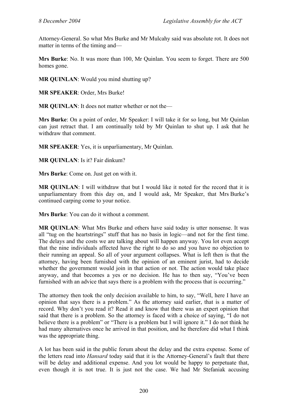Attorney-General. So what Mrs Burke and Mr Mulcahy said was absolute rot. It does not matter in terms of the timing and—

**Mrs Burke**: No. It was more than 100, Mr Quinlan. You seem to forget. There are 500 homes gone.

**MR QUINLAN:** Would you mind shutting up?

**MR SPEAKER**: Order, Mrs Burke!

**MR QUINLAN:** It does not matter whether or not the—

**Mrs Burke**: On a point of order, Mr Speaker: I will take it for so long, but Mr Quinlan can just retract that. I am continually told by Mr Quinlan to shut up. I ask that he withdraw that comment.

**MR SPEAKER**: Yes, it is unparliamentary, Mr Quinlan.

**MR QUINLAN**: Is it? Fair dinkum?

**Mrs Burke**: Come on. Just get on with it.

**MR QUINLAN**: I will withdraw that but I would like it noted for the record that it is unparliamentary from this day on, and I would ask, Mr Speaker, that Mrs Burke's continued carping come to your notice.

**Mrs Burke**: You can do it without a comment.

**MR QUINLAN**: What Mrs Burke and others have said today is utter nonsense. It was all "tug on the heartstrings" stuff that has no basis in logic—and not for the first time. The delays and the costs we are talking about will happen anyway. You lot even accept that the nine individuals affected have the right to do so and you have no objection to their running an appeal. So all of your argument collapses. What is left then is that the attorney, having been furnished with the opinion of an eminent jurist, had to decide whether the government would join in that action or not. The action would take place anyway, and that becomes a yes or no decision. He has to then say, "You've been furnished with an advice that says there is a problem with the process that is occurring."

The attorney then took the only decision available to him, to say, "Well, here I have an opinion that says there is a problem." As the attorney said earlier, that is a matter of record. Why don't you read it? Read it and know that there was an expert opinion that said that there is a problem. So the attorney is faced with a choice of saying, "I do not believe there is a problem" or "There is a problem but I will ignore it." I do not think he had many alternatives once he arrived in that position, and he therefore did what I think was the appropriate thing.

A lot has been said in the public forum about the delay and the extra expense. Some of the letters read into *Hansard* today said that it is the Attorney-General's fault that there will be delay and additional expense. And you lot would be happy to perpetuate that, even though it is not true. It is just not the case. We had Mr Stefaniak accusing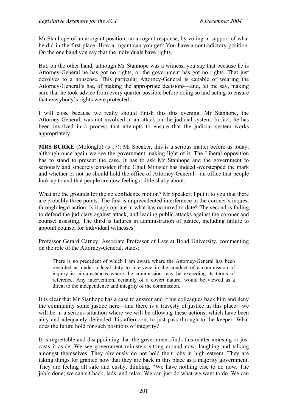Mr Stanhope of an arrogant position, an arrogant response, by voting in support of what he did in the first place. How arrogant can you get? You have a contradictory position. On the one hand you say that the individuals have rights.

But, on the other hand, although Mr Stanhope was a witness, you say that because he is Attorney-General he has got no rights, or the government has got no rights. That just devolves to a nonsense. This particular Attorney-General is capable of wearing the Attorney-General's hat, of making the appropriate decisions—and, let me say, making sure that he took advice from every quarter possible before doing so and acting to ensure that everybody's rights were protected.

I will close because we really should finish this this evening. Mr Stanhope, the Attorney-General, was not involved in an attack on the judicial system. In fact, he has been involved in a process that attempts to ensure that the judicial system works appropriately.

**MRS BURKE** (Molonglo) (5.17): Mr Speaker, this is a serious matter before us today, although once again we see the government making light of it. The Liberal opposition has to stand to present the case. It has to ask Mr Stanhope and the government to seriously and sincerely consider if the Chief Minister has indeed overstepped the mark and whether or not he should hold the office of Attorney-General—an office that people look up to and that people are now feeling a little shaky about.

What are the grounds for the no confidence motion? Mr Speaker, I put it to you that there are probably three points. The first is unprecedented interference in the coroner's inquest through legal action. Is it appropriate in what has occurred to date? The second is failing to defend the judiciary against attack, and leading public attacks against the coroner and counsel assisting. The third is failures in administration of justice, including failure to appoint counsel for individual witnesses.

Professor Gerard Carney, Associate Professor of Law at Bond University, commenting on the role of the Attorney-General, states:

There is no precedent of which I am aware where the Attorney-General has been regarded as under a legal duty to intervene in the conduct of a commission of inquiry in circumstances where the commission may be exceeding its terms of reference. Any intervention, certainly of a covert nature, would be viewed as a threat to the independence and integrity of the commission.

It is clear that Mr Stanhope has a case to answer and if his colleagues back him and deny the community some justice here—and there is a travesty of justice in this place—we will be in a serious situation where we will be allowing these actions, which have been ably and adequately defended this afternoon, to just pass through to the keeper. What does the future hold for such positions of integrity?

It is regrettable and disappointing that the government finds this matter amusing or just casts it aside. We see government ministers sitting around now, laughing and talking amongst themselves. They obviously do not hold their jobs in high esteem. They are taking things for granted now that they are back in this place as a majority government. They are feeling all safe and cushy, thinking, "We have nothing else to do now. The job's done; we can sit back, lads, and relax. We can just do what we want to do. We can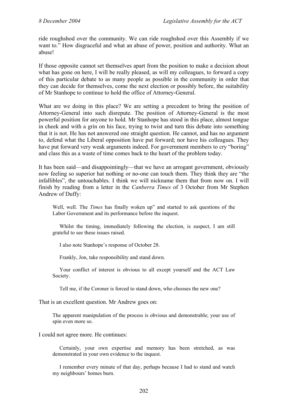ride roughshod over the community. We can ride roughshod over this Assembly if we want to." How disgraceful and what an abuse of power, position and authority. What an abuse!

If those opposite cannot set themselves apart from the position to make a decision about what has gone on here, I will be really pleased, as will my colleagues, to forward a copy of this particular debate to as many people as possible in the community in order that they can decide for themselves, come the next election or possibly before, the suitability of Mr Stanhope to continue to hold the office of Attorney-General.

What are we doing in this place? We are setting a precedent to bring the position of Attorney-General into such disrepute. The position of Attorney-General is the most powerful position for anyone to hold. Mr Stanhope has stood in this place, almost tongue in cheek and with a grin on his face, trying to twist and turn this debate into something that it is not. He has not answered one straight question. He cannot, and has no argument to, defend what the Liberal opposition have put forward; nor have his colleagues. They have put forward very weak arguments indeed. For government members to cry "boring" and class this as a waste of time comes back to the heart of the problem today.

It has been said—and disappointingly—that we have an arrogant government, obviously now feeling so superior hat nothing or no-one can touch them. They think they are "the infallibles", the untouchables. I think we will nickname them that from now on. I will finish by reading from a letter in the *Canberra Times* of 3 October from Mr Stephen Andrew of Duffy:

Well, well. The *Times* has finally woken up" and started to ask questions of the Labor Government and its performance before the inquest.

Whilst the timing, immediately following the election, is suspect, I am still grateful to see these issues raised.

I also note Stanhope's response of October 28.

Frankly, Jon, take responsibility and stand down.

Your conflict of interest is obvious to all except yourself and the ACT Law Society.

Tell me, if the Coroner is forced to stand down, who chooses the new one?

That is an excellent question. Mr Andrew goes on:

The apparent manipulation of the process is obvious and demonstrable; your use of spin even more so.

I could not agree more. He continues:

Certainly, your own expertise and memory has been stretched, as was demonstrated in your own evidence to the inquest.

I remember every minute of that day, perhaps because I had to stand and watch my neighbours' homes burn.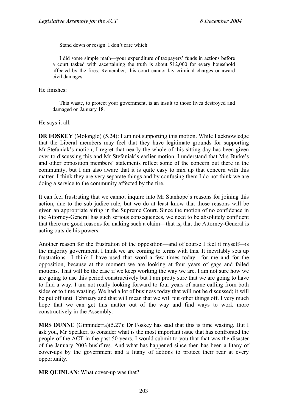Stand down or resign. I don't care which.

I did some simple math—your expenditure of taxpayers' funds in actions before a court tasked with ascertaining the truth is about \$12,000 for every household affected by the fires. Remember, this court cannot lay criminal charges or award civil damages.

He finishes:

This waste, to protect your government, is an insult to those lives destroyed and damaged on January 18.

He says it all.

**DR FOSKEY** (Molonglo) (5.24): I am not supporting this motion. While I acknowledge that the Liberal members may feel that they have legitimate grounds for supporting Mr Stefaniak's motion, I regret that nearly the whole of this sitting day has been given over to discussing this and Mr Stefaniak's earlier motion. I understand that Mrs Burke's and other opposition members' statements reflect some of the concern out there in the community, but I am also aware that it is quite easy to mix up that concern with this matter. I think they are very separate things and by confusing them I do not think we are doing a service to the community affected by the fire.

It can feel frustrating that we cannot inquire into Mr Stanhope's reasons for joining this action, due to the sub judice rule, but we do at least know that those reasons will be given an appropriate airing in the Supreme Court. Since the motion of no confidence in the Attorney-General has such serious consequences, we need to be absolutely confident that there are good reasons for making such a claim—that is, that the Attorney-General is acting outside his powers.

Another reason for the frustration of the opposition—and of course I feel it myself—is the majority government. I think we are coming to terms with this. It inevitably sets up frustrations—I think I have used that word a few times today—for me and for the opposition, because at the moment we are looking at four years of gags and failed motions. That will be the case if we keep working the way we are. I am not sure how we are going to use this period constructively but I am pretty sure that we are going to have to find a way. I am not really looking forward to four years of name calling from both sides or to time wasting. We had a lot of business today that will not be discussed; it will be put off until February and that will mean that we will put other things off. I very much hope that we can get this matter out of the way and find ways to work more constructively in the Assembly.

**MRS DUNNE** (Ginninderra)(5.27): Dr Foskey has said that this is time wasting. But I ask you, Mr Speaker, to consider what is the most important issue that has confronted the people of the ACT in the past 50 years. I would submit to you that that was the disaster of the January 2003 bushfires. And what has happened since then has been a litany of cover-ups by the government and a litany of actions to protect their rear at every opportunity.

**MR QUINLAN**: What cover-up was that?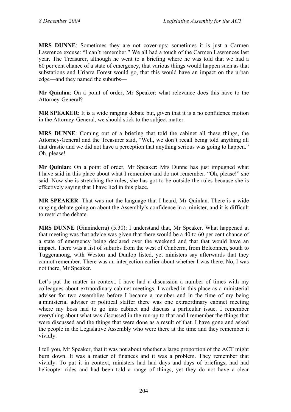**MRS DUNNE**: Sometimes they are not cover-ups; sometimes it is just a Carmen Lawrence excuse: "I can't remember." We all had a touch of the Carmen Lawrences last year. The Treasurer, although he went to a briefing where he was told that we had a 60 per cent chance of a state of emergency, that various things would happen such as that substations and Uriarra Forest would go, that this would have an impact on the urban edge—and they named the suburbs—

**Mr Quinlan**: On a point of order, Mr Speaker: what relevance does this have to the Attorney-General?

**MR SPEAKER**: It is a wide ranging debate but, given that it is a no confidence motion in the Attorney-General, we should stick to the subject matter.

**MRS DUNNE**: Coming out of a briefing that told the cabinet all these things, the Attorney-General and the Treasurer said, "Well, we don't recall being told anything all that drastic and we did not have a perception that anything serious was going to happen." Oh, please!

**Mr Quinlan**: On a point of order, Mr Speaker: Mrs Dunne has just impugned what I have said in this place about what I remember and do not remember. "Oh, please!" she said. Now she is stretching the rules; she has got to be outside the rules because she is effectively saying that I have lied in this place.

**MR SPEAKER**: That was not the language that I heard, Mr Quinlan. There is a wide ranging debate going on about the Assembly's confidence in a minister, and it is difficult to restrict the debate.

**MRS DUNNE** (Ginninderra) (5.30): I understand that, Mr Speaker. What happened at that meeting was that advice was given that there would be a 40 to 60 per cent chance of a state of emergency being declared over the weekend and that that would have an impact. There was a list of suburbs from the west of Canberra, from Belconnen, south to Tuggeranong, with Weston and Dunlop listed, yet ministers say afterwards that they cannot remember. There was an interjection earlier about whether I was there. No, I was not there, Mr Speaker.

Let's put the matter in context. I have had a discussion a number of times with my colleagues about extraordinary cabinet meetings. I worked in this place as a ministerial adviser for two assemblies before I became a member and in the time of my being a ministerial adviser or political staffer there was one extraordinary cabinet meeting where my boss had to go into cabinet and discuss a particular issue. I remember everything about what was discussed in the run-up to that and I remember the things that were discussed and the things that were done as a result of that. I have gone and asked the people in the Legislative Assembly who were there at the time and they remember it vividly.

I tell you, Mr Speaker, that it was not about whether a large proportion of the ACT might burn down. It was a matter of finances and it was a problem. They remember that vividly. To put it in context, ministers had had days and days of briefings, had had helicopter rides and had been told a range of things, yet they do not have a clear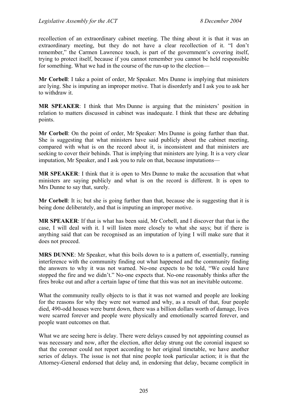recollection of an extraordinary cabinet meeting. The thing about it is that it was an extraordinary meeting, but they do not have a clear recollection of it. "I don't remember," the Carmen Lawrence touch, is part of the government's covering itself, trying to protect itself, because if you cannot remember you cannot be held responsible for something. What we had in the course of the run-up to the election—

**Mr Corbell**: I take a point of order, Mr Speaker. Mrs Dunne is implying that ministers are lying. She is imputing an improper motive. That is disorderly and I ask you to ask her to withdraw it.

**MR SPEAKER**: I think that Mrs Dunne is arguing that the ministers' position in relation to matters discussed in cabinet was inadequate. I think that these are debating points.

**Mr Corbell**: On the point of order, Mr Speaker: Mrs Dunne is going further than that. She is suggesting that what ministers have said publicly about the cabinet meeting, compared with what is on the record about it, is inconsistent and that ministers are seeking to cover their behinds. That is implying that ministers are lying. It is a very clear imputation, Mr Speaker, and I ask you to rule on that, because imputations—

**MR SPEAKER**: I think that it is open to Mrs Dunne to make the accusation that what ministers are saying publicly and what is on the record is different. It is open to Mrs Dunne to say that, surely.

**Mr Corbell**: It is; but she is going further than that, because she is suggesting that it is being done deliberately, and that is imputing an improper motive.

**MR SPEAKER**: If that is what has been said, Mr Corbell, and I discover that that is the case, I will deal with it. I will listen more closely to what she says; but if there is anything said that can be recognised as an imputation of lying I will make sure that it does not proceed.

**MRS DUNNE**: Mr Speaker, what this boils down to is a pattern of, essentially, running interference with the community finding out what happened and the community finding the answers to why it was not warned. No-one expects to be told, "We could have stopped the fire and we didn't." No-one expects that. No-one reasonably thinks after the fires broke out and after a certain lapse of time that this was not an inevitable outcome.

What the community really objects to is that it was not warned and people are looking for the reasons for why they were not warned and why, as a result of that, four people died, 490-odd houses were burnt down, there was a billion dollars worth of damage, lives were scarred forever and people were physically and emotionally scarred forever, and people want outcomes on that.

What we are seeing here is delay. There were delays caused by not appointing counsel as was necessary and now, after the election, after delay strung out the coronial inquest so that the coroner could not report according to her original timetable, we have another series of delays. The issue is not that nine people took particular action; it is that the Attorney-General endorsed that delay and, in endorsing that delay, became complicit in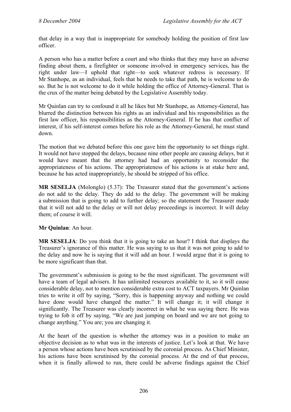that delay in a way that is inappropriate for somebody holding the position of first law officer.

A person who has a matter before a court and who thinks that they may have an adverse finding about them, a firefighter or someone involved in emergency services, has the right under law—I uphold that right—to seek whatever redress is necessary. If Mr Stanhope, as an individual, feels that he needs to take that path, he is welcome to do so. But he is not welcome to do it while holding the office of Attorney-General. That is the crux of the matter being debated by the Legislative Assembly today.

Mr Quinlan can try to confound it all he likes but Mr Stanhope, as Attorney-General, has blurred the distinction between his rights as an individual and his responsibilities as the first law officer, his responsibilities as the Attorney-General. If he has that conflict of interest, if his self-interest comes before his role as the Attorney-General, he must stand down.

The motion that we debated before this one gave him the opportunity to set things right. It would not have stopped the delays, because nine other people are causing delays, but it would have meant that the attorney had had an opportunity to reconsider the appropriateness of his actions. The appropriateness of his actions is at stake here and, because he has acted inappropriately, he should be stripped of his office.

**MR SESELJA** (Molonglo) (5.37): The Treasurer stated that the government's actions do not add to the delay. They do add to the delay. The government will be making a submission that is going to add to further delay; so the statement the Treasurer made that it will not add to the delay or will not delay proceedings is incorrect. It will delay them; of course it will.

### **Mr Quinlan**: An hour.

**MR SESELJA**: Do you think that it is going to take an hour? I think that displays the Treasurer's ignorance of this matter. He was saying to us that it was not going to add to the delay and now he is saying that it will add an hour. I would argue that it is going to be more significant than that.

The government's submission is going to be the most significant. The government will have a team of legal advisers. It has unlimited resources available to it, so it will cause considerable delay, not to mention considerable extra cost to ACT taxpayers. Mr Quinlan tries to write it off by saying, "Sorry, this is happening anyway and nothing we could have done would have changed the matter." It will change it; it will change it significantly. The Treasurer was clearly incorrect in what he was saying there. He was trying to fob it off by saying, "We are just jumping on board and we are not going to change anything." You are; you are changing it.

At the heart of the question is whether the attorney was in a position to make an objective decision as to what was in the interests of justice. Let's look at that. We have a person whose actions have been scrutinised by the coronial process. As Chief Minister, his actions have been scrutinised by the coronial process. At the end of that process, when it is finally allowed to run, there could be adverse findings against the Chief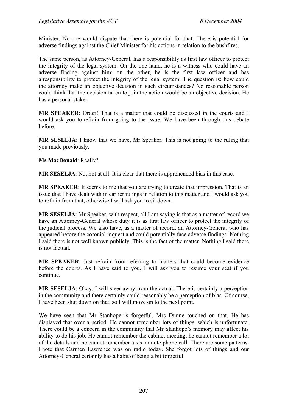Minister. No-one would dispute that there is potential for that. There is potential for adverse findings against the Chief Minister for his actions in relation to the bushfires.

The same person, as Attorney-General, has a responsibility as first law officer to protect the integrity of the legal system. On the one hand, he is a witness who could have an adverse finding against him; on the other, he is the first law officer and has a responsibility to protect the integrity of the legal system. The question is: how could the attorney make an objective decision in such circumstances? No reasonable person could think that the decision taken to join the action would be an objective decision. He has a personal stake.

**MR SPEAKER**: Order! That is a matter that could be discussed in the courts and I would ask you to refrain from going to the issue. We have been through this debate before.

**MR SESELJA**: I know that we have, Mr Speaker. This is not going to the ruling that you made previously.

**Ms MacDonald**: Really?

**MR SESELJA**: No, not at all. It is clear that there is apprehended bias in this case.

**MR SPEAKER**: It seems to me that you are trying to create that impression. That is an issue that I have dealt with in earlier rulings in relation to this matter and I would ask you to refrain from that, otherwise I will ask you to sit down.

**MR SESELJA**: Mr Speaker, with respect, all I am saying is that as a matter of record we have an Attorney-General whose duty it is as first law officer to protect the integrity of the judicial process. We also have, as a matter of record, an Attorney-General who has appeared before the coronial inquest and could potentially face adverse findings. Nothing I said there is not well known publicly. This is the fact of the matter. Nothing I said there is not factual.

**MR SPEAKER**: Just refrain from referring to matters that could become evidence before the courts. As I have said to you, I will ask you to resume your seat if you continue.

**MR SESELJA**: Okay, I will steer away from the actual. There is certainly a perception in the community and there certainly could reasonably be a perception of bias. Of course, I have been shut down on that, so I will move on to the next point.

We have seen that Mr Stanhope is forgetful. Mrs Dunne touched on that. He has displayed that over a period. He cannot remember lots of things, which is unfortunate. There could be a concern in the community that Mr Stanhope's memory may affect his ability to do his job. He cannot remember the cabinet meeting, he cannot remember a lot of the details and he cannot remember a six-minute phone call. There are some patterns. I note that Carmen Lawrence was on radio today. She forgot lots of things and our Attorney-General certainly has a habit of being a bit forgetful.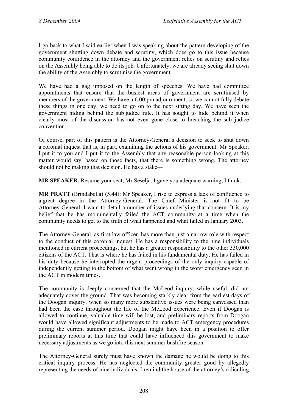I go back to what I said earlier when I was speaking about the pattern developing of the government shutting down debate and scrutiny, which does go to this issue because community confidence in the attorney and the government relies on scrutiny and relies on the Assembly being able to do its job. Unfortunately, we are already seeing shut down the ability of the Assembly to scrutinise the government.

We have had a gag imposed on the length of speeches. We have had committee appointments that ensure that the busiest areas of government are scrutinised by members of the government. We have a 6.00 pm adjournment, so we cannot fully debate these things in one day; we need to go on to the next sitting day. We have seen the government hiding behind the sub judice rule. It has sought to hide behind it when clearly most of the discussion has not even gone close to breaching the sub judice convention.

Of course, part of this pattern is the Attorney-General's decision to seek to shut down a coronial inquest that is, in part, examining the actions of his government. Mr Speaker, I put it to you and I put it to the Assembly that any reasonable person looking at this matter would say, based on those facts, that there is something wrong. The attorney should not be making that decision. He has a stake—

**MR SPEAKER**: Resume your seat, Mr Seselja. I gave you adequate warning, I think.

**MR PRATT** (Brindabella) (5.44): Mr Speaker, I rise to express a lack of confidence to a great degree in the Attorney-General. The Chief Minister is not fit to be Attorney-General. I want to detail a number of issues underlying that concern. It is my belief that he has monumentally failed the ACT community at a time when the community needs to get to the truth of what happened and what failed in January 2003.

The Attorney-General, as first law officer, has more than just a narrow role with respect to the conduct of this coronial inquest. He has a responsibility to the nine individuals mentioned in current proceedings, but he has a greater responsibility to the other 330,000 citizens of the ACT. That is where he has failed in his fundamental duty. He has failed in his duty because he interrupted the urgent proceedings of the only inquiry capable of independently getting to the bottom of what went wrong in the worst emergency seen in the ACT in modern times.

The community is deeply concerned that the McLeod inquiry, while useful, did not adequately cover the ground. That was becoming starkly clear from the earliest days of the Doogan inquiry, when so many more substantive issues were being canvassed than had been the case throughout the life of the McLeod experience. Even if Doogan is allowed to continue, valuable time will be lost, and preliminary reports from Doogan would have allowed significant adjustments to be made to ACT emergency procedures during the current summer period. Doogan might have been in a position to offer preliminary reports at this time that could have influenced this government to make necessary adjustments as we go into this next summer bushfire season.

The Attorney-General surely must have known the damage he would be doing to this critical inquiry process. He has neglected the community greater good by allegedly representing the needs of nine individuals. I remind the house of the attorney's ridiculing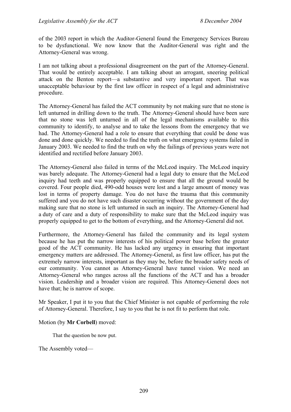of the 2003 report in which the Auditor-General found the Emergency Services Bureau to be dysfunctional. We now know that the Auditor-General was right and the Attorney-General was wrong.

I am not talking about a professional disagreement on the part of the Attorney-General. That would be entirely acceptable. I am talking about an arrogant, sneering political attack on the Benton report—a substantive and very important report. That was unacceptable behaviour by the first law officer in respect of a legal and administrative procedure.

The Attorney-General has failed the ACT community by not making sure that no stone is left unturned in drilling down to the truth. The Attorney-General should have been sure that no stone was left unturned in all of the legal mechanisms available to this community to identify, to analyse and to take the lessons from the emergency that we had. The Attorney-General had a role to ensure that everything that could be done was done and done quickly. We needed to find the truth on what emergency systems failed in January 2003. We needed to find the truth on why the failings of previous years were not identified and rectified before January 2003.

The Attorney-General also failed in terms of the McLeod inquiry. The McLeod inquiry was barely adequate. The Attorney-General had a legal duty to ensure that the McLeod inquiry had teeth and was properly equipped to ensure that all the ground would be covered. Four people died, 490-odd houses were lost and a large amount of money was lost in terms of property damage. You do not have the trauma that this community suffered and you do not have such disaster occurring without the government of the day making sure that no stone is left unturned in such an inquiry. The Attorney-General had a duty of care and a duty of responsibility to make sure that the McLeod inquiry was properly equipped to get to the bottom of everything, and the Attorney-General did not.

Furthermore, the Attorney-General has failed the community and its legal system because he has put the narrow interests of his political power base before the greater good of the ACT community. He has lacked any urgency in ensuring that important emergency matters are addressed. The Attorney-General, as first law officer, has put the extremely narrow interests, important as they may be, before the broader safety needs of our community. You cannot as Attorney-General have tunnel vision. We need an Attorney-General who ranges across all the functions of the ACT and has a broader vision. Leadership and a broader vision are required. This Attorney-General does not have that; he is narrow of scope.

Mr Speaker, I put it to you that the Chief Minister is not capable of performing the role of Attorney-General. Therefore, I say to you that he is not fit to perform that role.

### Motion (by **Mr Corbell**) moved:

That the question be now put.

The Assembly voted—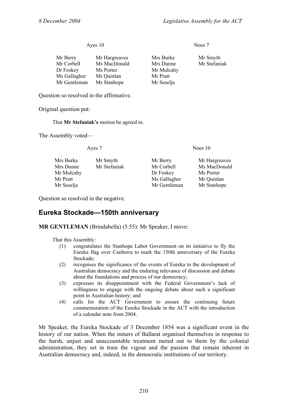### Ayes 10 Noes 7

| Mr Hargreaves | Mrs Burke  |
|---------------|------------|
| Ms MacDonald  | Mrs Dunne  |
| Ms Porter     | Mr Mulcahy |
| Mr Quinlan    | Mr Pratt   |
| Mr Stanhope   | Mr Seselja |
|               |            |

Question so resolved in the affirmative.

Original question put:

That **Mr Stefaniak's** motion be agreed to.

The Assembly voted—

| Mrs Burke  | Mr Smyth     | Mr Berry     | Mr Hargreaves |
|------------|--------------|--------------|---------------|
| Mrs Dunne  | Mr Stefaniak | Mr Corbell   | Ms MacDonald  |
| Mr Mulcahy |              | Dr Foskey    | Ms Porter     |
| Mr Pratt   |              | Ms Gallagher | Mr Quinlan    |
| Mr Seselja |              | Mr Gentleman | Mr Stanhope   |
|            |              |              |               |

Question so resolved in the negative.

# **Eureka Stockade—150th anniversary**

**MR GENTLEMAN** (Brindabella) (5.55): Mr Speaker, I move:

That this Assembly:

- (1) congratulates the Stanhope Labor Government on its initiative to fly the Eureka flag over Canberra to mark the 150th anniversary of the Eureka Stockade;
- (2) recognises the significance of the events of Eureka to the development of Australian democracy and the enduring relevance of discussion and debate about the foundations and process of our democracy;
- (3) expresses its disappointment with the Federal Government's lack of willingness to engage with the ongoing debate about such a significant point in Australian history; and
- (4) calls for the ACT Government to ensure the continuing future commemoration of the Eureka Stockade in the ACT with the introduction of a calendar note from 2004.

Mr Speaker, the Eureka Stockade of 3 December 1854 was a significant event in the history of our nation. When the miners of Ballarat organised themselves in response to the harsh, unjust and unaccountable treatment meted out to them by the colonial administration, they set in train the vigour and the passion that remain inherent in Australian democracy and, indeed, in the democratic institutions of our territory.

Mrs Burke Mr Smyth Mrs Dunne Mr Stefaniak

Ayes 7 Noes 10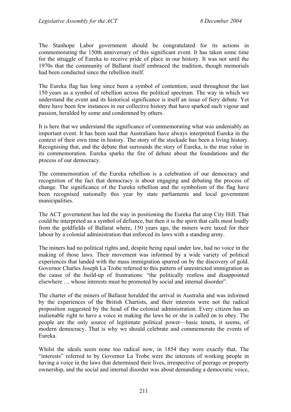The Stanhope Labor government should be congratulated for its actions in commemorating the 150th anniversary of this significant event. It has taken some time for the struggle of Eureka to receive pride of place in our history. It was not until the 1970s that the community of Ballarat itself embraced the tradition, though memorials had been conducted since the rebellion itself.

The Eureka flag has long since been a symbol of contention, used throughout the last 150 years as a symbol of rebellion across the political spectrum. The way in which we understand the event and its historical significance is itself an issue of fiery debate. Yet there have been few instances in our collective history that have sparked such vigour and passion, heralded by some and condemned by others.

It is here that we understand the significance of commemorating what was undeniably an important event. It has been said that Australians have always interpreted Eureka in the context of their own time in history. The story of the stockade has been a living history. Recognising that, and the debate that surrounds the story of Eureka, is the true value in its commemoration. Eureka sparks the fire of debate about the foundations and the process of our democracy.

The commemoration of the Eureka rebellion is a celebration of our democracy and recognition of the fact that democracy is about engaging and debating the process of change. The significance of the Eureka rebellion and the symbolism of the flag have been recognised nationally this year by state parliaments and local government municipalities.

The ACT government has led the way in positioning the Eureka flat atop City Hill. That could be interpreted as a symbol of defiance, but then it is the spirit that calls most loudly from the goldfields of Ballarat where, 150 years ago, the miners were taxed for their labour by a colonial administration that enforced its laws with a standing army.

The miners had no political rights and, despite being equal under law, had no voice in the making of those laws. Their movement was informed by a wide variety of political experiences that landed with the mass immigration spurred on by the discovery of gold. Governor Charles Joseph La Trobe referred to this pattern of unrestricted immigration as the cause of the build-up of frustrations: "the politically restless and disappointed elsewhere … whose interests must be promoted by social and internal disorder".

The charter of the miners of Ballarat heralded the arrival in Australia and was informed by the experiences of the British Chartists, and their interests were not the radical proposition suggested by the head of the colonial administration. Every citizen has an inalienable right to have a voice in making the laws he or she is called on to obey. The people are the only source of legitimate political power—basic tenets, it seems, of modern democracy. That is why we should celebrate and commemorate the events of Eureka.

Whilst the ideals seem none too radical now, in 1854 they were exactly that. The "interests" referred to by Governor La Trobe were the interests of working people in having a voice in the laws that determined their lives, irrespective of peerage or property ownership, and the social and internal disorder was about demanding a democratic voice,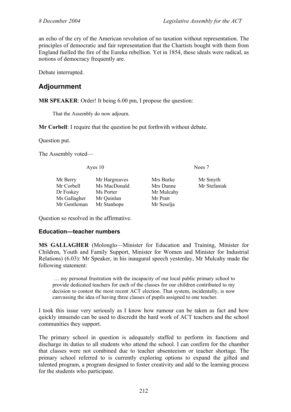an echo of the cry of the American revolution of no taxation without representation. The principles of democratic and fair representation that the Chartists bought with them from England fuelled the fire of the Eureka rebellion. Yet in 1854, these ideals were radical, as notions of democracy frequently are.

Debate interrupted.

# **Adjournment**

**MR SPEAKER:** Order! It being 6.00 pm, I propose the question:

That the Assembly do now adjourn.

**Mr Corbell**: I require that the question be put forthwith without debate.

Question put.

The Assembly voted—

| Ayes 10      |               | Noes 7     |              |  |
|--------------|---------------|------------|--------------|--|
| Mr Berry     | Mr Hargreaves | Mrs Burke  | Mr Smyth     |  |
| Mr Corbell   | Ms MacDonald  | Mrs Dunne  | Mr Stefaniak |  |
| Dr Foskey    | Ms Porter     | Mr Mulcahy |              |  |
| Ms Gallagher | Mr Quinlan    | Mr Pratt   |              |  |
| Mr Gentleman | Mr Stanhope   | Mr Seselja |              |  |

Question so resolved in the affirmative.

### **Education—teacher numbers**

**MS GALLAGHER** (Molonglo—Minister for Education and Training, Minister for Children, Youth and Family Support, Minister for Women and Minister for Industrial Relations) (6.03): Mr Speaker, in his inaugural speech yesterday, Mr Mulcahy made the following statement:

 … my personal frustration with the incapacity of our local public primary school to provide dedicated teachers for each of the classes for our children contributed to my decision to contest the most recent ACT election. That system, incidentally, is now canvassing the idea of having three classes of pupils assigned to one teacher.

I took this issue very seriously as I know how rumour can be taken as fact and how quickly innuendo can be used to discredit the hard work of ACT teachers and the school communities they support.

The primary school in question is adequately staffed to perform its functions and discharge its duties to all students who attend the school. I can confirm for the chamber that classes were not combined due to teacher absenteeism or teacher shortage. The primary school referred to is currently exploring options to expand the gifted and talented program, a program designed to foster creativity and add to the learning process for the students who participate.